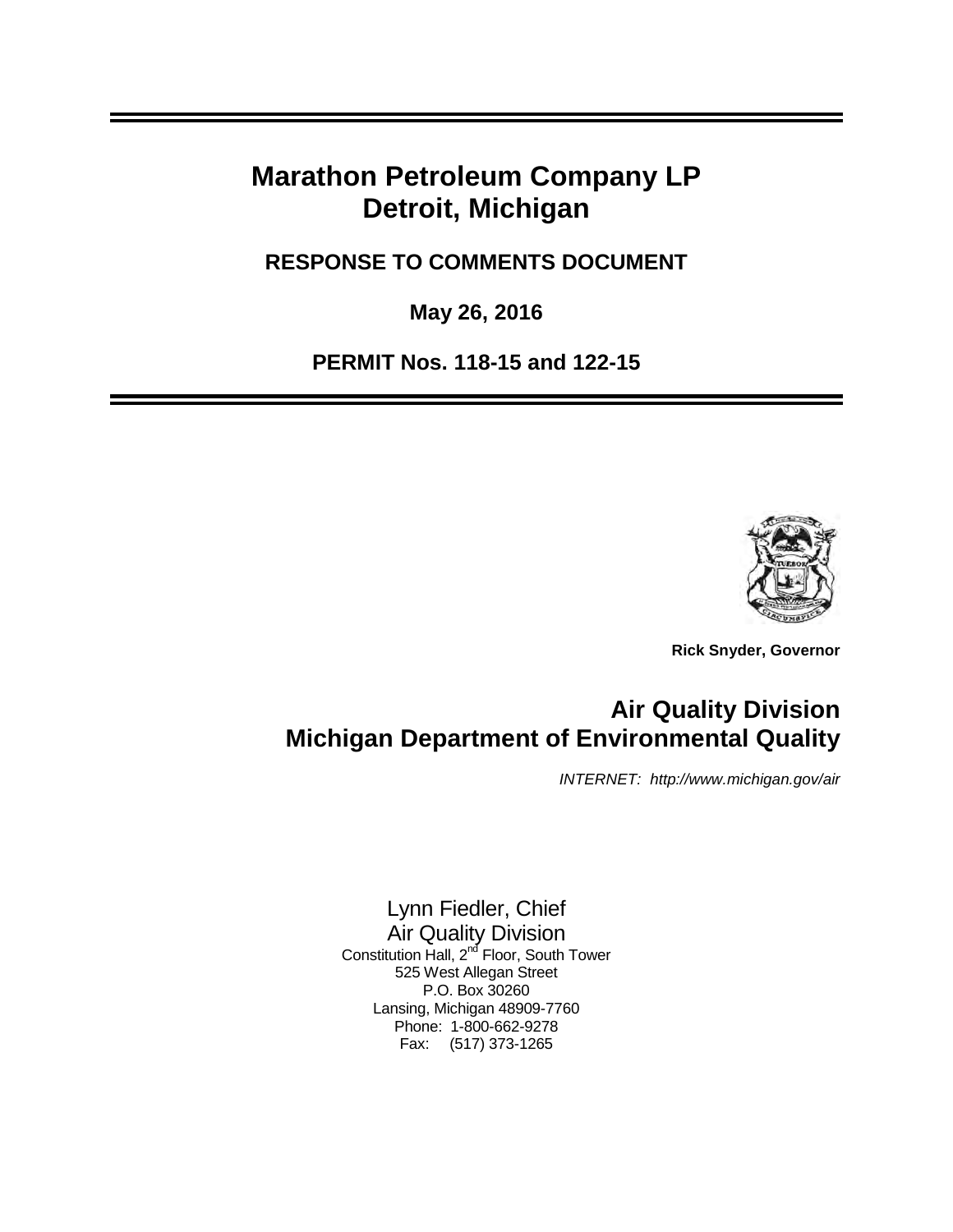# **Marathon Petroleum Company LP Detroit, Michigan**

 **RESPONSE TO COMMENTS DOCUMENT** 

 **May 26, 2016** 

 **PERMIT Nos. 118-15 and 122-15** 



 **Rick Snyder, Governor** 

# **Air Quality Division Michigan Department of Environmental Quality**

INTERNET: <http://www.michigan.gov/air>

 Lynn Fiedler, Chief 525 West Allegan Street P.O. Box 30260 Lansing, Michigan 48909-7760 Phone: 1-800-662-9278 Fax: (517) 373-1265 Air Quality Division Constitution Hall, 2<sup>nd</sup> Floor, South Tower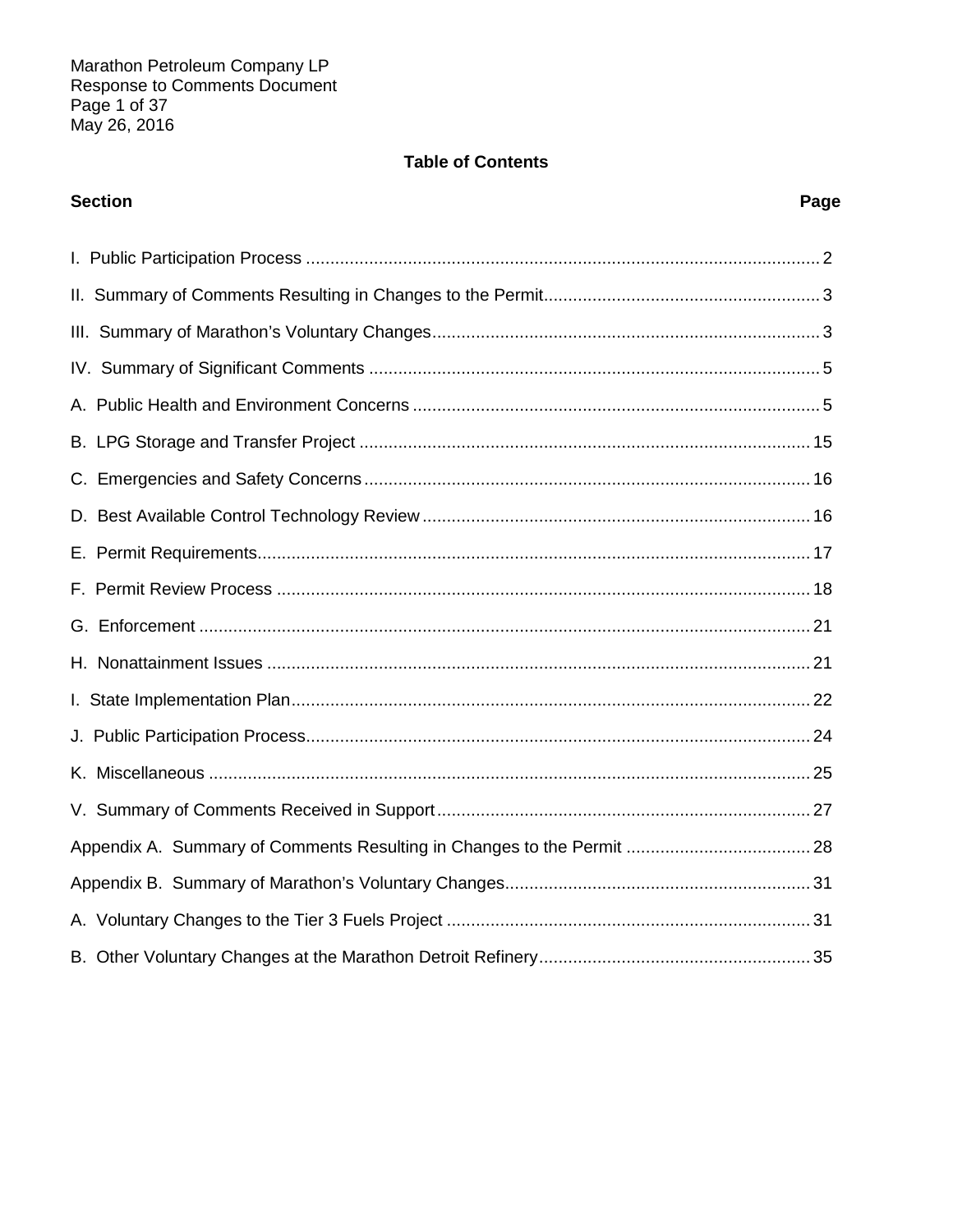# **Table of Contents**

| <b>Section</b> | Page |
|----------------|------|
|                |      |
|                |      |
|                |      |
|                |      |
|                |      |
|                |      |
|                |      |
|                |      |
|                |      |
|                |      |
|                |      |
|                |      |
|                |      |
|                |      |
|                |      |
|                |      |
|                |      |
|                |      |
|                |      |
|                |      |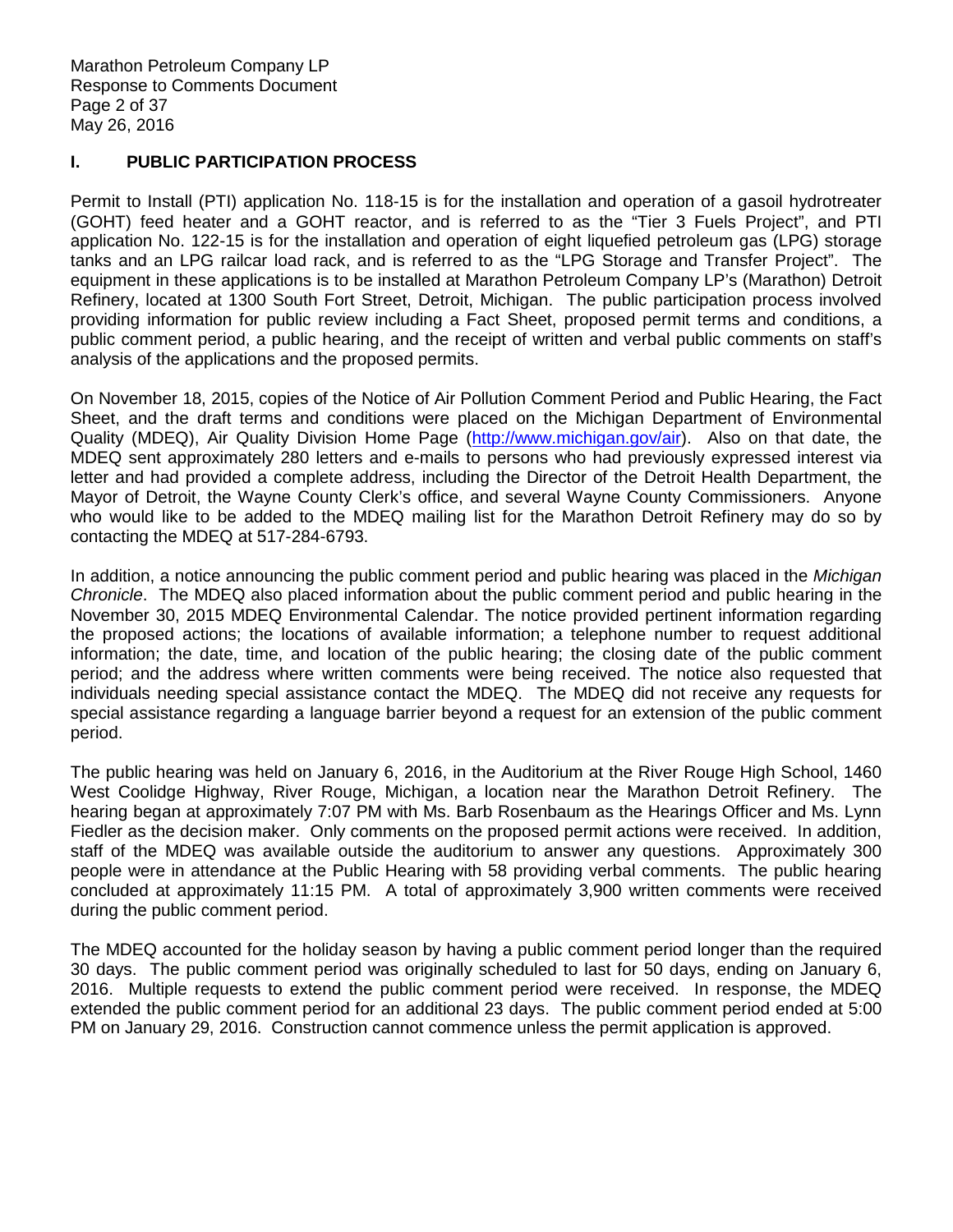Marathon Petroleum Company LP Response to Comments Document Page 2 of 37 May 26, 2016

### **I. PUBLIC PARTICIPATION PROCESS**

 Permit to Install (PTI) application No. 118-15 is for the installation and operation of a gasoil hydrotreater (GOHT) feed heater and a GOHT reactor, and is referred to as the "Tier 3 Fuels Project", and PTI application No. 122-15 is for the installation and operation of eight liquefied petroleum gas (LPG) storage tanks and an LPG railcar load rack, and is referred to as the "LPG Storage and Transfer Project". The equipment in these applications is to be installed at Marathon Petroleum Company LP's (Marathon) Detroit Refinery, located at 1300 South Fort Street, Detroit, Michigan. The public participation process involved providing information for public review including a Fact Sheet, proposed permit terms and conditions, a public comment period, a public hearing, and the receipt of written and verbal public comments on staff's analysis of the applications and the proposed permits.

 On November 18, 2015, copies of the Notice of Air Pollution Comment Period and Public Hearing, the Fact Sheet, and the draft terms and conditions were placed on the Michigan Department of Environmental Quality (MDEQ), Air Quality Division Home Page [\(http://www.michigan.gov/air\). A](http://www.michigan.gov/air)lso on that date, the MDEQ sent approximately 280 letters and e-mails to persons who had previously expressed interest via letter and had provided a complete address, including the Director of the Detroit Health Department, the Mayor of Detroit, the Wayne County Clerk's office, and several Wayne County Commissioners. Anyone who would like to be added to the MDEQ mailing list for the Marathon Detroit Refinery may do so by contacting the MDEQ at 517-284-6793.

In addition, a notice announcing the public comment period and public hearing was placed in the Michigan Chronicle. The MDEQ also placed information about the public comment period and public hearing in the November 30, 2015 MDEQ Environmental Calendar. The notice provided pertinent information regarding the proposed actions; the locations of available information; a telephone number to request additional information; the date, time, and location of the public hearing; the closing date of the public comment period; and the address where written comments were being received. The notice also requested that individuals needing special assistance contact the MDEQ. The MDEQ did not receive any requests for special assistance regarding a language barrier beyond a request for an extension of the public comment period.

 The public hearing was held on January 6, 2016, in the Auditorium at the River Rouge High School, 1460 West Coolidge Highway, River Rouge, Michigan, a location near the Marathon Detroit Refinery. The hearing began at approximately 7:07 PM with Ms. Barb Rosenbaum as the Hearings Officer and Ms. Lynn Fiedler as the decision maker. Only comments on the proposed permit actions were received. In addition, staff of the MDEQ was available outside the auditorium to answer any questions. Approximately 300 people were in attendance at the Public Hearing with 58 providing verbal comments. The public hearing concluded at approximately 11:15 PM. A total of approximately 3,900 written comments were received during the public comment period.

 The MDEQ accounted for the holiday season by having a public comment period longer than the required 30 days. The public comment period was originally scheduled to last for 50 days, ending on January 6, 2016. Multiple requests to extend the public comment period were received. In response, the MDEQ extended the public comment period for an additional 23 days. The public comment period ended at 5:00 PM on January 29, 2016. Construction cannot commence unless the permit application is approved.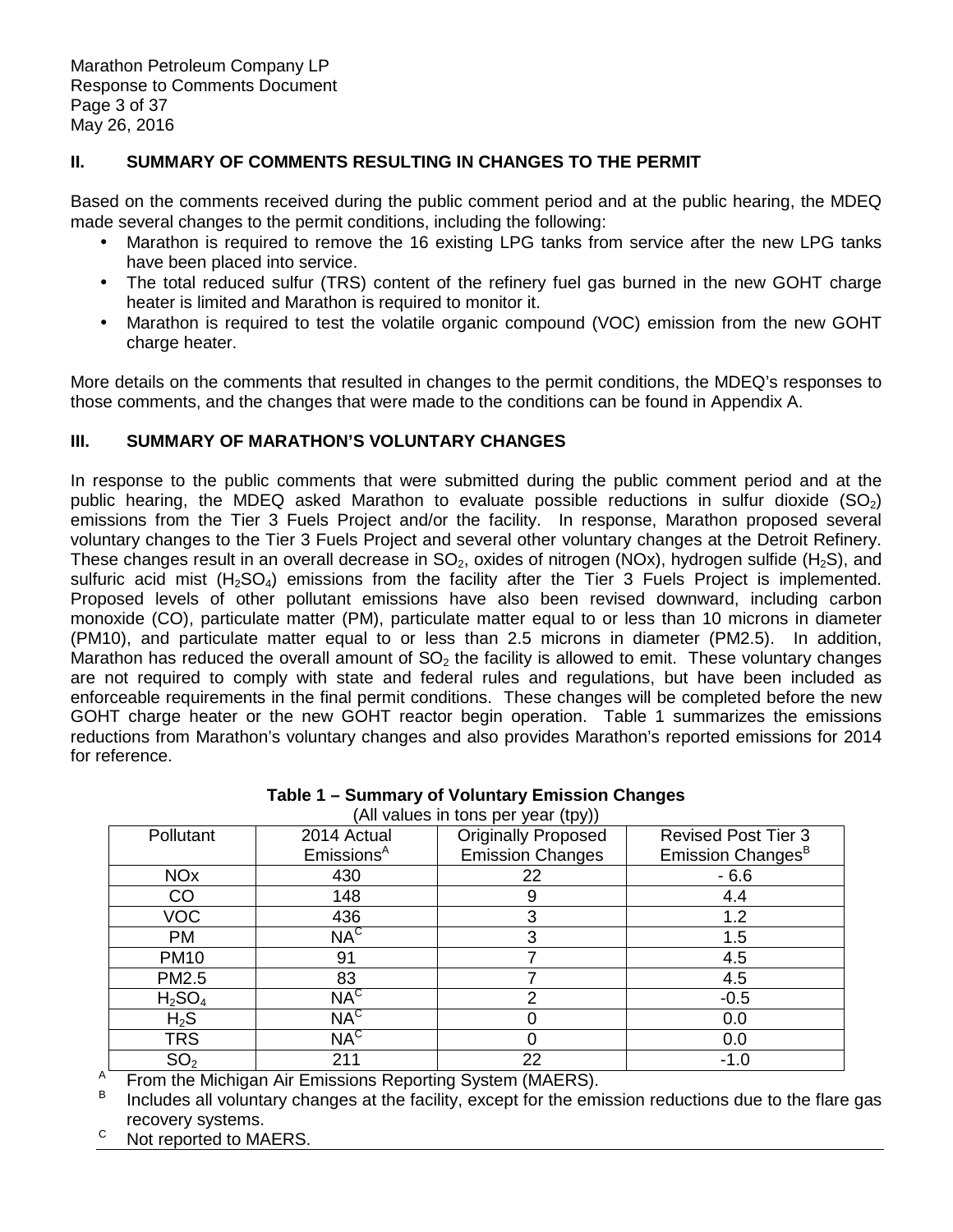# **II. SUMMARY OF COMMENTS RESULTING IN CHANGES TO THE PERMIT**

 Based on the comments received during the public comment period and at the public hearing, the MDEQ made several changes to the permit conditions, including the following:

- • Marathon is required to remove the 16 existing LPG tanks from service after the new LPG tanks have been placed into service.
- heater is limited and Marathon is required to monitor it. The total reduced sulfur (TRS) content of the refinery fuel gas burned in the new GOHT charge
- • Marathon is required to test the volatile organic compound (VOC) emission from the new GOHT charge heater.

 More details on the comments that resulted in changes to the permit conditions, the MDEQ's responses to those comments, and the changes that were made to the conditions can be found in Appendix A.

# **III. SUMMARY OF MARATHON'S VOLUNTARY CHANGES**

 In response to the public comments that were submitted during the public comment period and at the public hearing, the MDEQ asked Marathon to evaluate possible reductions in sulfur dioxide (SO<sub>2</sub>) emissions from the Tier 3 Fuels Project and/or the facility. In response, Marathon proposed several voluntary changes to the Tier 3 Fuels Project and several other voluntary changes at the Detroit Refinery. These changes result in an overall decrease in  $SO_2$ , oxides of nitrogen (NOx), hydrogen sulfide (H<sub>2</sub>S), and sulfuric acid mist  $(H_2SO_4)$  emissions from the facility after the Tier 3 Fuels Project is implemented. Proposed levels of other pollutant emissions have also been revised downward, including carbon monoxide (CO), particulate matter (PM), particulate matter equal to or less than 10 microns in diameter (PM10), and particulate matter equal to or less than 2.5 microns in diameter (PM2.5). In addition, Marathon has reduced the overall amount of  $SO<sub>2</sub>$  the facility is allowed to emit. These voluntary changes are not required to comply with state and federal rules and regulations, but have been included as enforceable requirements in the final permit conditions. These changes will be completed before the new GOHT charge heater or the new GOHT reactor begin operation. Table 1 summarizes the emissions reductions from Marathon's voluntary changes and also provides Marathon's reported emissions for 2014 for reference.

| (All values in tons per year (tpy)) |                        |                            |                               |  |  |
|-------------------------------------|------------------------|----------------------------|-------------------------------|--|--|
| Pollutant                           | 2014 Actual            | <b>Originally Proposed</b> | <b>Revised Post Tier 3</b>    |  |  |
|                                     | Emissions <sup>A</sup> | <b>Emission Changes</b>    | Emission Changes <sup>B</sup> |  |  |
| <b>NO<sub>x</sub></b>               | 430                    | 22                         | $-6.6$                        |  |  |
| CO                                  | 148                    | 9                          | 4.4                           |  |  |
| <b>VOC</b>                          | 436                    | 3                          | 1.2                           |  |  |
| <b>PM</b>                           | $NA^C$                 | 3                          | 1.5                           |  |  |
| <b>PM10</b>                         | 91                     |                            | 4.5                           |  |  |
| PM2.5                               | 83                     |                            | 4.5                           |  |  |
| H <sub>2</sub> SO <sub>4</sub>      | $NA^C$                 | ⌒                          | $-0.5$                        |  |  |
| $H_2S$                              | $NA^C$                 |                            | 0.0                           |  |  |
| <b>TRS</b>                          | NA <sup>C</sup>        |                            | 0.0                           |  |  |
| SO <sub>2</sub>                     | 211                    | 22                         | $-1.0$                        |  |  |

 **Table 1 – Summary of Voluntary Emission Changes** 

 $\mathsf A$ From the Michigan Air Emissions Reporting System (MAERS).

 $\mathsf{R}$  recovery systems. Includes all voluntary changes at the facility, except for the emission reductions due to the flare gas

Not reported to MAERS.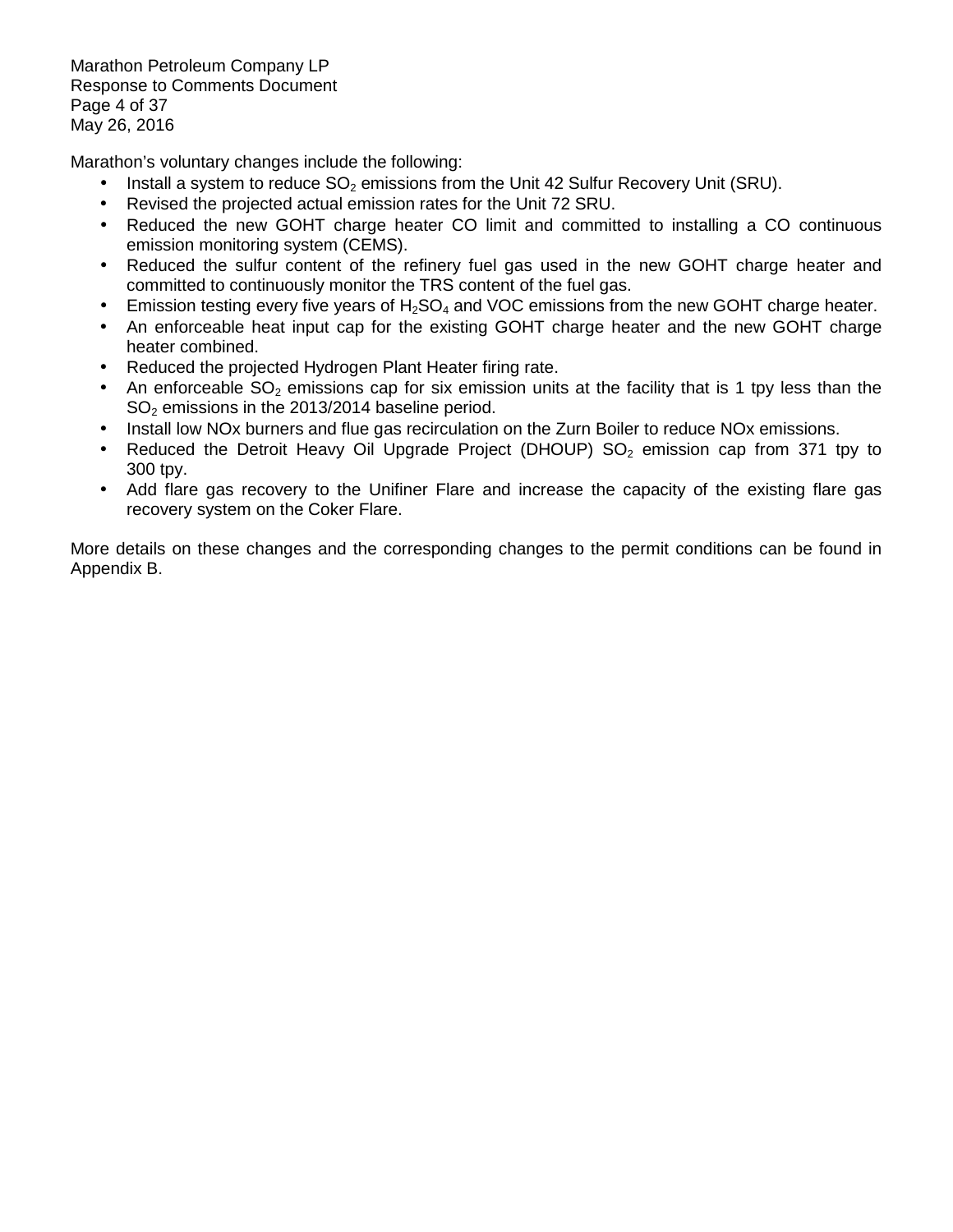Marathon Petroleum Company LP Response to Comments Document Page 4 of 37 May 26, 2016

Marathon's voluntary changes include the following:

- Install a system to reduce  $SO_2$  emissions from the Unit 42 Sulfur Recovery Unit (SRU).
- Revised the projected actual emission rates for the Unit 72 SRU.
- • Reduced the new GOHT charge heater CO limit and committed to installing a CO continuous emission monitoring system (CEMS).
- $\bullet$  committed to continuously monitor the TRS content of the fuel gas. Reduced the sulfur content of the refinery fuel gas used in the new GOHT charge heater and
- $\bullet$ Emission testing every five years of  $H_2SO_4$  and VOC emissions from the new GOHT charge heater.
- • An enforceable heat input cap for the existing GOHT charge heater and the new GOHT charge heater combined.
- $\bullet$ • Reduced the projected Hydrogen Plant Heater firing rate.
- $\bullet$  $SO<sub>2</sub>$  emissions in the 2013/2014 baseline period. An enforceable  $SO<sub>2</sub>$  emissions cap for six emission units at the facility that is 1 tpy less than the
- Install low NOx burners and flue gas recirculation on the Zurn Boiler to reduce NOx emissions.
- 300 tpy. Reduced the Detroit Heavy Oil Upgrade Project (DHOUP)  $SO<sub>2</sub>$  emission cap from 371 tpy to
- • Add flare gas recovery to the Unifiner Flare and increase the capacity of the existing flare gas recovery system on the Coker Flare.

 More details on these changes and the corresponding changes to the permit conditions can be found in Appendix B.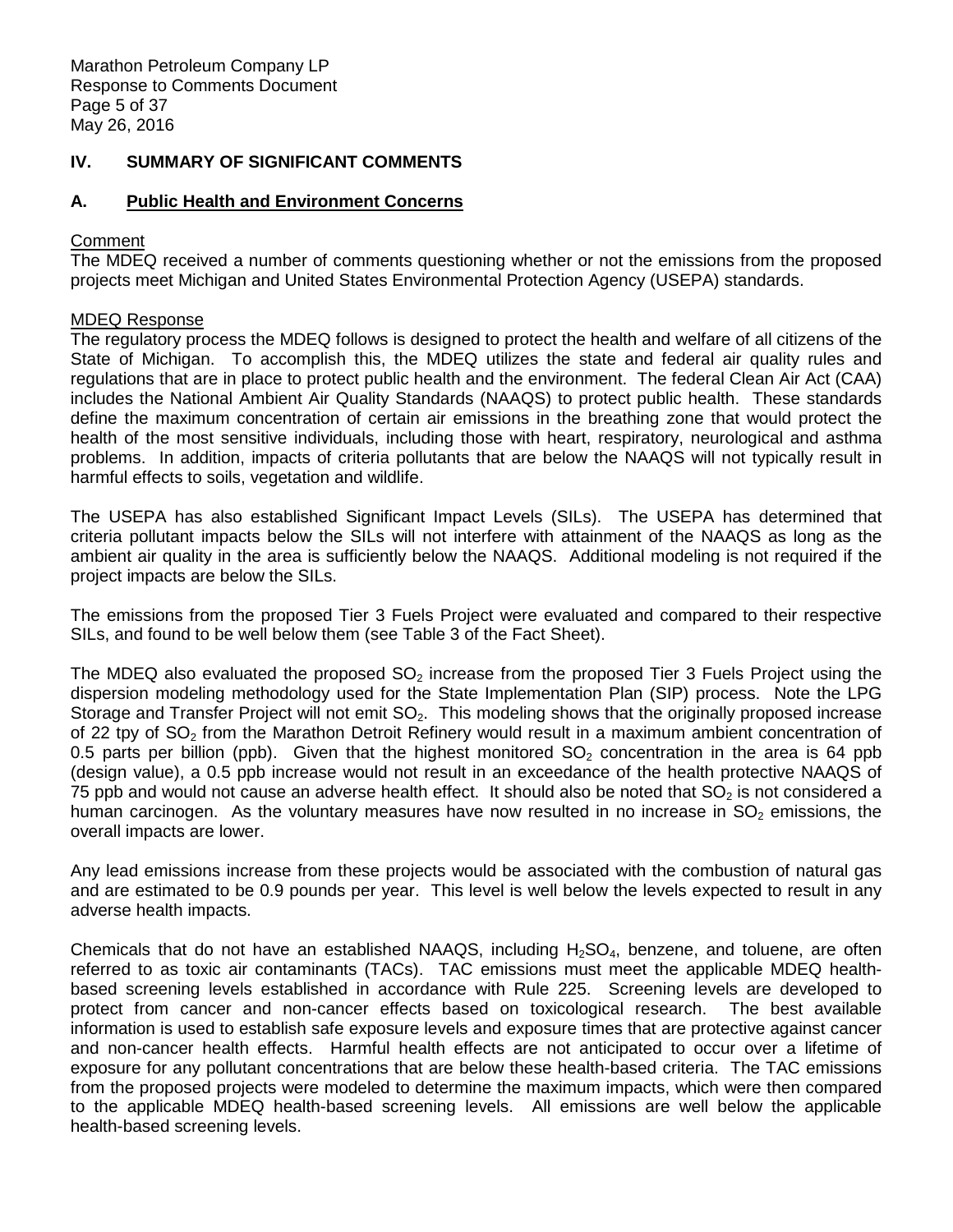Marathon Petroleum Company LP Response to Comments Document Page 5 of 37 May 26, 2016

# **IV. SUMMARY OF SIGNIFICANT COMMENTS**

#### A. **A. Public Health and Environment Concerns**

# Comment

 The MDEQ received a number of comments questioning whether or not the emissions from the proposed projects meet Michigan and United States Environmental Protection Agency (USEPA) standards.

### MDEQ Response

 The regulatory process the MDEQ follows is designed to protect the health and welfare of all citizens of the State of Michigan. To accomplish this, the MDEQ utilizes the state and federal air quality rules and regulations that are in place to protect public health and the environment. The federal Clean Air Act (CAA) includes the National Ambient Air Quality Standards (NAAQS) to protect public health. These standards define the maximum concentration of certain air emissions in the breathing zone that would protect the health of the most sensitive individuals, including those with heart, respiratory, neurological and asthma problems. In addition, impacts of criteria pollutants that are below the NAAQS will not typically result in harmful effects to soils, vegetation and wildlife.

 The USEPA has also established Significant Impact Levels (SILs). The USEPA has determined that criteria pollutant impacts below the SILs will not interfere with attainment of the NAAQS as long as the ambient air quality in the area is sufficiently below the NAAQS. Additional modeling is not required if the project impacts are below the SILs.

 The emissions from the proposed Tier 3 Fuels Project were evaluated and compared to their respective SILs, and found to be well below them (see Table 3 of the Fact Sheet).

The MDEQ also evaluated the proposed  $SO_2$  increase from the proposed Tier 3 Fuels Project using the dispersion modeling methodology used for the State Implementation Plan (SIP) process. Note the LPG Storage and Transfer Project will not emit  $SO<sub>2</sub>$ . This modeling shows that the originally proposed increase of 22 tpy of  $SO<sub>2</sub>$  from the Marathon Detroit Refinery would result in a maximum ambient concentration of 0.5 parts per billion (ppb). Given that the highest monitored  $SO<sub>2</sub>$  concentration in the area is 64 ppb (design value), a 0.5 ppb increase would not result in an exceedance of the health protective NAAQS of 75 ppb and would not cause an adverse health effect. It should also be noted that  $SO<sub>2</sub>$  is not considered a human carcinogen. As the voluntary measures have now resulted in no increase in  $SO<sub>2</sub>$  emissions, the overall impacts are lower.

 Any lead emissions increase from these projects would be associated with the combustion of natural gas and are estimated to be 0.9 pounds per year. This level is well below the levels expected to result in any adverse health impacts.

Chemicals that do not have an established NAAQS, including  $H_2SO_4$ , benzene, and toluene, are often referred to as toxic air contaminants (TACs). TAC emissions must meet the applicable MDEQ health- based screening levels established in accordance with Rule 225. Screening levels are developed to protect from cancer and non-cancer effects based on toxicological research. The best available information is used to establish safe exposure levels and exposure times that are protective against cancer and non-cancer health effects. Harmful health effects are not anticipated to occur over a lifetime of exposure for any pollutant concentrations that are below these health-based criteria. The TAC emissions from the proposed projects were modeled to determine the maximum impacts, which were then compared to the applicable MDEQ health-based screening levels. All emissions are well below the applicable health-based screening levels.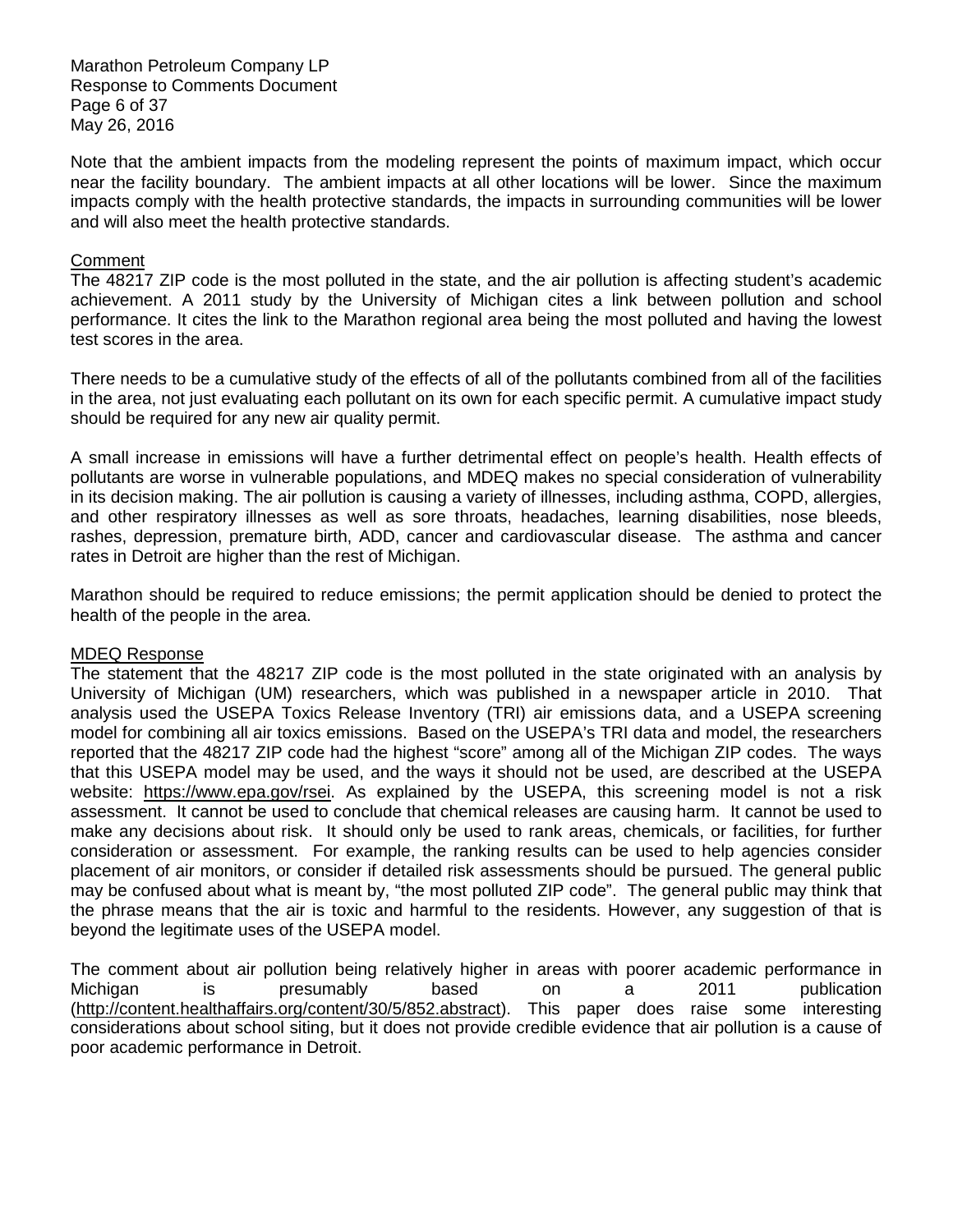Marathon Petroleum Company LP Response to Comments Document Page 6 of 37 May 26, 2016

 Note that the ambient impacts from the modeling represent the points of maximum impact, which occur near the facility boundary. The ambient impacts at all other locations will be lower. Since the maximum impacts comply with the health protective standards, the impacts in surrounding communities will be lower and will also meet the health protective standards.

#### Comment

 The 48217 ZIP code is the most polluted in the state, and the air pollution is affecting student's academic achievement. A 2011 study by the University of Michigan cites a link between pollution and school performance. It cites the link to the Marathon regional area being the most polluted and having the lowest test scores in the area.

 There needs to be a cumulative study of the effects of all of the pollutants combined from all of the facilities in the area, not just evaluating each pollutant on its own for each specific permit. A cumulative impact study should be required for any new air quality permit.

 A small increase in emissions will have a further detrimental effect on people's health. Health effects of pollutants are worse in vulnerable populations, and MDEQ makes no special consideration of vulnerability in its decision making. The air pollution is causing a variety of illnesses, including asthma, COPD, allergies, and other respiratory illnesses as well as sore throats, headaches, learning disabilities, nose bleeds, rashes, depression, premature birth, ADD, cancer and cardiovascular disease. The asthma and cancer rates in Detroit are higher than the rest of Michigan.

 Marathon should be required to reduce emissions; the permit application should be denied to protect the health of the people in the area.

#### MDEQ Response

 The statement that the 48217 ZIP code is the most polluted in the state originated with an analysis by University of Michigan (UM) researchers, which was published in a newspaper article in 2010. That analysis used the USEPA Toxics Release Inventory (TRI) air emissions data, and a USEPA screening model for combining all air toxics emissions. Based on the USEPA's TRI data and model, the researchers reported that the 48217 ZIP code had the highest "score" among all of the Michigan ZIP codes. The ways that this USEPA model may be used, and the ways it should not be used, are described at the USEPA website: [https://www.epa.gov/rsei. A](https://www.epa.gov/rsei)s explained by the USEPA, this screening model is not a risk assessment. It cannot be used to conclude that chemical releases are causing harm. It cannot be used to make any decisions about risk. It should only be used to rank areas, chemicals, or facilities, for further consideration or assessment. For example, the ranking results can be used to help agencies consider placement of air monitors, or consider if detailed risk assessments should be pursued. The general public may be confused about what is meant by, "the most polluted ZIP code". The general public may think that the phrase means that the air is toxic and harmful to the residents. However, any suggestion of that is beyond the legitimate uses of the USEPA model.

 The comment about air pollution being relatively higher in areas with poorer academic performance in Michigan [\(http://content.healthaffairs.org/content/30/5/852.abstract\). T](http://content.healthaffairs.org/content/30/5/852.abstract)his paper does raise some interesting considerations about school siting, but it does not provide credible evidence that air pollution is a cause of poor academic performance in Detroit. Michigan is presumably based on a 2011 publication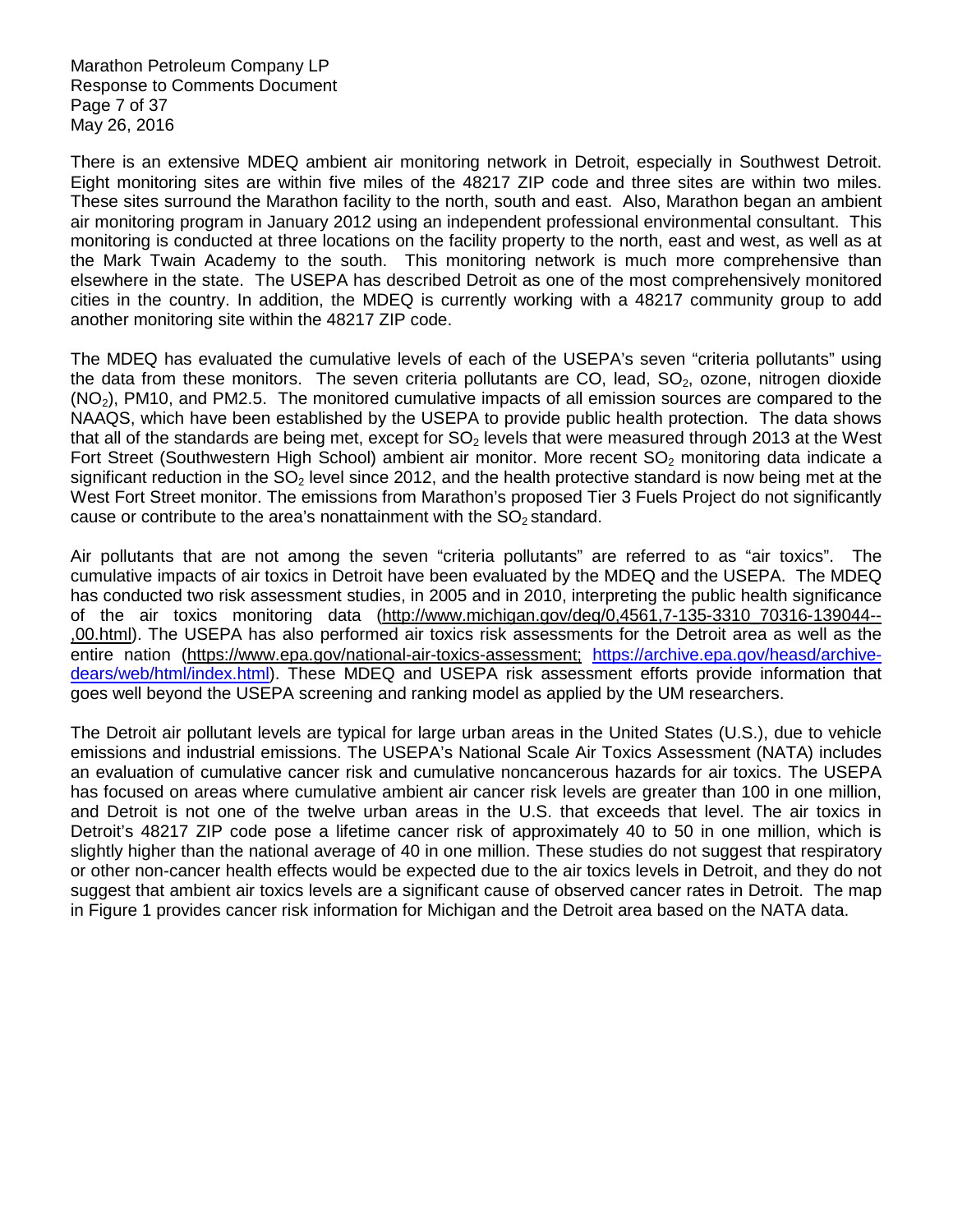Marathon Petroleum Company LP Response to Comments Document Page 7 of 37 May 26, 2016

 There is an extensive MDEQ ambient air monitoring network in Detroit, especially in Southwest Detroit. Eight monitoring sites are within five miles of the 48217 ZIP code and three sites are within two miles. These sites surround the Marathon facility to the north, south and east. Also, Marathon began an ambient air monitoring program in January 2012 using an independent professional environmental consultant. This monitoring is conducted at three locations on the facility property to the north, east and west, as well as at the Mark Twain Academy to the south. This monitoring network is much more comprehensive than elsewhere in the state. The USEPA has described Detroit as one of the most comprehensively monitored cities in the country. In addition, the MDEQ is currently working with a 48217 community group to add another monitoring site within the 48217 ZIP code.

 The MDEQ has evaluated the cumulative levels of each of the USEPA's seven "criteria pollutants" using the data from these monitors. The seven criteria pollutants are CO, lead,  $SO<sub>2</sub>$ , ozone, nitrogen dioxide  $(NO<sub>2</sub>)$ , PM10, and PM2.5. The monitored cumulative impacts of all emission sources are compared to the NAAQS, which have been established by the USEPA to provide public health protection. The data shows that all of the standards are being met, except for SO<sub>2</sub> levels that were measured through 2013 at the West Fort Street (Southwestern High School) ambient air monitor. More recent  $SO<sub>2</sub>$  monitoring data indicate a significant reduction in the SO<sub>2</sub> level since 2012, and the health protective standard is now being met at the West Fort Street monitor. The emissions from Marathon's proposed Tier 3 Fuels Project do not significantly cause or contribute to the area's nonattainment with the  $SO<sub>2</sub>$  standard.

 Air pollutants that are not among the seven "criteria pollutants" are referred to as "air toxics". The cumulative impacts of air toxics in Detroit have been evaluated by the MDEQ and the USEPA. The MDEQ has conducted two risk assessment studies, in 2005 and in 2010, interpreting the public health significance of the air toxics monitoring data (http://www.michigan.gov/deq/0,4561,7-135-3310 70316-139044-- [,00.html\). T](http://www.michigan.gov/deq/0,4561,7-135-3310_70316-139044--,00.html)he USEPA has also performed air toxics risk assessments for the Detroit area as well as the entire nation [\(https://www.epa.gov/national-air-toxics-assessment;](https://www.epa.gov/national-air-toxics-assessment) [https://archive.epa.gov/heasd/arc](https://archive.epa.gov/heasd/archive-dears/web/html/index.html)hivedears/web/html/index.html). These MDEQ and USEPA risk assessment efforts provide information that goes well beyond the USEPA screening and ranking model as applied by the UM researchers.

 The Detroit air pollutant levels are typical for large urban areas in the United States (U.S.), due to vehicle emissions and industrial emissions. The USEPA's National Scale Air Toxics Assessment (NATA) includes an evaluation of cumulative cancer risk and cumulative noncancerous hazards for air toxics. The USEPA has focused on areas where cumulative ambient air cancer risk levels are greater than 100 in one million, and Detroit is not one of the twelve urban areas in the U.S. that exceeds that level. The air toxics in Detroit's 48217 ZIP code pose a lifetime cancer risk of approximately 40 to 50 in one million, which is slightly higher than the national average of 40 in one million. These studies do not suggest that respiratory or other non-cancer health effects would be expected due to the air toxics levels in Detroit, and they do not suggest that ambient air toxics levels are a significant cause of observed cancer rates in Detroit. The map in Figure 1 provides cancer risk information for Michigan and the Detroit area based on the NATA data.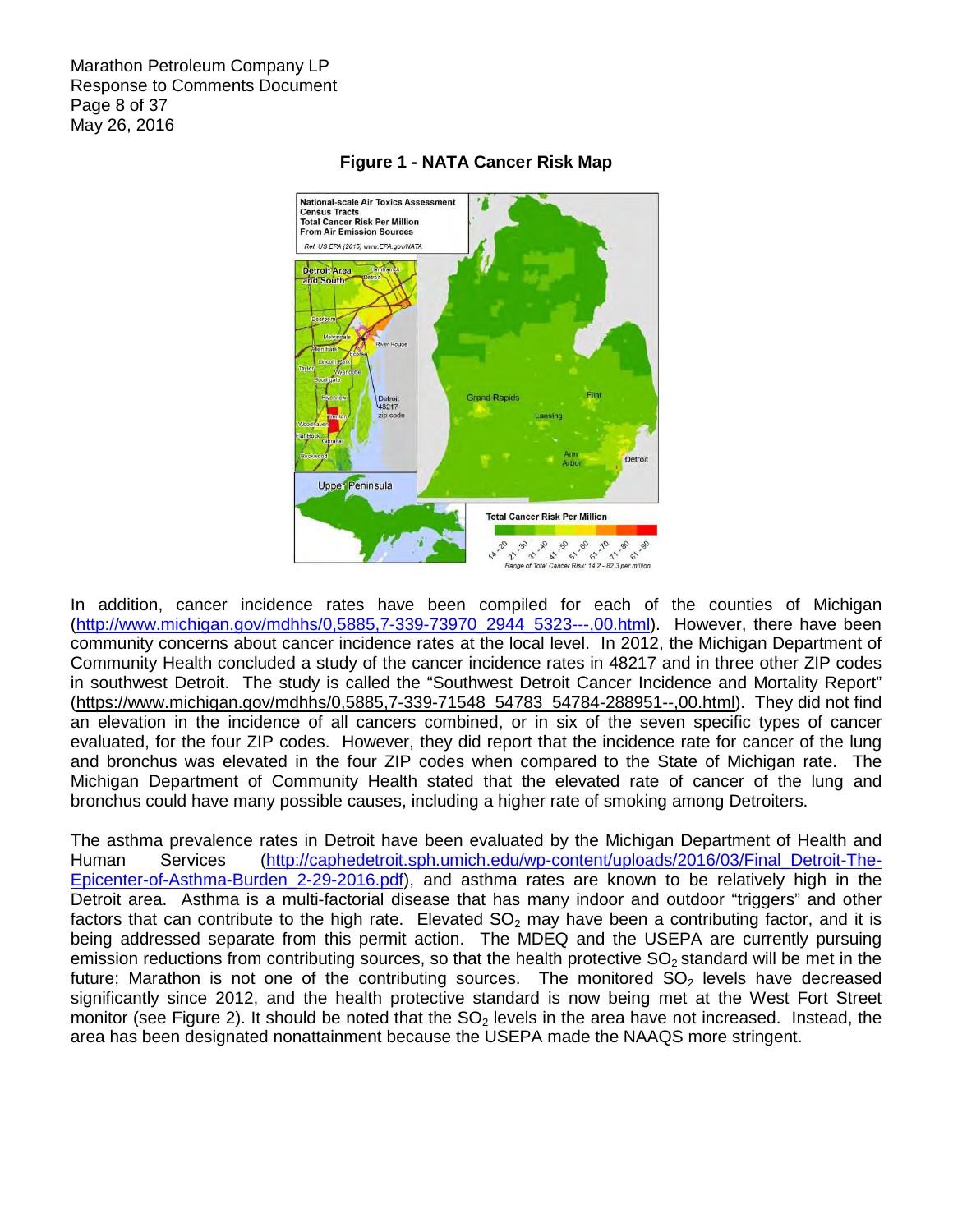Marathon Petroleum Company LP Response to Comments Document Page 8 of 37 May 26, 2016



# **Figure 1 - NATA Cancer Risk Map**

 In addition, cancer incidence rates have been compiled for each of the counties of Michigan [\(http://www.michigan.gov/mdhhs/0,5885,7-339-73970\\_2944\\_5323---,00](http://www.michigan.gov/mdhhs/0,5885,7-339-73970_2944_5323---).html). However, there have been community concerns about cancer incidence rates at the local level. In 2012, the Michigan Department of Community Health concluded a study of the cancer incidence rates in 48217 and in three other ZIP codes in southwest Detroit. The study is called the "Southwest Detroit Cancer Incidence and Mortality Report" [\(https://www.michigan.gov/mdhhs/0,5885,7-339-71548\\_54783\\_54784-288951--,00](https://www.michigan.gov/mdhhs/0,5885,7-339-71548_54783_54784-288951--).html). They did not find an elevation in the incidence of all cancers combined, or in six of the seven specific types of cancer evaluated, for the four ZIP codes. However, they did report that the incidence rate for cancer of the lung and bronchus was elevated in the four ZIP codes when compared to the State of Michigan rate. The Michigan Department of Community Health stated that the elevated rate of cancer of the lung and bronchus could have many possible causes, including a higher rate of smoking among Detroiters.

 The asthma prevalence rates in Detroit have been evaluated by the Michigan Department of Health and [Epicenter-of-Asthma-Burden\\_2-29-2016.pdf\), a](http://caphedetroit.sph.umich.edu/wp-content/uploads/2016/03/Final_Detroit-The-Epicenter-of-Asthma-Burden_2-29-2016.pdf)nd asthma rates are known to be relatively high in the Detroit area. Asthma is a multi-factorial disease that has many indoor and outdoor "triggers" and other factors that can contribute to the high rate. Elevated  $SO_2$  may have been a contributing factor, and it is being addressed separate from this permit action. The MDEQ and the USEPA are currently pursuing emission reductions from contributing sources, so that the health protective  $SO_2$ standard will be met in the future; Marathon is not one of the contributing sources. The monitored  $SO<sub>2</sub>$  levels have decreased significantly since 2012, and the health protective standard is now being met at the West Fort Street monitor (see Figure 2). It should be noted that the  $SO<sub>2</sub>$  levels in the area have not increased. Instead, the area has been designated nonattainment because the USEPA made the NAAQS more stringent. Human Services [\(http://caphedetroit.sph.umich.edu/wp-content/uploads/2016/03/Final\\_Detroit-The-](http://caphedetroit.sph.umich.edu/wp-content/uploads/2016/03/Final_Detroit-The-Epicenter-of-Asthma-Burden_2-29-2016.pdf)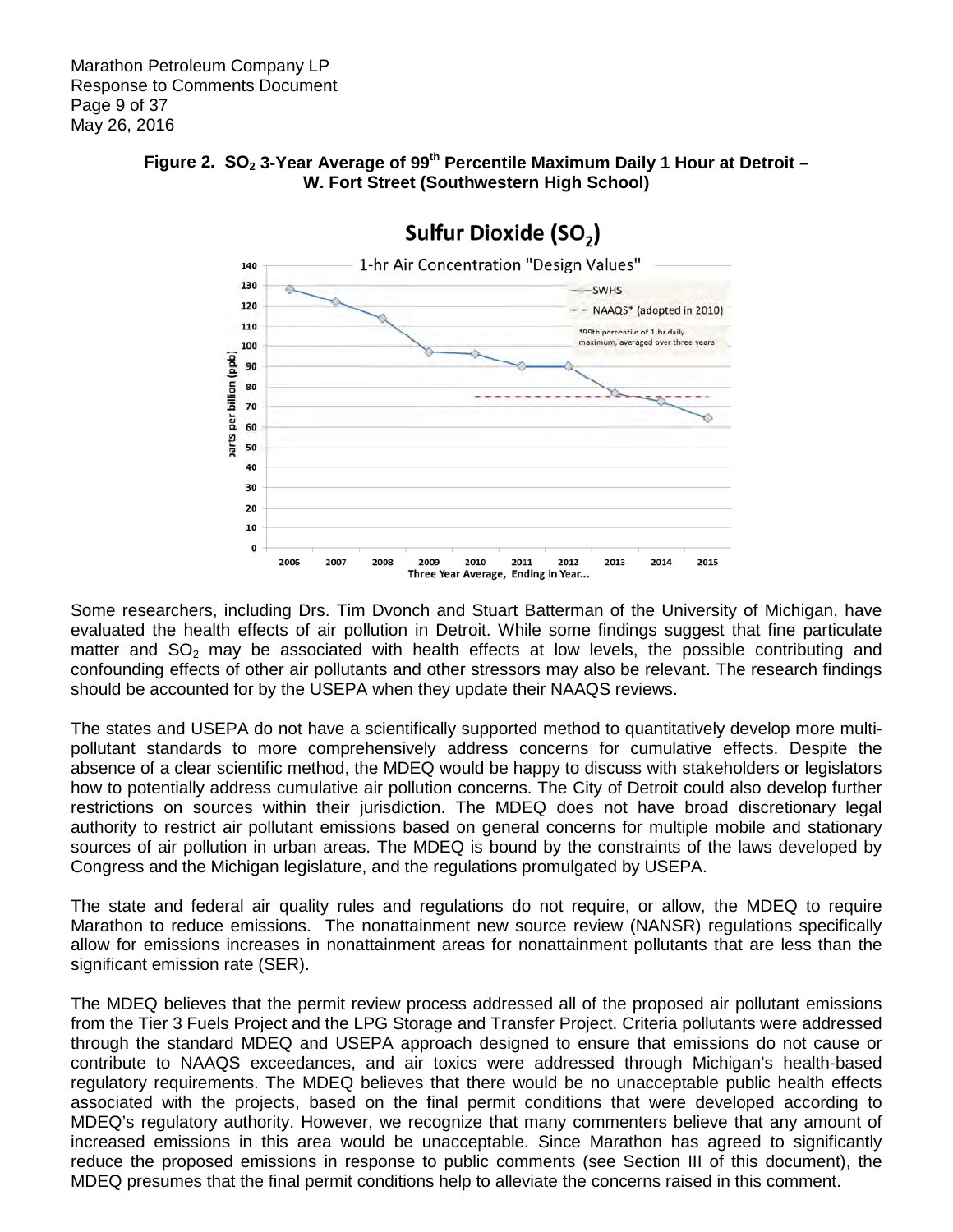

# Figure 2. SO<sub>2</sub> 3-Year Average of 99<sup>th</sup> Percentile Maximum Daily 1 Hour at Detroit - **W. Fort Street (Southwestern High School)**

 Some researchers, including Drs. Tim Dvonch and Stuart Batterman of the University of Michigan, have evaluated the health effects of air pollution in Detroit. While some findings suggest that fine particulate matter and  $SO_2$  may be associated with health effects at low levels, the possible contributing and confounding effects of other air pollutants and other stressors may also be relevant. The research findings should be accounted for by the USEPA when they update their NAAQS reviews.

 The states and USEPA do not have a scientifically supported method to quantitatively develop more multi- pollutant standards to more comprehensively address concerns for cumulative effects. Despite the absence of a clear scientific method, the MDEQ would be happy to discuss with stakeholders or legislators how to potentially address cumulative air pollution concerns. The City of Detroit could also develop further restrictions on sources within their jurisdiction. The MDEQ does not have broad discretionary legal authority to restrict air pollutant emissions based on general concerns for multiple mobile and stationary sources of air pollution in urban areas. The MDEQ is bound by the constraints of the laws developed by Congress and the Michigan legislature, and the regulations promulgated by USEPA.

 The state and federal air quality rules and regulations do not require, or allow, the MDEQ to require Marathon to reduce emissions. The nonattainment new source review (NANSR) regulations specifically allow for emissions increases in nonattainment areas for nonattainment pollutants that are less than the significant emission rate (SER).

 The MDEQ believes that the permit review process addressed all of the proposed air pollutant emissions from the Tier 3 Fuels Project and the LPG Storage and Transfer Project. Criteria pollutants were addressed through the standard MDEQ and USEPA approach designed to ensure that emissions do not cause or contribute to NAAQS exceedances, and air toxics were addressed through Michigan's health-based regulatory requirements. The MDEQ believes that there would be no unacceptable public health effects associated with the projects, based on the final permit conditions that were developed according to MDEQ's regulatory authority. However, we recognize that many commenters believe that any amount of increased emissions in this area would be unacceptable. Since Marathon has agreed to significantly reduce the proposed emissions in response to public comments (see Section III of this document), the MDEQ presumes that the final permit conditions help to alleviate the concerns raised in this comment.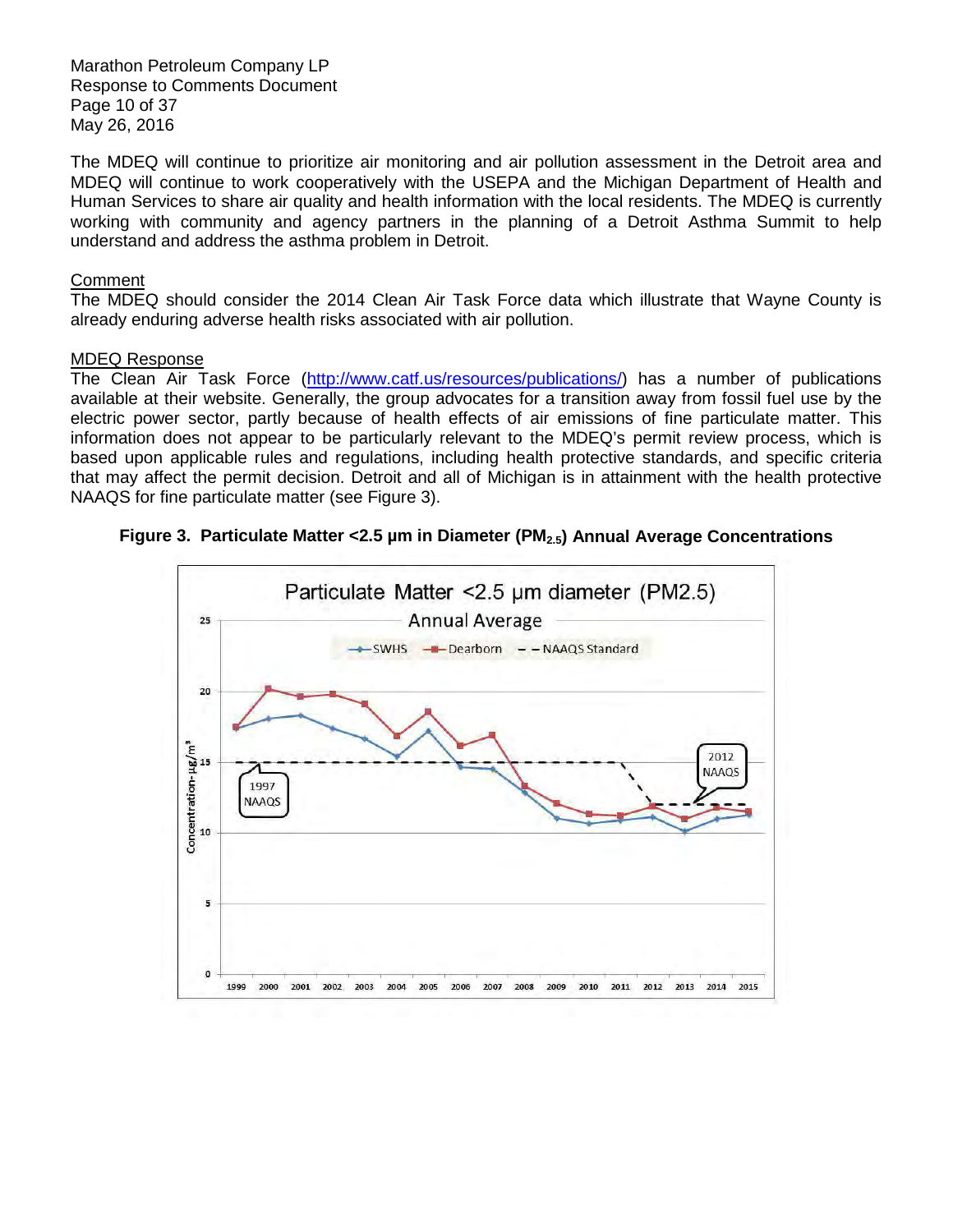Marathon Petroleum Company LP Response to Comments Document Page 10 of 37 May 26, 2016

 The MDEQ will continue to prioritize air monitoring and air pollution assessment in the Detroit area and MDEQ will continue to work cooperatively with the USEPA and the Michigan Department of Health and Human Services to share air quality and health information with the local residents. The MDEQ is currently working with community and agency partners in the planning of a Detroit Asthma Summit to help understand and address the asthma problem in Detroit.

# **Comment**

 The MDEQ should consider the 2014 Clean Air Task Force data which illustrate that Wayne County is already enduring adverse health risks associated with air pollution.

#### MDEQ Response

The Clean Air Task Force [\(http://www.catf.us/resources/publications/\) h](http://www.catf.us/resources/publications/)as a number of publications available at their website. Generally, the group advocates for a transition away from fossil fuel use by the electric power sector, partly because of health effects of air emissions of fine particulate matter. This information does not appear to be particularly relevant to the MDEQ's permit review process, which is based upon applicable rules and regulations, including health protective standards, and specific criteria that may affect the permit decision. Detroit and all of Michigan is in attainment with the health protective NAAQS for fine particulate matter (see Figure 3).



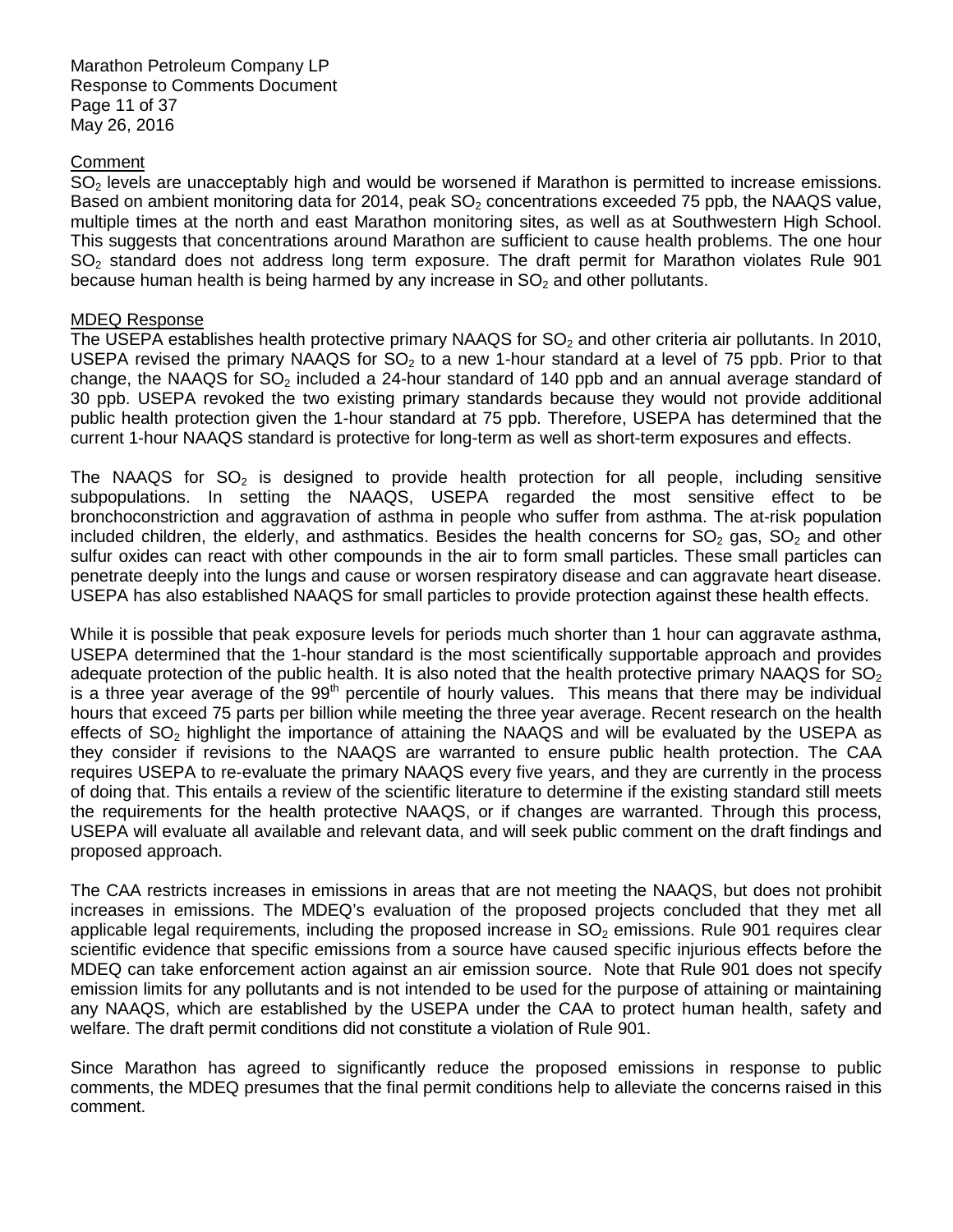Marathon Petroleum Company LP Response to Comments Document Page 11 of 37 May 26, 2016

# **Comment**

 $SO<sub>2</sub>$  levels are unacceptably high and would be worsened if Marathon is permitted to increase emissions. Based on ambient monitoring data for 2014, peak  $SO<sub>2</sub>$  concentrations exceeded 75 ppb, the NAAQS value, multiple times at the north and east Marathon monitoring sites, as well as at Southwestern High School. This suggests that concentrations around Marathon are sufficient to cause health problems. The one hour  $SO<sub>2</sub>$  standard does not address long term exposure. The draft permit for Marathon violates Rule 901 because human health is being harmed by any increase in  $SO<sub>2</sub>$  and other pollutants.

### MDEQ Response

The USEPA establishes health protective primary NAAQS for  $SO_2$  and other criteria air pollutants. In 2010, USEPA revised the primary NAAQS for  $SO<sub>2</sub>$  to a new 1-hour standard at a level of 75 ppb. Prior to that change, the NAAQS for SO<sub>2</sub> included a 24-hour standard of 140 ppb and an annual average standard of 30 ppb. USEPA revoked the two existing primary standards because they would not provide additional public health protection given the 1-hour standard at 75 ppb. Therefore, USEPA has determined that the current 1-hour NAAQS standard is protective for long-term as well as short-term exposures and effects.

The NAAQS for  $SO_2$  is designed to provide health protection for all people, including sensitive subpopulations. In setting the NAAQS, USEPA regarded the most sensitive effect to be bronchoconstriction and aggravation of asthma in people who suffer from asthma. The at-risk population included children, the elderly, and asthmatics. Besides the health concerns for  $SO_2$  gas,  $SO_2$  and other sulfur oxides can react with other compounds in the air to form small particles. These small particles can penetrate deeply into the lungs and cause or worsen respiratory disease and can aggravate heart disease. USEPA has also established NAAQS for small particles to provide protection against these health effects.

 While it is possible that peak exposure levels for periods much shorter than 1 hour can aggravate asthma, USEPA determined that the 1-hour standard is the most scientifically supportable approach and provides adequate protection of the public health. It is also noted that the health protective primary NAAQS for SO<sub>2</sub> is a three year average of the 99<sup>th</sup> percentile of hourly values. This means that there may be individual hours that exceed 75 parts per billion while meeting the three year average. Recent research on the health effects of  $SO<sub>2</sub>$  highlight the importance of attaining the NAAQS and will be evaluated by the USEPA as they consider if revisions to the NAAQS are warranted to ensure public health protection. The CAA requires USEPA to re-evaluate the primary NAAQS every five years, and they are currently in the process of doing that. This entails a review of the scientific literature to determine if the existing standard still meets the requirements for the health protective NAAQS, or if changes are warranted. Through this process, USEPA will evaluate all available and relevant data, and will seek public comment on the draft findings and proposed approach.

 The CAA restricts increases in emissions in areas that are not meeting the NAAQS, but does not prohibit increases in emissions. The MDEQ's evaluation of the proposed projects concluded that they met all applicable legal requirements, including the proposed increase in  $SO<sub>2</sub>$  emissions. Rule 901 requires clear scientific evidence that specific emissions from a source have caused specific injurious effects before the MDEQ can take enforcement action against an air emission source. Note that Rule 901 does not specify emission limits for any pollutants and is not intended to be used for the purpose of attaining or maintaining any NAAQS, which are established by the USEPA under the CAA to protect human health, safety and welfare. The draft permit conditions did not constitute a violation of Rule 901.

 Since Marathon has agreed to significantly reduce the proposed emissions in response to public comments, the MDEQ presumes that the final permit conditions help to alleviate the concerns raised in this comment.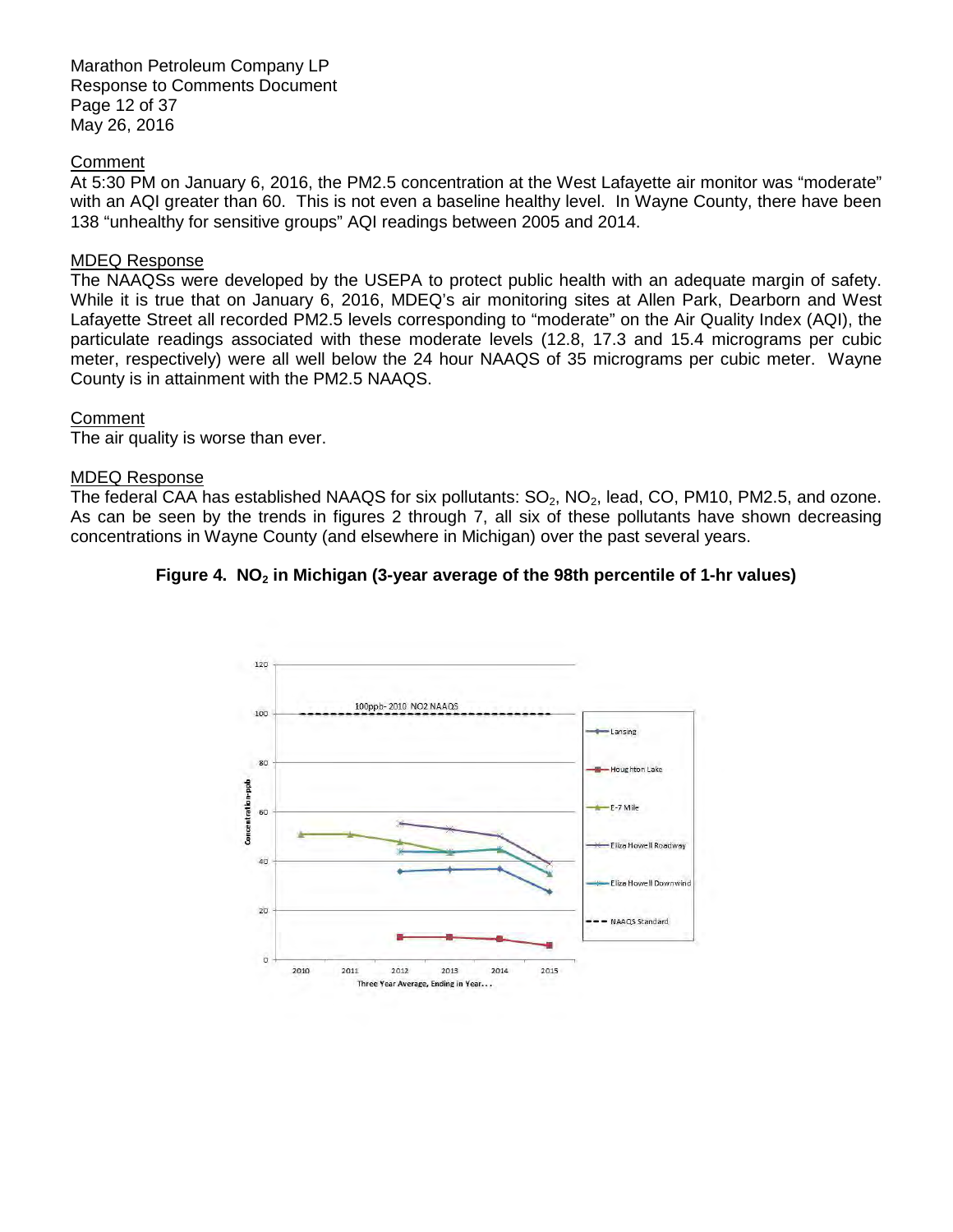Marathon Petroleum Company LP Response to Comments Document Page 12 of 37 May 26, 2016

### **Comment**

 At 5:30 PM on January 6, 2016, the PM2.5 concentration at the West Lafayette air monitor was "moderate" with an AQI greater than 60. This is not even a baseline healthy level. In Wayne County, there have been 138 "unhealthy for sensitive groups" AQI readings between 2005 and 2014.

### MDEQ Response

 The NAAQSs were developed by the USEPA to protect public health with an adequate margin of safety. While it is true that on January 6, 2016, MDEQ's air monitoring sites at Allen Park, Dearborn and West Lafayette Street all recorded PM2.5 levels corresponding to "moderate" on the Air Quality Index (AQI), the particulate readings associated with these moderate levels (12.8, 17.3 and 15.4 micrograms per cubic meter, respectively) were all well below the 24 hour NAAQS of 35 micrograms per cubic meter. Wayne County is in attainment with the PM2.5 NAAQS.

# **Comment**

The air quality is worse than ever.

#### MDEQ Response

The federal CAA has established NAAQS for six pollutants:  $SO_2$ , NO<sub>2</sub>, lead, CO, PM10, PM2.5, and ozone. As can be seen by the trends in figures 2 through 7, all six of these pollutants have shown decreasing concentrations in Wayne County (and elsewhere in Michigan) over the past several years.

# Figure 4. NO<sub>2</sub> in Michigan (3-year average of the 98th percentile of 1-hr values)

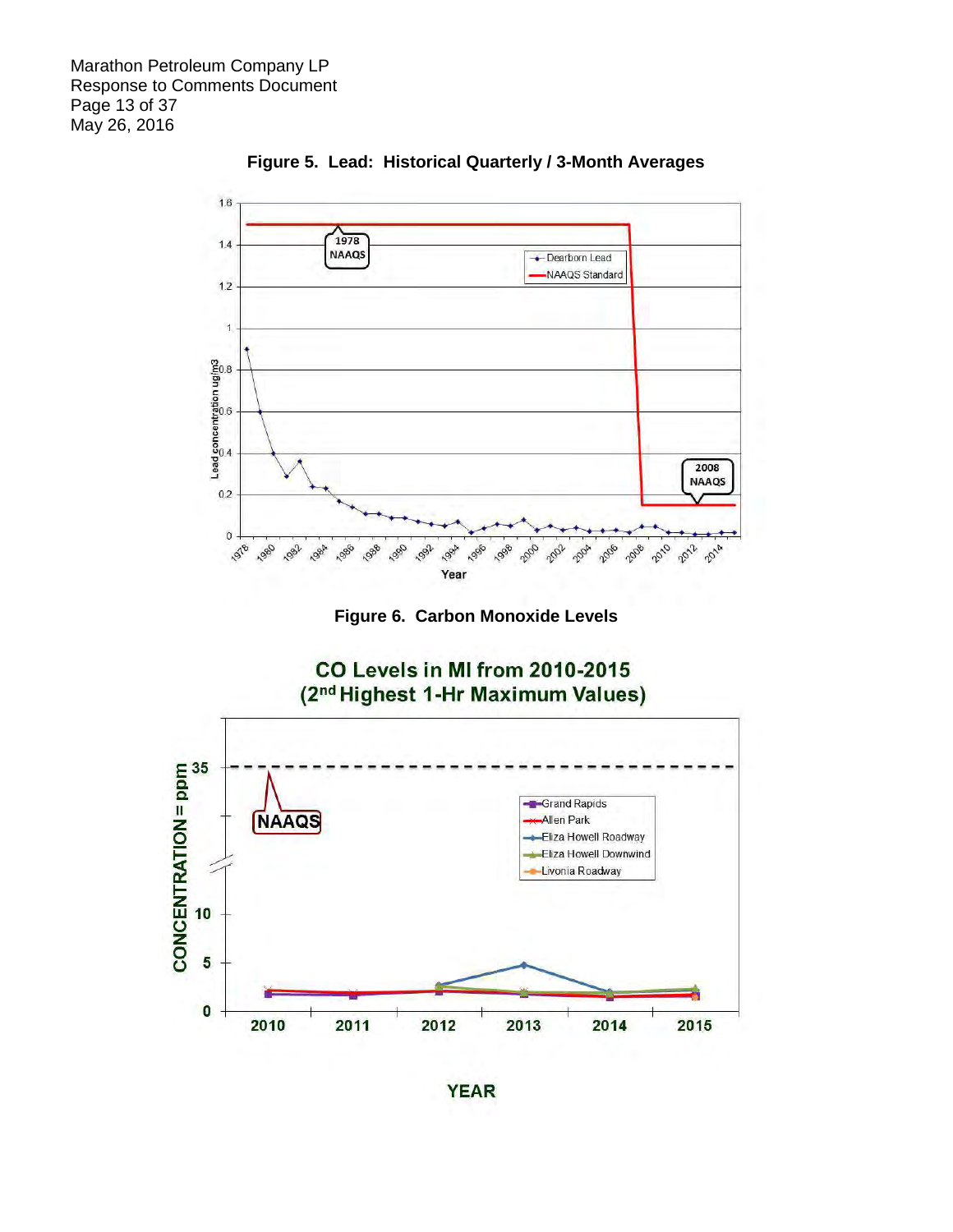

 **Figure 5. Lead: Historical Quarterly / 3-Month Averages** 





**YEAR**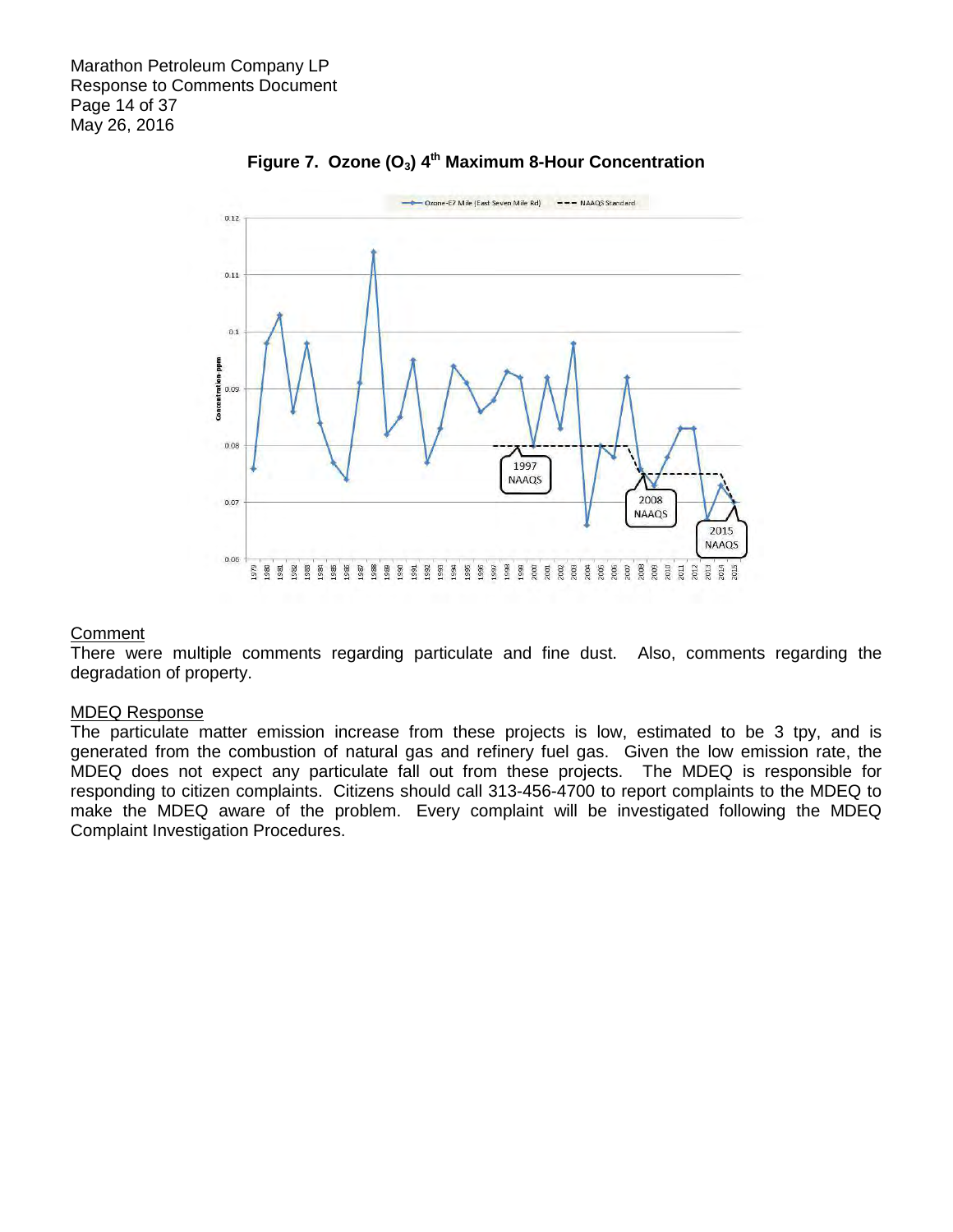

# Figure 7. Ozone (O<sub>3</sub>) 4<sup>th</sup> Maximum 8-Hour Concentration

#### **Comment**

 There were multiple comments regarding particulate and fine dust. Also, comments regarding the degradation of property.

#### MDEQ Response

 The particulate matter emission increase from these projects is low, estimated to be 3 tpy, and is generated from the combustion of natural gas and refinery fuel gas. Given the low emission rate, the MDEQ does not expect any particulate fall out from these projects. The MDEQ is responsible for responding to citizen complaints. Citizens should call 313-456-4700 to report complaints to the MDEQ to make the MDEQ aware of the problem. Every complaint will be investigated following the MDEQ Complaint Investigation Procedures.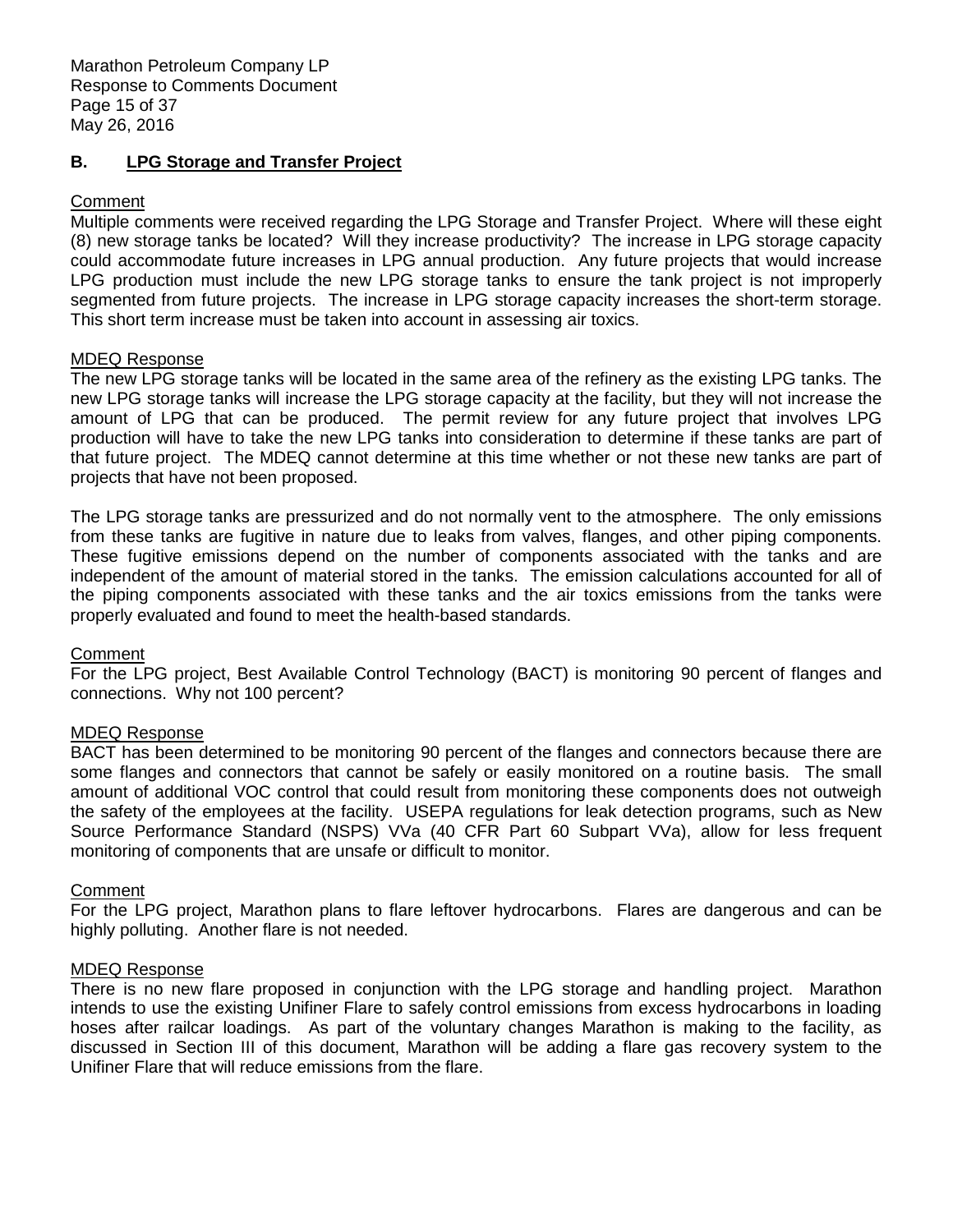#### **B. LPG Storage and Transfer Project**

# **Comment**

 Multiple comments were received regarding the LPG Storage and Transfer Project. Where will these eight (8) new storage tanks be located? Will they increase productivity? The increase in LPG storage capacity could accommodate future increases in LPG annual production. Any future projects that would increase LPG production must include the new LPG storage tanks to ensure the tank project is not improperly segmented from future projects. The increase in LPG storage capacity increases the short-term storage. This short term increase must be taken into account in assessing air toxics.

### MDEQ Response

 The new LPG storage tanks will be located in the same area of the refinery as the existing LPG tanks. The new LPG storage tanks will increase the LPG storage capacity at the facility, but they will not increase the amount of LPG that can be produced. The permit review for any future project that involves LPG production will have to take the new LPG tanks into consideration to determine if these tanks are part of that future project. The MDEQ cannot determine at this time whether or not these new tanks are part of projects that have not been proposed.

 The LPG storage tanks are pressurized and do not normally vent to the atmosphere. The only emissions from these tanks are fugitive in nature due to leaks from valves, flanges, and other piping components. These fugitive emissions depend on the number of components associated with the tanks and are independent of the amount of material stored in the tanks. The emission calculations accounted for all of the piping components associated with these tanks and the air toxics emissions from the tanks were properly evaluated and found to meet the health-based standards.

#### **Comment**

 For the LPG project, Best Available Control Technology (BACT) is monitoring 90 percent of flanges and connections. Why not 100 percent?

# MDEQ Response

 BACT has been determined to be monitoring 90 percent of the flanges and connectors because there are some flanges and connectors that cannot be safely or easily monitored on a routine basis. The small amount of additional VOC control that could result from monitoring these components does not outweigh the safety of the employees at the facility. USEPA regulations for leak detection programs, such as New Source Performance Standard (NSPS) VVa (40 CFR Part 60 Subpart VVa), allow for less frequent monitoring of components that are unsafe or difficult to monitor.

# **Comment**

 For the LPG project, Marathon plans to flare leftover hydrocarbons. Flares are dangerous and can be highly polluting. Another flare is not needed.

#### MDEQ Response

 There is no new flare proposed in conjunction with the LPG storage and handling project. Marathon intends to use the existing Unifiner Flare to safely control emissions from excess hydrocarbons in loading hoses after railcar loadings. As part of the voluntary changes Marathon is making to the facility, as discussed in Section III of this document, Marathon will be adding a flare gas recovery system to the Unifiner Flare that will reduce emissions from the flare.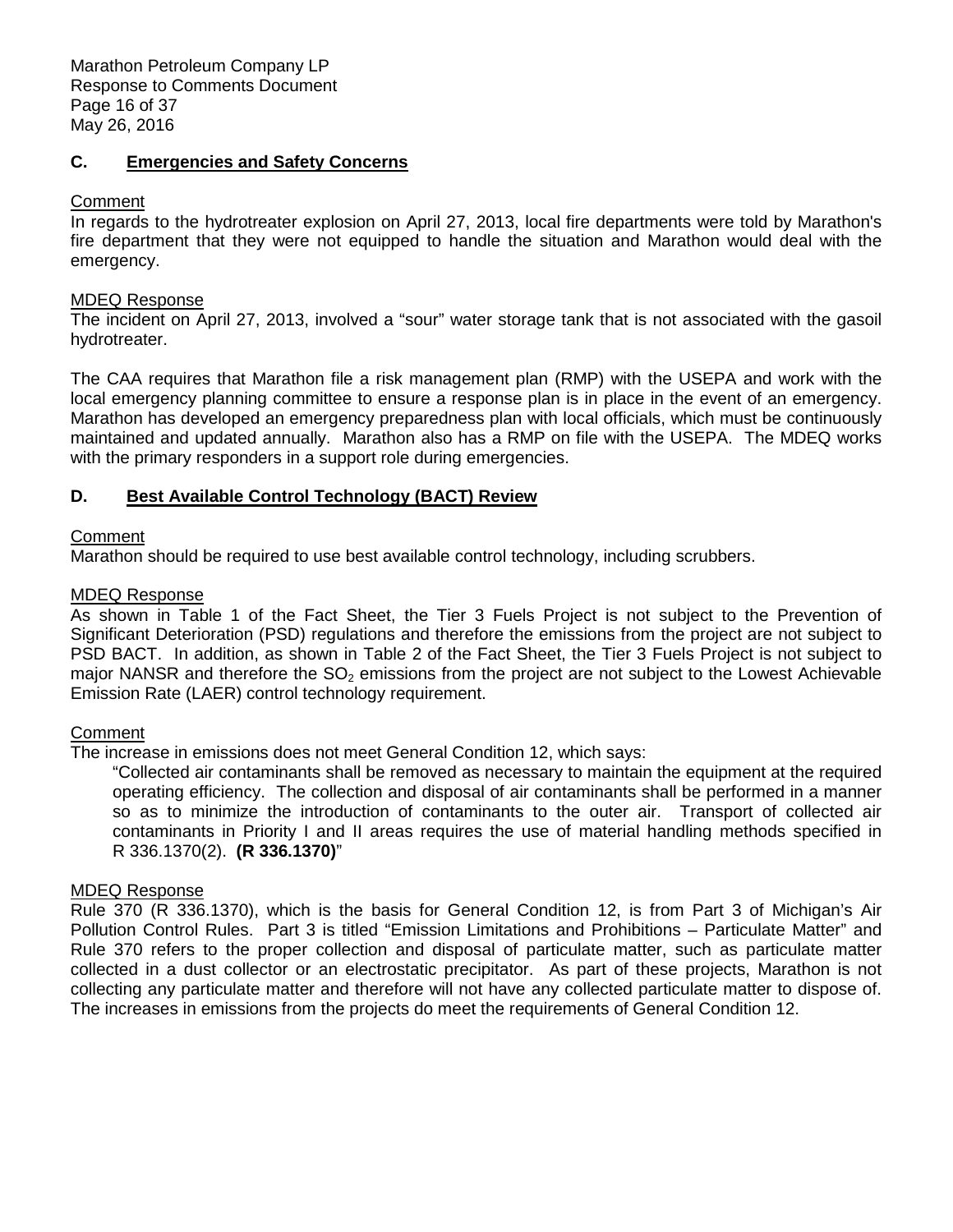Marathon Petroleum Company LP Response to Comments Document Page 16 of 37 May 26, 2016

# **C. Emergencies and Safety Concerns**

# **Comment**

 In regards to the hydrotreater explosion on April 27, 2013, local fire departments were told by Marathon's fire department that they were not equipped to handle the situation and Marathon would deal with the emergency.

# MDEQ Response

 The incident on April 27, 2013, involved a "sour" water storage tank that is not associated with the gasoil hydrotreater.

 The CAA requires that Marathon file a risk management plan (RMP) with the USEPA and work with the local emergency planning committee to ensure a response plan is in place in the event of an emergency. Marathon has developed an emergency preparedness plan with local officials, which must be continuously maintained and updated annually. Marathon also has a RMP on file with the USEPA. The MDEQ works with the primary responders in a support role during emergencies.

#### **D. D. Best Available Control Technology (BACT) Review**

# **Comment**

Marathon should be required to use best available control technology, including scrubbers.

### MDEQ Response

 As shown in Table 1 of the Fact Sheet, the Tier 3 Fuels Project is not subject to the Prevention of Significant Deterioration (PSD) regulations and therefore the emissions from the project are not subject to PSD BACT. In addition, as shown in Table 2 of the Fact Sheet, the Tier 3 Fuels Project is not subject to major NANSR and therefore the  $SO<sub>2</sub>$  emissions from the project are not subject to the Lowest Achievable Emission Rate (LAER) control technology requirement.

# **Comment**

The increase in emissions does not meet General Condition 12, which says:

 "Collected air contaminants shall be removed as necessary to maintain the equipment at the required operating efficiency. The collection and disposal of air contaminants shall be performed in a manner so as to minimize the introduction of contaminants to the outer air. Transport of collected air contaminants in Priority I and II areas requires the use of material handling methods specified in R 336.1370(2). **(R 336.1370)**"

# MDEQ Response

 Rule 370 (R 336.1370), which is the basis for General Condition 12, is from Part 3 of Michigan's Air Pollution Control Rules. Part 3 is titled "Emission Limitations and Prohibitions – Particulate Matter" and Rule 370 refers to the proper collection and disposal of particulate matter, such as particulate matter collected in a dust collector or an electrostatic precipitator. As part of these projects, Marathon is not collecting any particulate matter and therefore will not have any collected particulate matter to dispose of. The increases in emissions from the projects do meet the requirements of General Condition 12.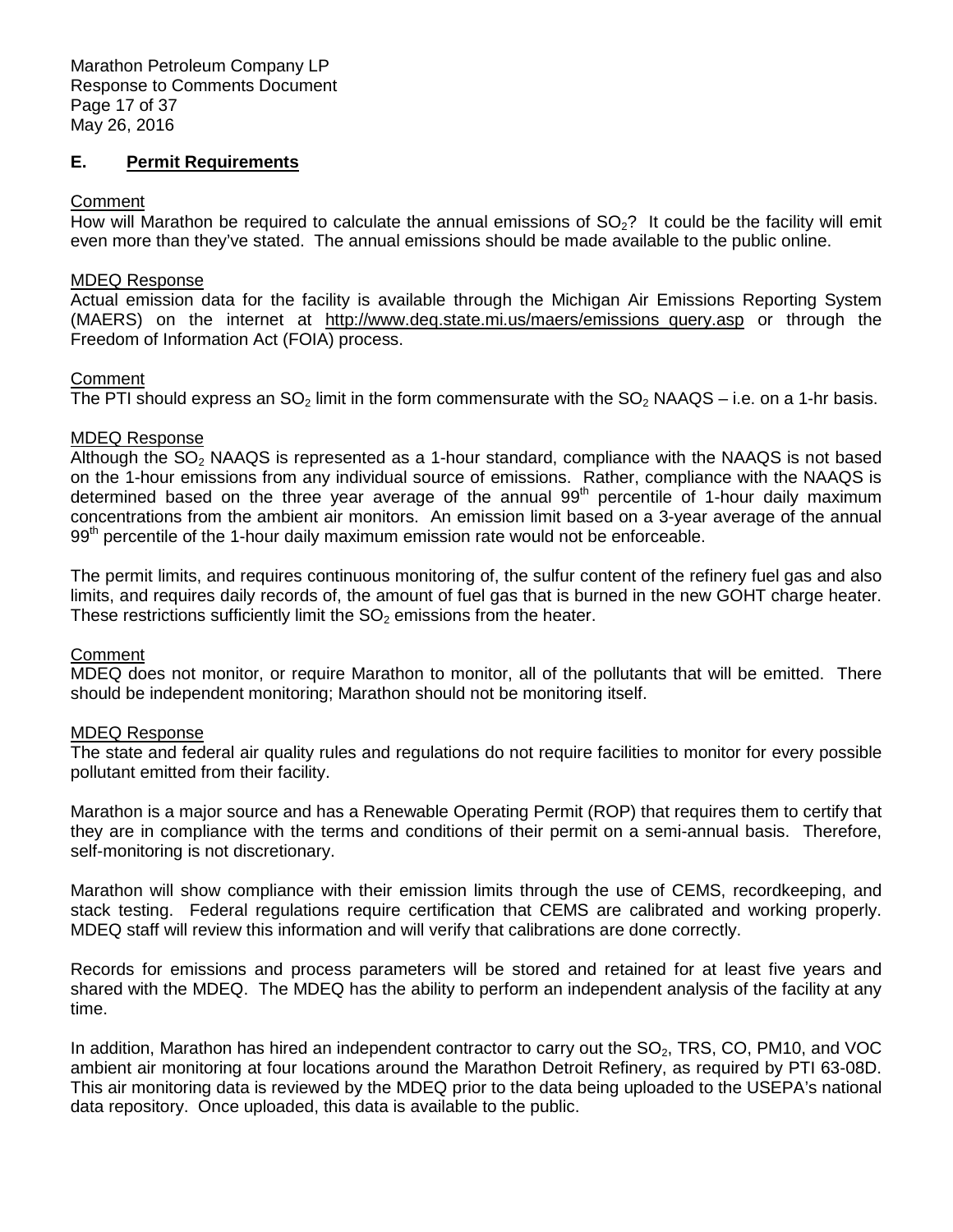### **E. Permit Requirements**

#### **Comment**

How will Marathon be required to calculate the annual emissions of  $SO<sub>2</sub>$ ? It could be the facility will emit even more than they've stated. The annual emissions should be made available to the public online.

#### MDEQ Response

 Actual emission data for the facility is available through the Michigan Air Emissions Reporting System (MAERS) on the internet at [http://www.deq.state.mi.us/maers/emissions\\_query.asp o](http://www.deq.state.mi.us/maers/emissions_query.asp)r through the Freedom of Information Act (FOIA) process.

### Comment

The PTI should express an SO<sub>2</sub> limit in the form commensurate with the SO<sub>2</sub> NAAQS – i.e. on a 1-hr basis.

### MDEQ Response

Although the  $SO_2$  NAAQS is represented as a 1-hour standard, compliance with the NAAQS is not based on the 1-hour emissions from any individual source of emissions. Rather, compliance with the NAAQS is determined based on the three year average of the annual 99<sup>th</sup> percentile of 1-hour daily maximum concentrations from the ambient air monitors. An emission limit based on a 3-year average of the annual  $99<sup>th</sup>$  percentile of the 1-hour daily maximum emission rate would not be enforceable.

 The permit limits, and requires continuous monitoring of, the sulfur content of the refinery fuel gas and also limits, and requires daily records of, the amount of fuel gas that is burned in the new GOHT charge heater. These restrictions sufficiently limit the  $SO<sub>2</sub>$  emissions from the heater.

#### **Comment**

 MDEQ does not monitor, or require Marathon to monitor, all of the pollutants that will be emitted. There should be independent monitoring; Marathon should not be monitoring itself.

# MDEQ Response

 The state and federal air quality rules and regulations do not require facilities to monitor for every possible pollutant emitted from their facility.

 Marathon is a major source and has a Renewable Operating Permit (ROP) that requires them to certify that they are in compliance with the terms and conditions of their permit on a semi-annual basis. Therefore, self-monitoring is not discretionary.

 Marathon will show compliance with their emission limits through the use of CEMS, recordkeeping, and stack testing. Federal regulations require certification that CEMS are calibrated and working properly. MDEQ staff will review this information and will verify that calibrations are done correctly.

 Records for emissions and process parameters will be stored and retained for at least five years and shared with the MDEQ. The MDEQ has the ability to perform an independent analysis of the facility at any time.

time.<br>In addition, Marathon has hired an independent contractor to carry out the SO<sub>2</sub>, TRS, CO, PM10, and VOC ambient air monitoring at four locations around the Marathon Detroit Refinery, as required by PTI 63-08D. This air monitoring data is reviewed by the MDEQ prior to the data being uploaded to the USEPA's national data repository. Once uploaded, this data is available to the public.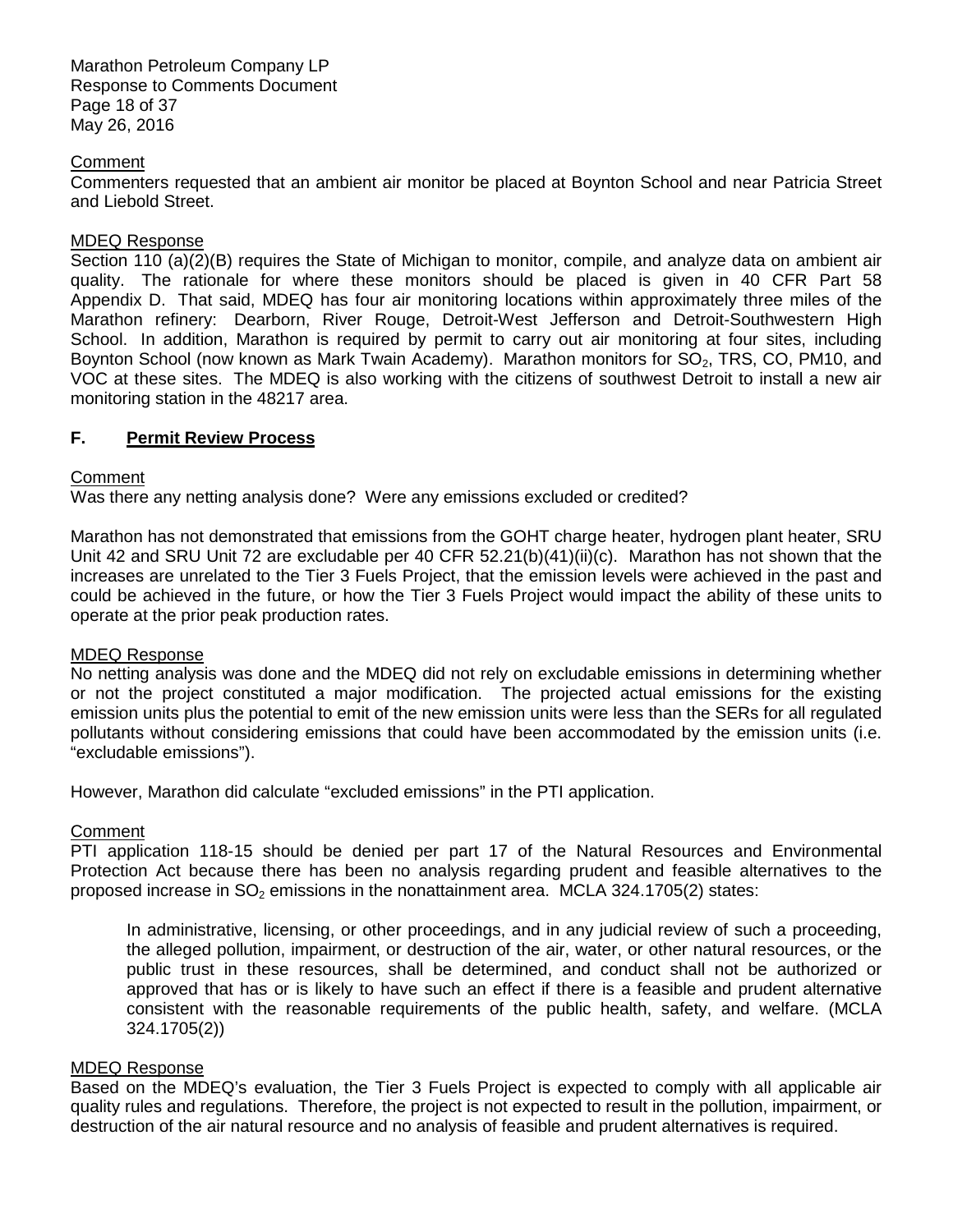Marathon Petroleum Company LP Response to Comments Document Page 18 of 37 May 26, 2016

#### **Comment**

 Commenters requested that an ambient air monitor be placed at Boynton School and near Patricia Street and Liebold Street.

### MDEQ Response

 Section 110 (a)(2)(B) requires the State of Michigan to monitor, compile, and analyze data on ambient air quality. The rationale for where these monitors should be placed is given in 40 CFR Part 58 Appendix D. That said, MDEQ has four air monitoring locations within approximately three miles of the Marathon refinery: Dearborn, River Rouge, Detroit-West Jefferson and Detroit-Southwestern High School. In addition, Marathon is required by permit to carry out air monitoring at four sites, including Boynton School (now known as Mark Twain Academy). Marathon monitors for  $SO_2$ , TRS, CO, PM10, and VOC at these sites. The MDEQ is also working with the citizens of southwest Detroit to install a new air monitoring station in the 48217 area.

### **F. Permit Review Process**

# **Comment**

Was there any netting analysis done? Were any emissions excluded or credited?

 Marathon has not demonstrated that emissions from the GOHT charge heater, hydrogen plant heater, SRU Unit 42 and SRU Unit 72 are excludable per 40 CFR 52.21(b)(41)(ii)(c). Marathon has not shown that the increases are unrelated to the Tier 3 Fuels Project, that the emission levels were achieved in the past and could be achieved in the future, or how the Tier 3 Fuels Project would impact the ability of these units to operate at the prior peak production rates.

#### MDEQ Response

 No netting analysis was done and the MDEQ did not rely on excludable emissions in determining whether or not the project constituted a major modification. The projected actual emissions for the existing emission units plus the potential to emit of the new emission units were less than the SERs for all regulated pollutants without considering emissions that could have been accommodated by the emission units (i.e. "excludable emissions").

However, Marathon did calculate "excluded emissions" in the PTI application.

# **Comment**

 PTI application 118-15 should be denied per part 17 of the Natural Resources and Environmental Protection Act because there has been no analysis regarding prudent and feasible alternatives to the proposed increase in  $SO<sub>2</sub>$  emissions in the nonattainment area. MCLA 324.1705(2) states:

 In administrative, licensing, or other proceedings, and in any judicial review of such a proceeding, the alleged pollution, impairment, or destruction of the air, water, or other natural resources, or the public trust in these resources, shall be determined, and conduct shall not be authorized or approved that has or is likely to have such an effect if there is a feasible and prudent alternative consistent with the reasonable requirements of the public health, safety, and welfare. (MCLA 324.1705(2))

#### MDEQ Response

 Based on the MDEQ's evaluation, the Tier 3 Fuels Project is expected to comply with all applicable air quality rules and regulations. Therefore, the project is not expected to result in the pollution, impairment, or destruction of the air natural resource and no analysis of feasible and prudent alternatives is required.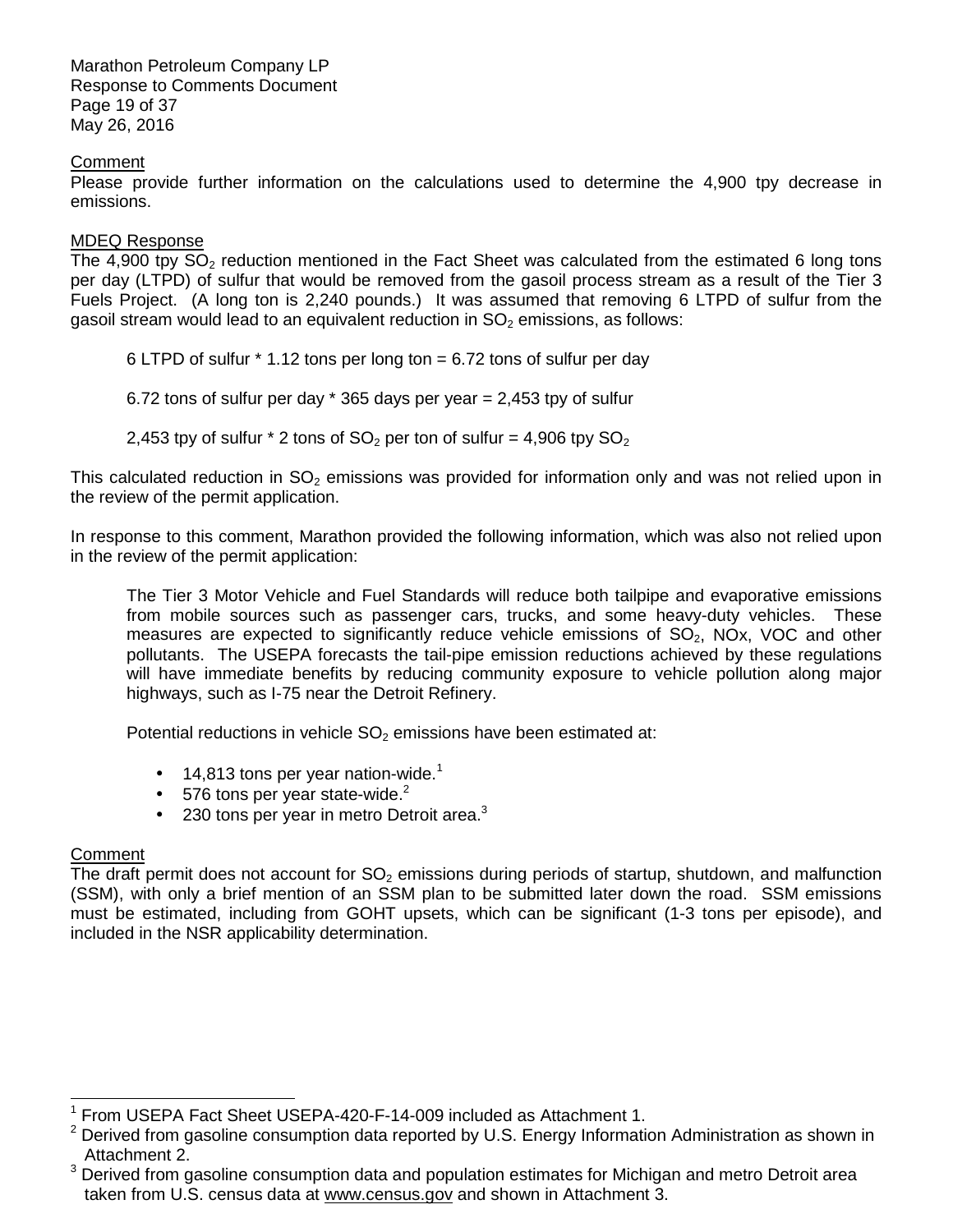Marathon Petroleum Company LP Response to Comments Document Page 19 of 37 May 26, 2016

### **Comment**

 Please provide further information on the calculations used to determine the 4,900 tpy decrease in emissions.

#### MDEQ Response

The 4,900 tpy  $SO_2$  reduction mentioned in the Fact Sheet was calculated from the estimated 6 long tons per day (LTPD) of sulfur that would be removed from the gasoil process stream as a result of the Tier 3 Fuels Project. (A long ton is 2,240 pounds.) It was assumed that removing 6 LTPD of sulfur from the gasoil stream would lead to an equivalent reduction in  $SO<sub>2</sub>$  emissions, as follows:

6 LTPD of sulfur \* 1.12 tons per long ton = 6.72 tons of sulfur per day

6.72 tons of sulfur per day \* 365 days per year = 2,453 tpy of sulfur

2,453 tpy of sulfur  $*$  2 tons of SO<sub>2</sub> per ton of sulfur = 4,906 tpy SO<sub>2</sub>

This calculated reduction in  $SO_2$  emissions was provided for information only and was not relied upon in the review of the permit application.

 In response to this comment, Marathon provided the following information, which was also not relied upon in the review of the permit application:

 The Tier 3 Motor Vehicle and Fuel Standards will reduce both tailpipe and evaporative emissions from mobile sources such as passenger cars, trucks, and some heavy-duty vehicles. These measures are expected to significantly reduce vehicle emissions of  $SO<sub>2</sub>$ , NOx, VOC and other pollutants. The USEPA forecasts the tail-pipe emission reductions achieved by these regulations will have immediate benefits by reducing community exposure to vehicle pollution along major highways, such as I-75 near the Detroit Refinery.

Potential reductions in vehicle  $SO<sub>2</sub>$  emissions have been estimated at:

- 14,813 tons per year nation-wide.<sup>1</sup>
- 576 tons per year state-wide. $2$
- 230 tons per year in metro Detroit area. $3$

# **Comment**

-

The draft permit does not account for  $SO_2$  emissions during periods of startup, shutdown, and malfunction (SSM), with only a brief mention of an SSM plan to be submitted later down the road. SSM emissions must be estimated, including from GOHT upsets, which can be significant (1-3 tons per episode), and included in the NSR applicability determination.

<sup>&</sup>lt;sup>1</sup> From USEPA Fact Sheet USEPA-420-F-14-009 included as Attachment 1.

 $2$  Derived from gasoline consumption data reported by U.S. Energy Information Administration as shown in Attachment 2.

 $3$  Derived from gasoline consumption data and population estimates for Michigan and metro Detroit area taken from U.S. census data at [www.census.gov an](http://www.census.gov)d shown in Attachment 3.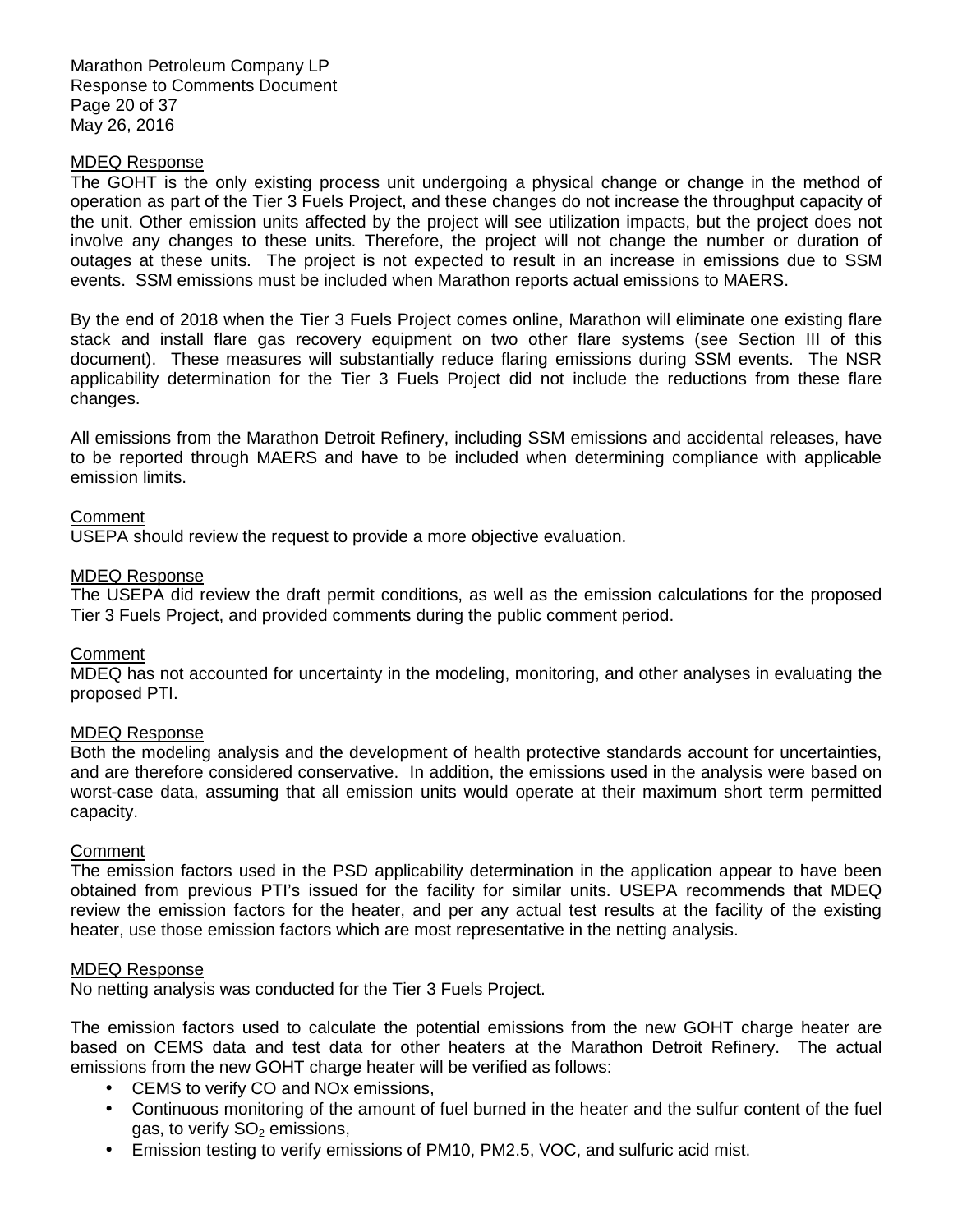Marathon Petroleum Company LP Response to Comments Document Page 20 of 37 May 26, 2016

#### MDEQ Response

 The GOHT is the only existing process unit undergoing a physical change or change in the method of operation as part of the Tier 3 Fuels Project, and these changes do not increase the throughput capacity of the unit. Other emission units affected by the project will see utilization impacts, but the project does not involve any changes to these units. Therefore, the project will not change the number or duration of outages at these units. The project is not expected to result in an increase in emissions due to SSM events. SSM emissions must be included when Marathon reports actual emissions to MAERS.

 By the end of 2018 when the Tier 3 Fuels Project comes online, Marathon will eliminate one existing flare stack and install flare gas recovery equipment on two other flare systems (see Section III of this document). These measures will substantially reduce flaring emissions during SSM events. The NSR applicability determination for the Tier 3 Fuels Project did not include the reductions from these flare changes.

changes.<br>All emissions from the Marathon Detroit Refinery, including SSM emissions and accidental releases, have to be reported through MAERS and have to be included when determining compliance with applicable emission limits.

# **Comment**

USEPA should review the request to provide a more objective evaluation.

#### MDEQ Response

 The USEPA did review the draft permit conditions, as well as the emission calculations for the proposed Tier 3 Fuels Project, and provided comments during the public comment period.

#### **Comment**

 MDEQ has not accounted for uncertainty in the modeling, monitoring, and other analyses in evaluating the proposed PTI.

#### MDEQ Response

 Both the modeling analysis and the development of health protective standards account for uncertainties, and are therefore considered conservative. In addition, the emissions used in the analysis were based on worst-case data, assuming that all emission units would operate at their maximum short term permitted capacity.

#### Comment

 The emission factors used in the PSD applicability determination in the application appear to have been obtained from previous PTI's issued for the facility for similar units. USEPA recommends that MDEQ review the emission factors for the heater, and per any actual test results at the facility of the existing heater, use those emission factors which are most representative in the netting analysis.

#### MDEQ Response

No netting analysis was conducted for the Tier 3 Fuels Project.

 The emission factors used to calculate the potential emissions from the new GOHT charge heater are based on CEMS data and test data for other heaters at the Marathon Detroit Refinery. The actual emissions from the new GOHT charge heater will be verified as follows:

- CEMS to verify CO and NOx emissions,
- • Continuous monitoring of the amount of fuel burned in the heater and the sulfur content of the fuel gas, to verify SO $_2$  emissions,
- Emission testing to verify emissions of PM10, PM2.5, VOC, and sulfuric acid mist.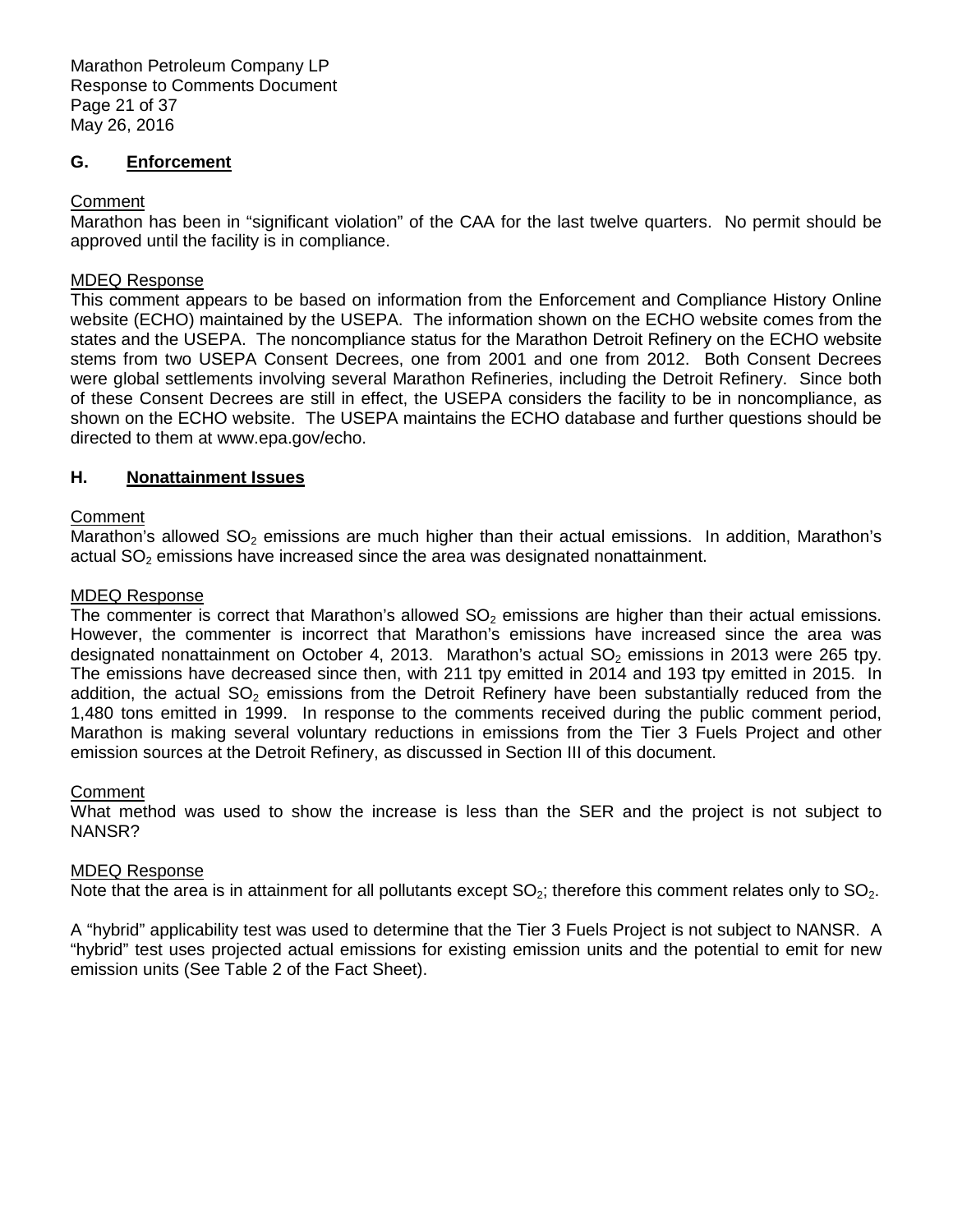Marathon Petroleum Company LP Response to Comments Document Page 21 of 37 May 26, 2016

### G. Enforcement

### **Comment**

 Marathon has been in "significant violation" of the CAA for the last twelve quarters. No permit should be approved until the facility is in compliance.

### MDEQ Response

 This comment appears to be based on information from the Enforcement and Compliance History Online website (ECHO) maintained by the USEPA. The information shown on the ECHO website comes from the states and the USEPA. The noncompliance status for the Marathon Detroit Refinery on the ECHO website stems from two USEPA Consent Decrees, one from 2001 and one from 2012. Both Consent Decrees were global settlements involving several Marathon Refineries, including the Detroit Refinery. Since both of these Consent Decrees are still in effect, the USEPA considers the facility to be in noncompliance, as shown on the ECHO website. The USEPA maintains the ECHO database and further questions should be directed to them at [www.epa.gov/echo.](http://www.epa.gov/echo) 

# **H. Nonattainment Issues**

# **Comment**

Marathon's allowed  $SO_2$  emissions are much higher than their actual emissions. In addition, Marathon's actual  $SO<sub>2</sub>$  emissions have increased since the area was designated nonattainment.

### MDEQ Response

The commenter is correct that Marathon's allowed  $SO<sub>2</sub>$  emissions are higher than their actual emissions. However, the commenter is incorrect that Marathon's emissions have increased since the area was designated nonattainment on October 4, 2013. Marathon's actual  $SO<sub>2</sub>$  emissions in 2013 were 265 tpy. The emissions have decreased since then, with 211 tpy emitted in 2014 and 193 tpy emitted in 2015. In addition, the actual SO<sub>2</sub> emissions from the Detroit Refinery have been substantially reduced from the 1,480 tons emitted in 1999. In response to the comments received during the public comment period, Marathon is making several voluntary reductions in emissions from the Tier 3 Fuels Project and other emission sources at the Detroit Refinery, as discussed in Section III of this document.

#### Comment

 What method was used to show the increase is less than the SER and the project is not subject to NANSR?

# MDEQ Response

Note that the area is in attainment for all pollutants except  $SO_2$ ; therefore this comment relates only to  $SO_2$ .

 A "hybrid" applicability test was used to determine that the Tier 3 Fuels Project is not subject to NANSR. A "hybrid" test uses projected actual emissions for existing emission units and the potential to emit for new emission units (See Table 2 of the Fact Sheet).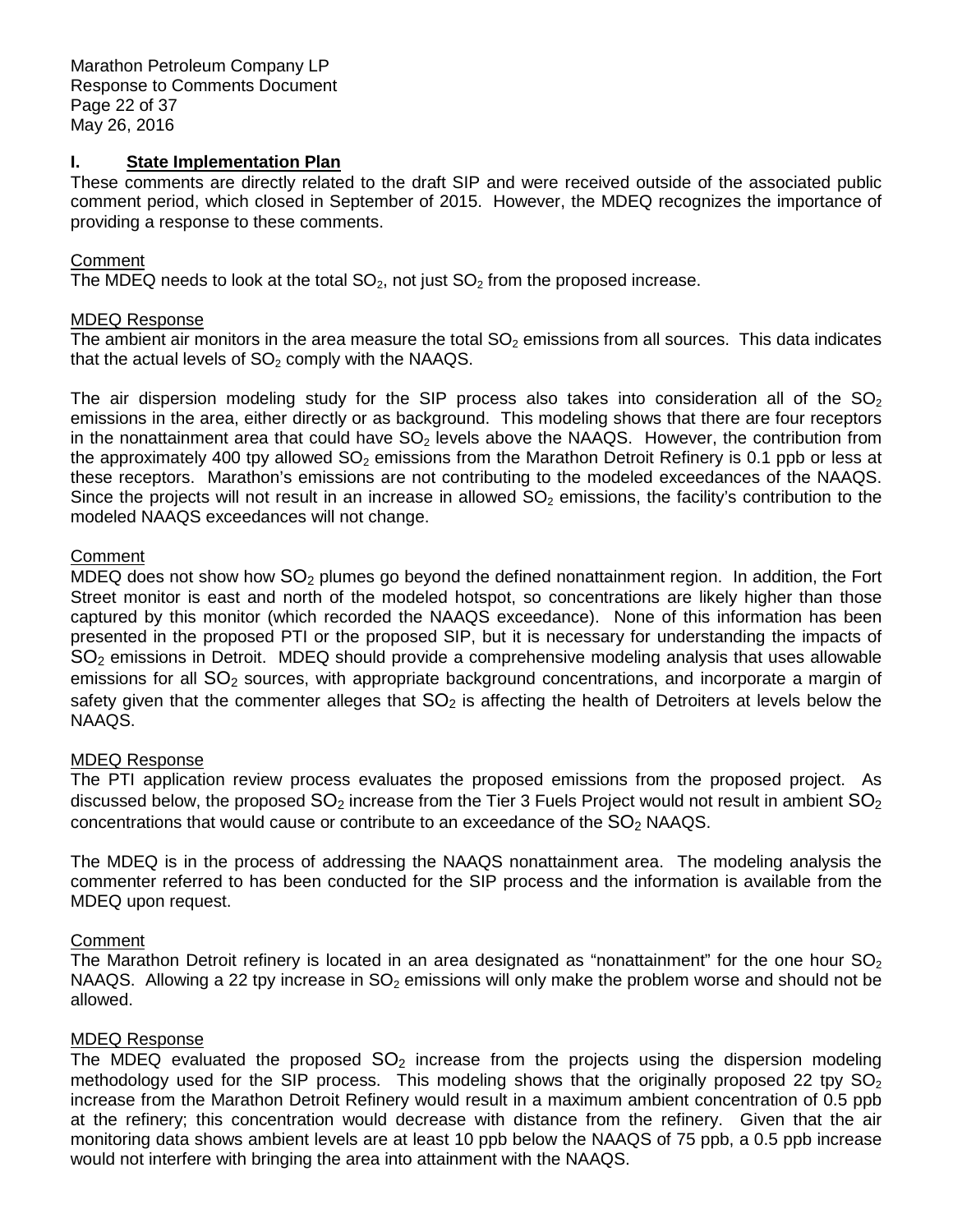Marathon Petroleum Company LP Response to Comments Document Page 22 of 37 May 26, 2016

#### **State Implementation Plan**

 These comments are directly related to the draft SIP and were received outside of the associated public comment period, which closed in September of 2015. However, the MDEQ recognizes the importance of providing a response to these comments.

### Comment

The MDEQ needs to look at the total  $SO_2$ , not just  $SO_2$  from the proposed increase.

#### MDEQ Response

The ambient air monitors in the area measure the total  $SO<sub>2</sub>$  emissions from all sources. This data indicates that the actual levels of  $SO<sub>2</sub>$  comply with the NAAQS.

The air dispersion modeling study for the SIP process also takes into consideration all of the SO<sub>2</sub> emissions in the area, either directly or as background. This modeling shows that there are four receptors in the nonattainment area that could have  $SO_2$  levels above the NAAQS. However, the contribution from the approximately 400 tpy allowed  $SO_2$  emissions from the Marathon Detroit Refinery is 0.1 ppb or less at these receptors. Marathon's emissions are not contributing to the modeled exceedances of the NAAQS. Since the projects will not result in an increase in allowed  $SO<sub>2</sub>$  emissions, the facility's contribution to the modeled NAAQS exceedances will not change.

### **Comment**

MDEQ does not show how  $SO_2$  plumes go beyond the defined nonattainment region. In addition, the Fort Street monitor is east and north of the modeled hotspot, so concentrations are likely higher than those captured by this monitor (which recorded the NAAQS exceedance). None of this information has been presented in the proposed PTI or the proposed SIP, but it is necessary for understanding the impacts of  $SO<sub>2</sub>$  emissions in Detroit. MDEQ should provide a comprehensive modeling analysis that uses allowable emissions for all  $SO_2$  sources, with appropriate background concentrations, and incorporate a margin of safety given that the commenter alleges that  $SO_2$  is affecting the health of Detroiters at levels below the NAAQS.

# MDEQ Response

 The PTI application review process evaluates the proposed emissions from the proposed project. As discussed below, the proposed  $SO_2$  increase from the Tier 3 Fuels Project would not result in ambient  $SO_2$ concentrations that would cause or contribute to an exceedance of the  $SO<sub>2</sub>$  NAAQS.

 The MDEQ is in the process of addressing the NAAQS nonattainment area. The modeling analysis the commenter referred to has been conducted for the SIP process and the information is available from the MDEQ upon request.

# **Comment**

The Marathon Detroit refinery is located in an area designated as "nonattainment" for the one hour  $SO_2$ NAAQS. Allowing a 22 tpy increase in  $SO_2$  emissions will only make the problem worse and should not be allowed.

# MDEQ Response

The MDEQ evaluated the proposed  $SO_2$  increase from the projects using the dispersion modeling methodology used for the SIP process. This modeling shows that the originally proposed 22 tpy  $SO_2$  increase from the Marathon Detroit Refinery would result in a maximum ambient concentration of 0.5 ppb at the refinery; this concentration would decrease with distance from the refinery. Given that the air monitoring data shows ambient levels are at least 10 ppb below the NAAQS of 75 ppb, a 0.5 ppb increase would not interfere with bringing the area into attainment with the NAAQS.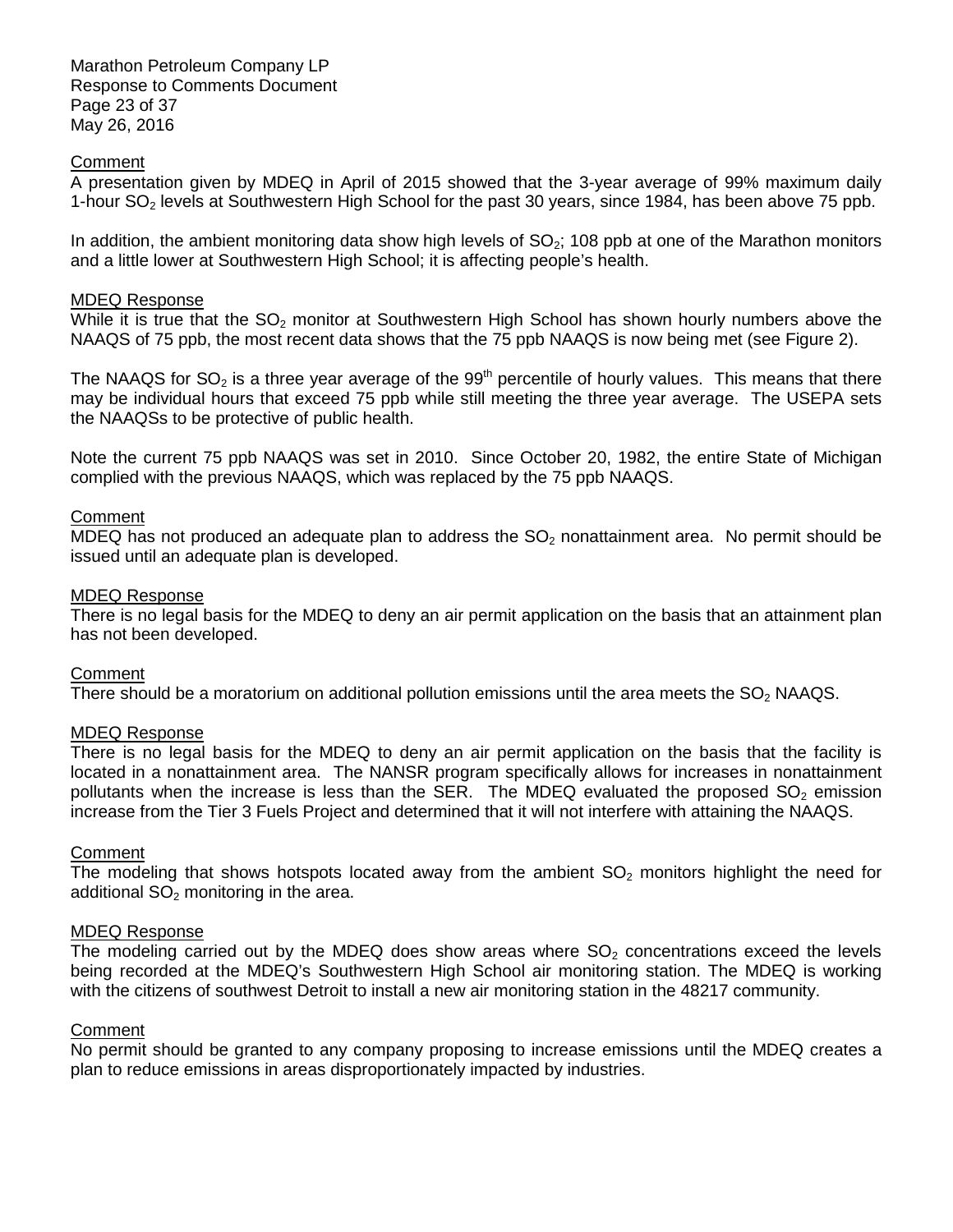Marathon Petroleum Company LP Response to Comments Document Page 23 of 37 May 26, 2016

#### **Comment**

 A presentation given by MDEQ in April of 2015 showed that the 3-year average of 99% maximum daily 1-hour  $SO<sub>2</sub>$  levels at Southwestern High School for the past 30 years, since 1984, has been above 75 ppb.

In addition, the ambient monitoring data show high levels of  $SO<sub>2</sub>$ ; 108 ppb at one of the Marathon monitors and a little lower at Southwestern High School; it is affecting people's health.

#### MDEQ Response

While it is true that the  $SO_2$  monitor at Southwestern High School has shown hourly numbers above the NAAQS of 75 ppb, the most recent data shows that the 75 ppb NAAQS is now being met (see Figure 2).

The NAAQS for SO<sub>2</sub> is a three year average of the 99<sup>th</sup> percentile of hourly values. This means that there may be individual hours that exceed 75 ppb while still meeting the three year average. The USEPA sets the NAAQSs to be protective of public health.

 Note the current 75 ppb NAAQS was set in 2010. Since October 20, 1982, the entire State of Michigan complied with the previous NAAQS, which was replaced by the 75 ppb NAAQS.

#### **Comment**

MDEQ has not produced an adequate plan to address the  $SO<sub>2</sub>$  nonattainment area. No permit should be issued until an adequate plan is developed.

#### MDEQ Response

 There is no legal basis for the MDEQ to deny an air permit application on the basis that an attainment plan has not been developed.

# **Comment**

There should be a moratorium on additional pollution emissions until the area meets the  $SO_2$  NAAQS.

#### MDEQ Response

 There is no legal basis for the MDEQ to deny an air permit application on the basis that the facility is located in a nonattainment area. The NANSR program specifically allows for increases in nonattainment pollutants when the increase is less than the SER. The MDEQ evaluated the proposed  $SO_2$  emission increase from the Tier 3 Fuels Project and determined that it will not interfere with attaining the NAAQS.

#### **Comment**

The modeling that shows hotspots located away from the ambient  $SO<sub>2</sub>$  monitors highlight the need for additional  $SO<sub>2</sub>$  monitoring in the area.

#### MDEQ Response

The modeling carried out by the MDEQ does show areas where  $SO<sub>2</sub>$  concentrations exceed the levels being recorded at the MDEQ's Southwestern High School air monitoring station. The MDEQ is working with the citizens of southwest Detroit to install a new air monitoring station in the 48217 community.

# **Comment**

 No permit should be granted to any company proposing to increase emissions until the MDEQ creates a plan to reduce emissions in areas disproportionately impacted by industries.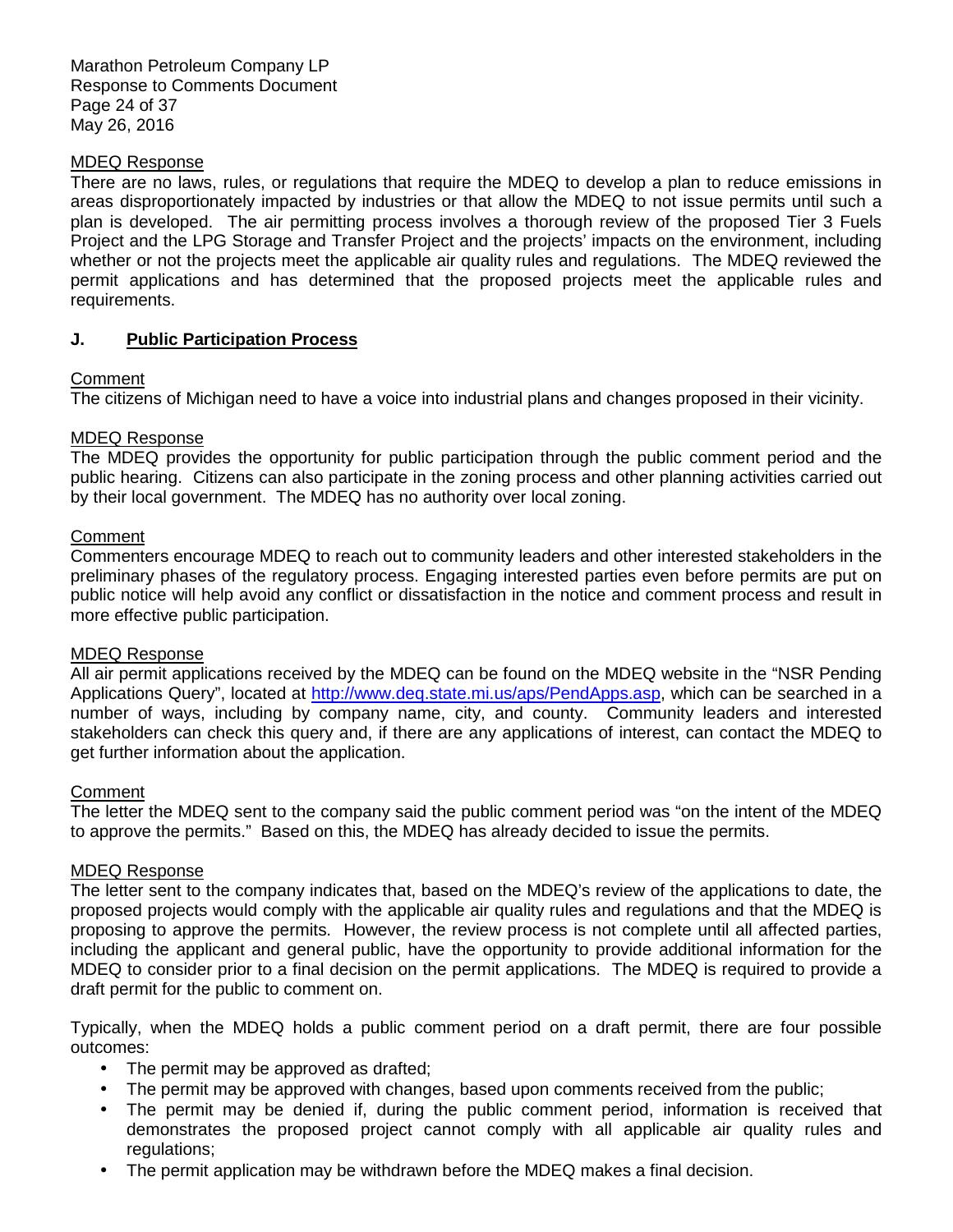Marathon Petroleum Company LP Response to Comments Document Page 24 of 37 May 26, 2016

### MDEQ Response

 There are no laws, rules, or regulations that require the MDEQ to develop a plan to reduce emissions in areas disproportionately impacted by industries or that allow the MDEQ to not issue permits until such a plan is developed. The air permitting process involves a thorough review of the proposed Tier 3 Fuels Project and the LPG Storage and Transfer Project and the projects' impacts on the environment, including whether or not the projects meet the applicable air quality rules and regulations. The MDEQ reviewed the permit applications and has determined that the proposed projects meet the applicable rules and requirements.

# **J. Public Participation Process**

### **Comment**

The citizens of Michigan need to have a voice into industrial plans and changes proposed in their vicinity.

# MDEQ Response

 The MDEQ provides the opportunity for public participation through the public comment period and the public hearing. Citizens can also participate in the zoning process and other planning activities carried out by their local government. The MDEQ has no authority over local zoning.

### **Comment**

 Commenters encourage MDEQ to reach out to community leaders and other interested stakeholders in the preliminary phases of the regulatory process. Engaging interested parties even before permits are put on public notice will help avoid any conflict or dissatisfaction in the notice and comment process and result in more effective public participation.

#### MDEQ Response

 All air permit applications received by the MDEQ can be found on the MDEQ website in the "NSR Pending Applications Query", located at *http://www.deq.state.mi.us/aps/PendApps.asp*, which can be searched in a number of ways, including by company name, city, and county. Community leaders and interested stakeholders can check this query and, if there are any applications of interest, can contact the MDEQ to get further information about the application.

#### Comment

 The letter the MDEQ sent to the company said the public comment period was "on the intent of the MDEQ to approve the permits." Based on this, the MDEQ has already decided to issue the permits.

#### MDEQ Response

 The letter sent to the company indicates that, based on the MDEQ's review of the applications to date, the proposed projects would comply with the applicable air quality rules and regulations and that the MDEQ is proposing to approve the permits. However, the review process is not complete until all affected parties, including the applicant and general public, have the opportunity to provide additional information for the MDEQ to consider prior to a final decision on the permit applications. The MDEQ is required to provide a draft permit for the public to comment on.

 Typically, when the MDEQ holds a public comment period on a draft permit, there are four possible outcomes:

- $\bullet$ The permit may be approved as drafted;
- $\bullet$ • The permit may be approved with changes, based upon comments received from the public;
- $\bullet$  demonstrates the proposed project cannot comply with all applicable air quality rules and The permit may be denied if, during the public comment period, information is received that regulations;
- The permit application may be withdrawn before the MDEQ makes a final decision.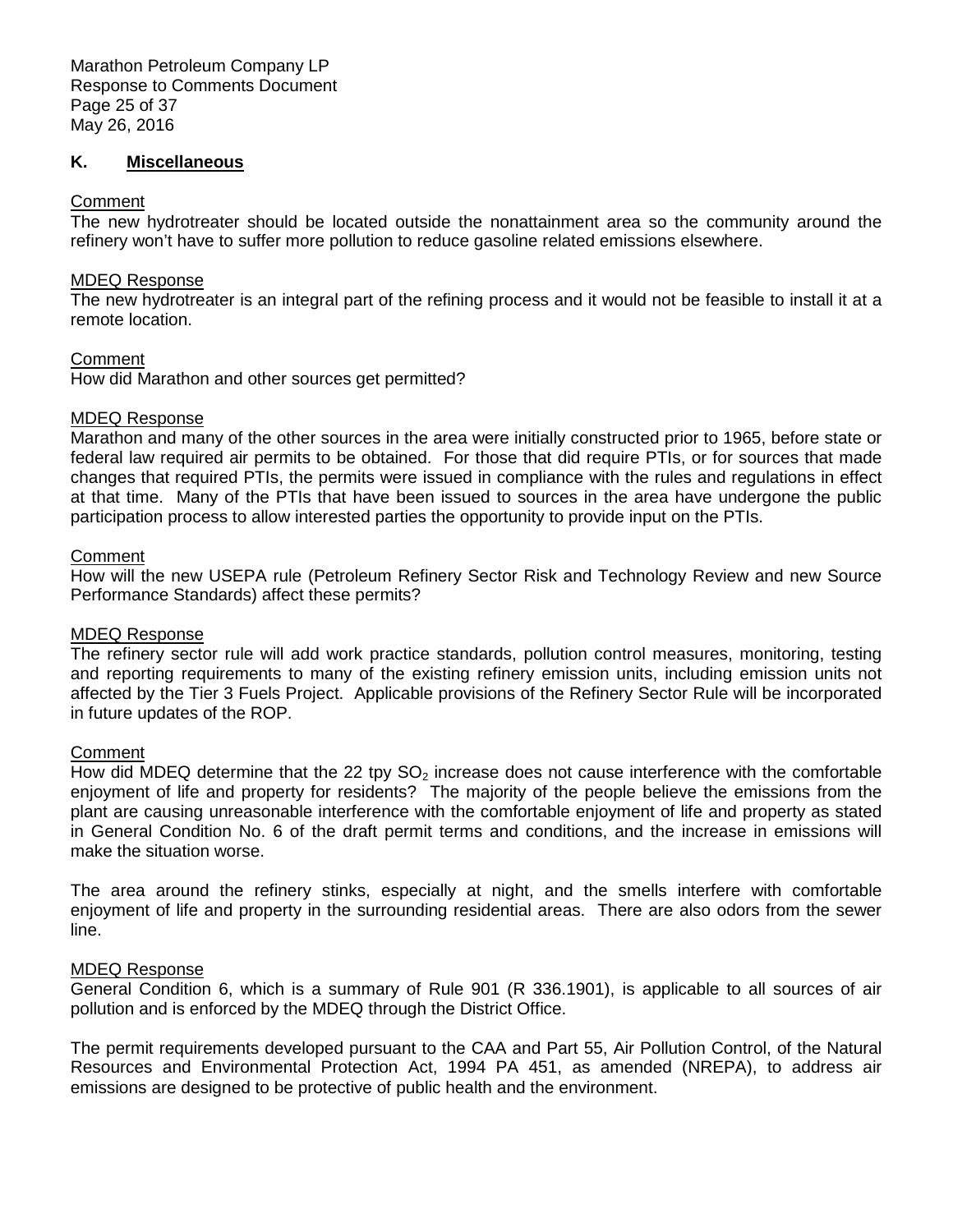#### **K. Miscellaneous**

#### **Comment**

 The new hydrotreater should be located outside the nonattainment area so the community around the refinery won't have to suffer more pollution to reduce gasoline related emissions elsewhere.

#### MDEQ Response

 The new hydrotreater is an integral part of the refining process and it would not be feasible to install it at a remote location.

### Comment

How did Marathon and other sources get permitted?

### MDEQ Response

 Marathon and many of the other sources in the area were initially constructed prior to 1965, before state or federal law required air permits to be obtained. For those that did require PTIs, or for sources that made changes that required PTIs, the permits were issued in compliance with the rules and regulations in effect at that time. Many of the PTIs that have been issued to sources in the area have undergone the public participation process to allow interested parties the opportunity to provide input on the PTIs.

### **Comment**

 How will the new USEPA rule (Petroleum Refinery Sector Risk and Technology Review and new Source Performance Standards) affect these permits?

#### MDEQ Response

 The refinery sector rule will add work practice standards, pollution control measures, monitoring, testing and reporting requirements to many of the existing refinery emission units, including emission units not affected by the Tier 3 Fuels Project. Applicable provisions of the Refinery Sector Rule will be incorporated in future updates of the ROP.

#### **Comment**

How did MDEQ determine that the 22 tpy  $SO_2$  increase does not cause interference with the comfortable enjoyment of life and property for residents? The majority of the people believe the emissions from the plant are causing unreasonable interference with the comfortable enjoyment of life and property as stated in General Condition No. 6 of the draft permit terms and conditions, and the increase in emissions will make the situation worse.

 The area around the refinery stinks, especially at night, and the smells interfere with comfortable enjoyment of life and property in the surrounding residential areas. There are also odors from the sewer line.

#### MDEQ Response

 General Condition 6, which is a summary of Rule 901 (R 336.1901), is applicable to all sources of air pollution and is enforced by the MDEQ through the District Office.

 The permit requirements developed pursuant to the CAA and Part 55, Air Pollution Control, of the Natural Resources and Environmental Protection Act, 1994 PA 451, as amended (NREPA), to address air emissions are designed to be protective of public health and the environment.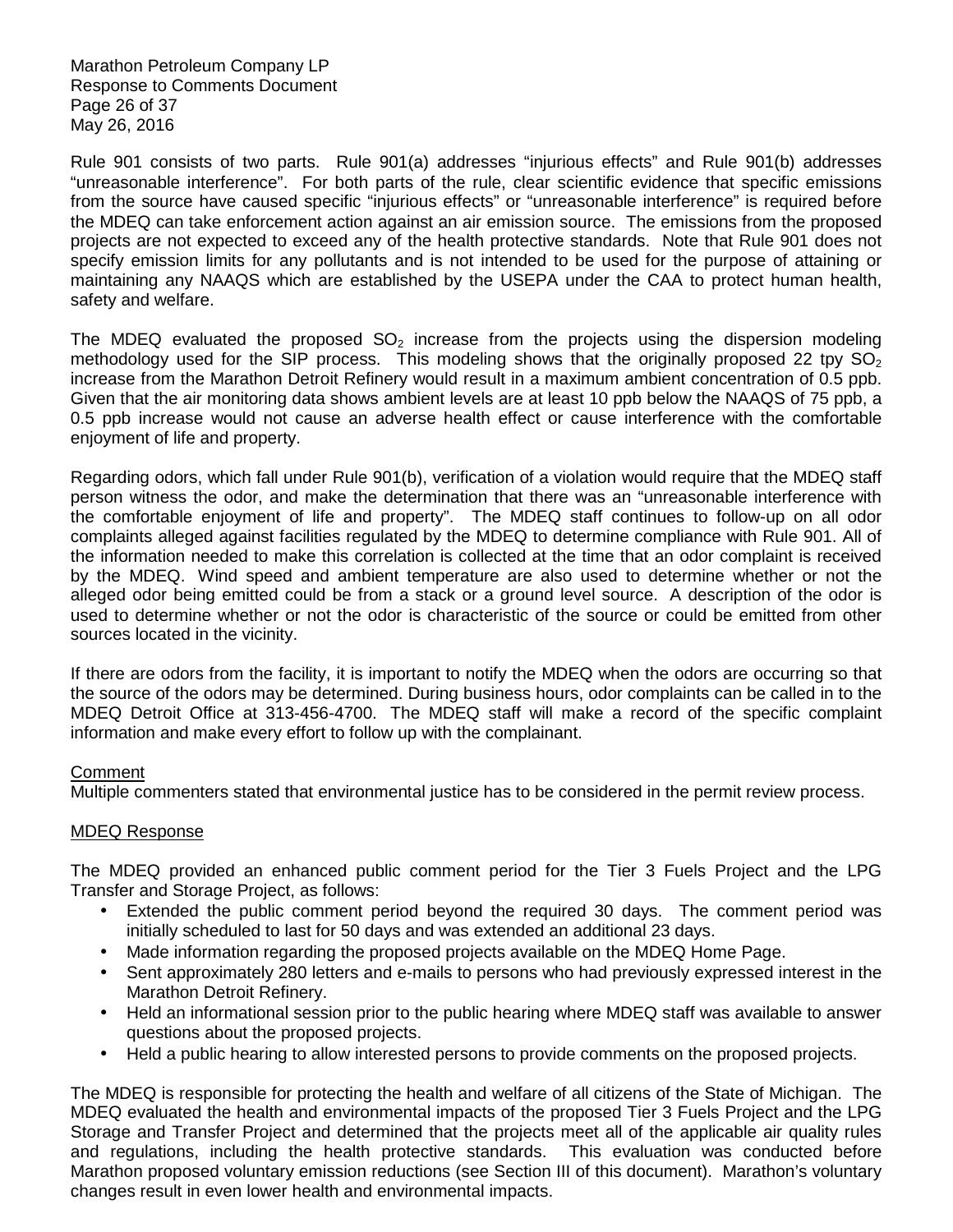Marathon Petroleum Company LP Response to Comments Document Page 26 of 37 May 26, 2016

 Rule 901 consists of two parts. Rule 901(a) addresses "injurious effects" and Rule 901(b) addresses "unreasonable interference". For both parts of the rule, clear scientific evidence that specific emissions from the source have caused specific "injurious effects" or "unreasonable interference" is required before the MDEQ can take enforcement action against an air emission source. The emissions from the proposed projects are not expected to exceed any of the health protective standards. Note that Rule 901 does not specify emission limits for any pollutants and is not intended to be used for the purpose of attaining or maintaining any NAAQS which are established by the USEPA under the CAA to protect human health, safety and welfare.

The MDEQ evaluated the proposed  $SO_2$  increase from the projects using the dispersion modeling methodology used for the SIP process. This modeling shows that the originally proposed 22 tpy  $SO_2$  increase from the Marathon Detroit Refinery would result in a maximum ambient concentration of 0.5 ppb. Given that the air monitoring data shows ambient levels are at least 10 ppb below the NAAQS of 75 ppb, a 0.5 ppb increase would not cause an adverse health effect or cause interference with the comfortable enjoyment of life and property.

 Regarding odors, which fall under Rule 901(b), verification of a violation would require that the MDEQ staff person witness the odor, and make the determination that there was an "unreasonable interference with the comfortable enjoyment of life and property". The MDEQ staff continues to follow-up on all odor complaints alleged against facilities regulated by the MDEQ to determine compliance with Rule 901. All of the information needed to make this correlation is collected at the time that an odor complaint is received by the MDEQ. Wind speed and ambient temperature are also used to determine whether or not the alleged odor being emitted could be from a stack or a ground level source. A description of the odor is used to determine whether or not the odor is characteristic of the source or could be emitted from other sources located in the vicinity.

 If there are odors from the facility, it is important to notify the MDEQ when the odors are occurring so that the source of the odors may be determined. During business hours, odor complaints can be called in to the MDEQ Detroit Office at 313-456-4700. The MDEQ staff will make a record of the specific complaint information and make every effort to follow up with the complainant.

# **Comment**

Multiple commenters stated that environmental justice has to be considered in the permit review process.

#### MDEQ Response

 The MDEQ provided an enhanced public comment period for the Tier 3 Fuels Project and the LPG Transfer and Storage Project, as follows:

- • Extended the public comment period beyond the required 30 days. The comment period was initially scheduled to last for 50 days and was extended an additional 23 days.
- Made information regarding the proposed projects available on the MDEQ Home Page.
- Marathon Detroit Refinery. • Sent approximately 280 letters and e-mails to persons who had previously expressed interest in the
- questions about the proposed projects. • Held an informational session prior to the public hearing where MDEQ staff was available to answer
- $\bullet$ • Held a public hearing to allow interested persons to provide comments on the proposed projects.

 The MDEQ is responsible for protecting the health and welfare of all citizens of the State of Michigan. The MDEQ evaluated the health and environmental impacts of the proposed Tier 3 Fuels Project and the LPG Storage and Transfer Project and determined that the projects meet all of the applicable air quality rules and regulations, including the health protective standards. This evaluation was conducted before Marathon proposed voluntary emission reductions (see Section III of this document). Marathon's voluntary changes result in even lower health and environmental impacts.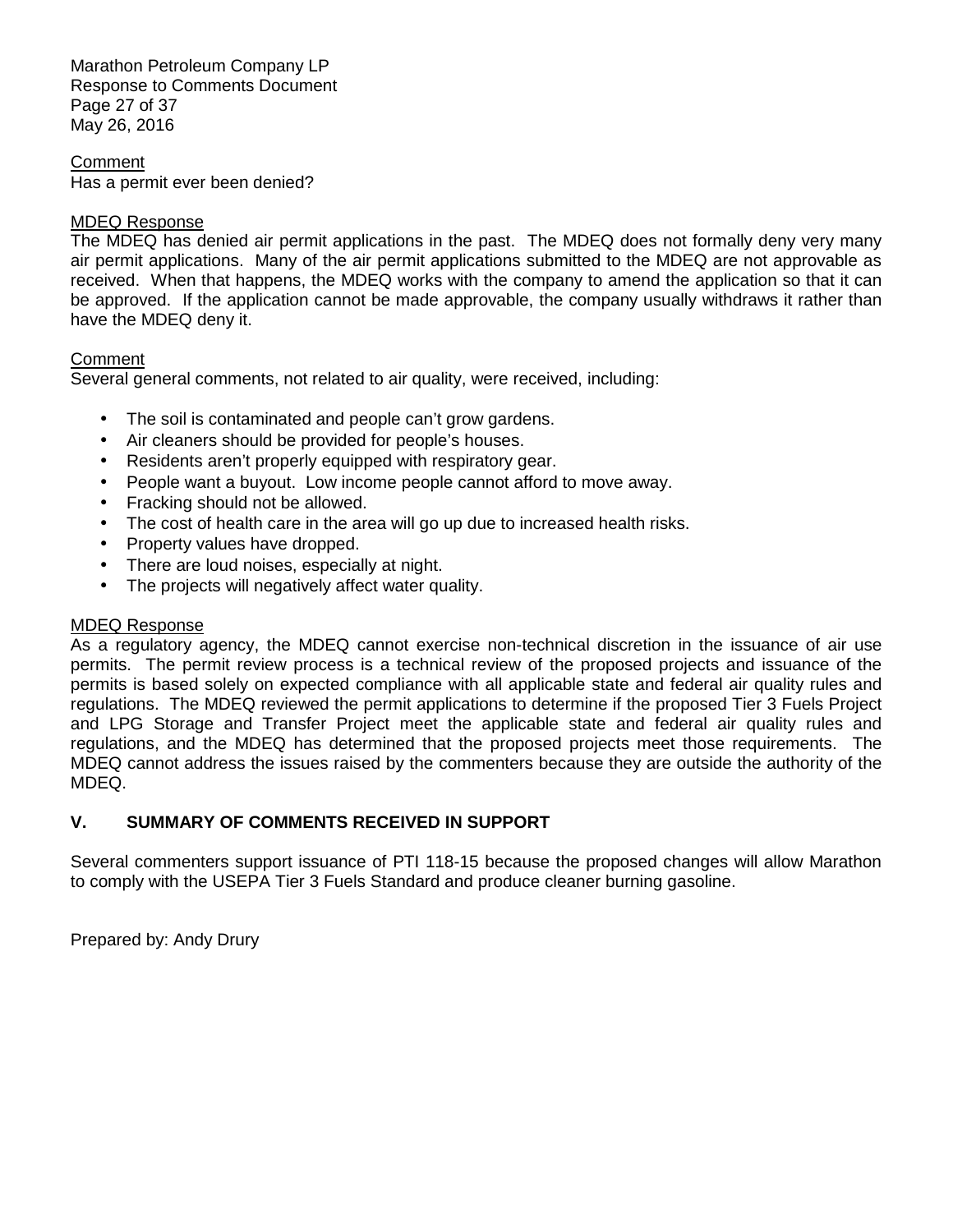Marathon Petroleum Company LP Response to Comments Document Page 27 of 37 May 26, 2016

 Has a permit ever been denied? **Comment** 

#### MDEQ Response

 The MDEQ has denied air permit applications in the past. The MDEQ does not formally deny very many air permit applications. Many of the air permit applications submitted to the MDEQ are not approvable as received. When that happens, the MDEQ works with the company to amend the application so that it can be approved. If the application cannot be made approvable, the company usually withdraws it rather than have the MDEQ deny it.

### **Comment**

Several general comments, not related to air quality, were received, including:

- $\bullet$ The soil is contaminated and people can't grow gardens.
- Air cleaners should be provided for people's houses.
- Residents aren't properly equipped with respiratory gear.
- People want a buyout. Low income people cannot afford to move away.
- $\bullet$ • Fracking should not be allowed.
- The cost of health care in the area will go up due to increased health risks.
- Property values have dropped.
- There are loud noises, especially at night.
- The projects will negatively affect water quality.

# MDEQ Response

 As a regulatory agency, the MDEQ cannot exercise non-technical discretion in the issuance of air use permits. The permit review process is a technical review of the proposed projects and issuance of the permits is based solely on expected compliance with all applicable state and federal air quality rules and regulations. The MDEQ reviewed the permit applications to determine if the proposed Tier 3 Fuels Project and LPG Storage and Transfer Project meet the applicable state and federal air quality rules and regulations, and the MDEQ has determined that the proposed projects meet those requirements. The MDEQ cannot address the issues raised by the commenters because they are outside the authority of the MDEQ.

# **V. SUMMARY OF COMMENTS RECEIVED IN SUPPORT**

 Several commenters support issuance of PTI 118-15 because the proposed changes will allow Marathon to comply with the USEPA Tier 3 Fuels Standard and produce cleaner burning gasoline.

Prepared by: Andy Drury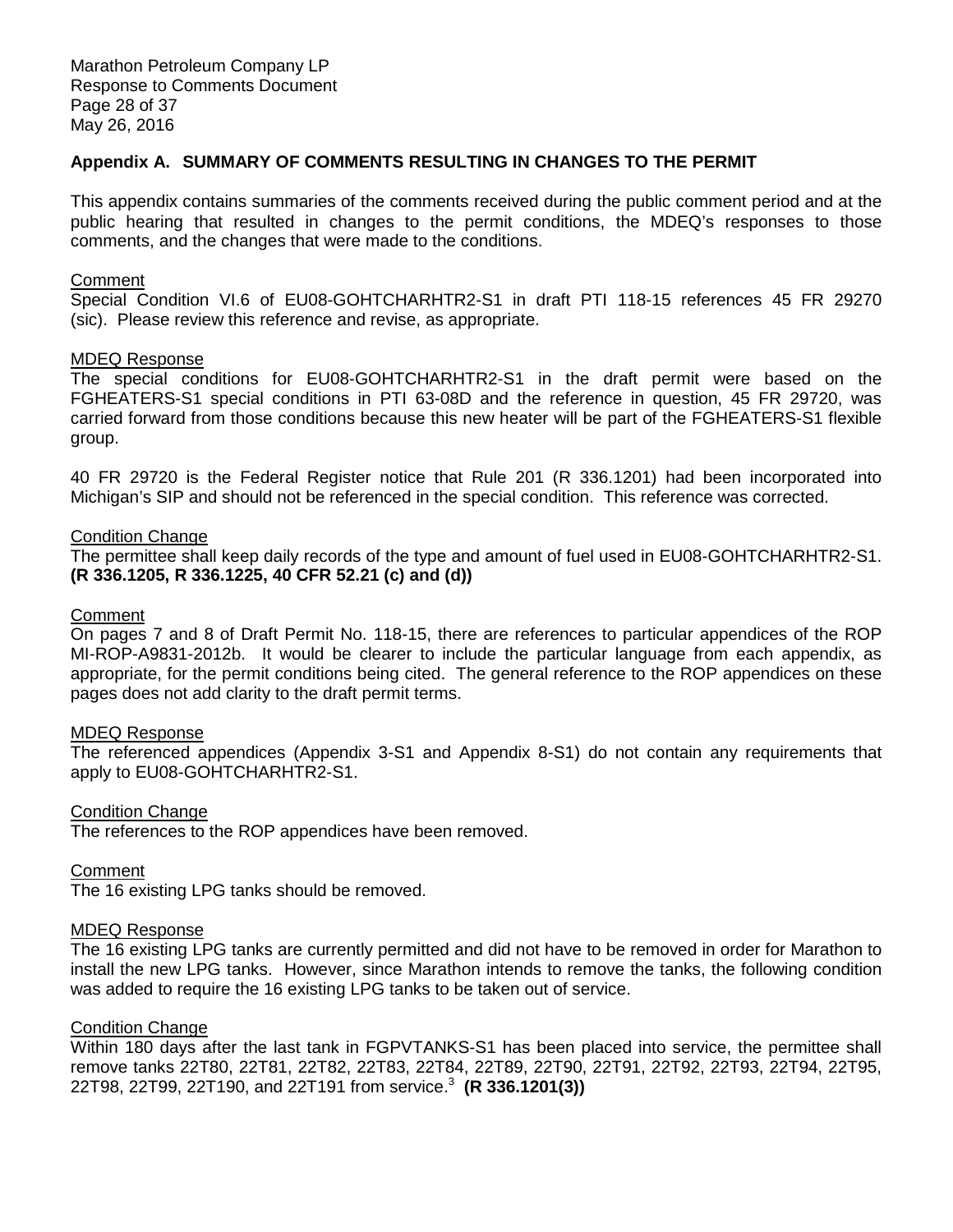# **Appendix A. SUMMARY OF COMMENTS RESULTING IN CHANGES TO THE PERMIT**

 This appendix contains summaries of the comments received during the public comment period and at the public hearing that resulted in changes to the permit conditions, the MDEQ's responses to those comments, and the changes that were made to the conditions.

#### **Comment**

 Special Condition VI.6 of EU08-GOHTCHARHTR2-S1 in draft PTI 118-15 references 45 FR 29270 (sic). Please review this reference and revise, as appropriate.

#### MDEQ Response

 The special conditions for EU08-GOHTCHARHTR2-S1 in the draft permit were based on the FGHEATERS-S1 special conditions in PTI 63-08D and the reference in question, 45 FR 29720, was carried forward from those conditions because this new heater will be part of the FGHEATERS-S1 flexible group.

 40 FR 29720 is the Federal Register notice that Rule 201 (R 336.1201) had been incorporated into Michigan's SIP and should not be referenced in the special condition. This reference was corrected.

#### **Condition Change**

 The permittee shall keep daily records of the type and amount of fuel used in EU08-GOHTCHARHTR2-S1.  **(R 336.1205, R 336.1225, 40 CFR 52.21 (c) and (d))** 

# **Comment**

 On pages 7 and 8 of Draft Permit No. 118-15, there are references to particular appendices of the ROP MI-ROP-A9831-2012b. It would be clearer to include the particular language from each appendix, as appropriate, for the permit conditions being cited. The general reference to the ROP appendices on these pages does not add clarity to the draft permit terms.

#### MDEQ Response

 The referenced appendices (Appendix 3-S1 and Appendix 8-S1) do not contain any requirements that apply to EU08-GOHTCHARHTR2-S1.

#### **Condition Change**

The references to the ROP appendices have been removed.

#### Comment

The 16 existing LPG tanks should be removed.

#### MDEQ Response

 The 16 existing LPG tanks are currently permitted and did not have to be removed in order for Marathon to install the new LPG tanks. However, since Marathon intends to remove the tanks, the following condition was added to require the 16 existing LPG tanks to be taken out of service.

#### **Condition Change**

 Within 180 days after the last tank in FGPVTANKS-S1 has been placed into service, the permittee shall remove tanks 22T80, 22T81, 22T82, 22T83, 22T84, 22T89, 22T90, 22T91, 22T92, 22T93, 22T94, 22T95, 22T98, 22T99, 22T190, and 22T191 from service.<sup>3</sup>**(R 336.1201(3))**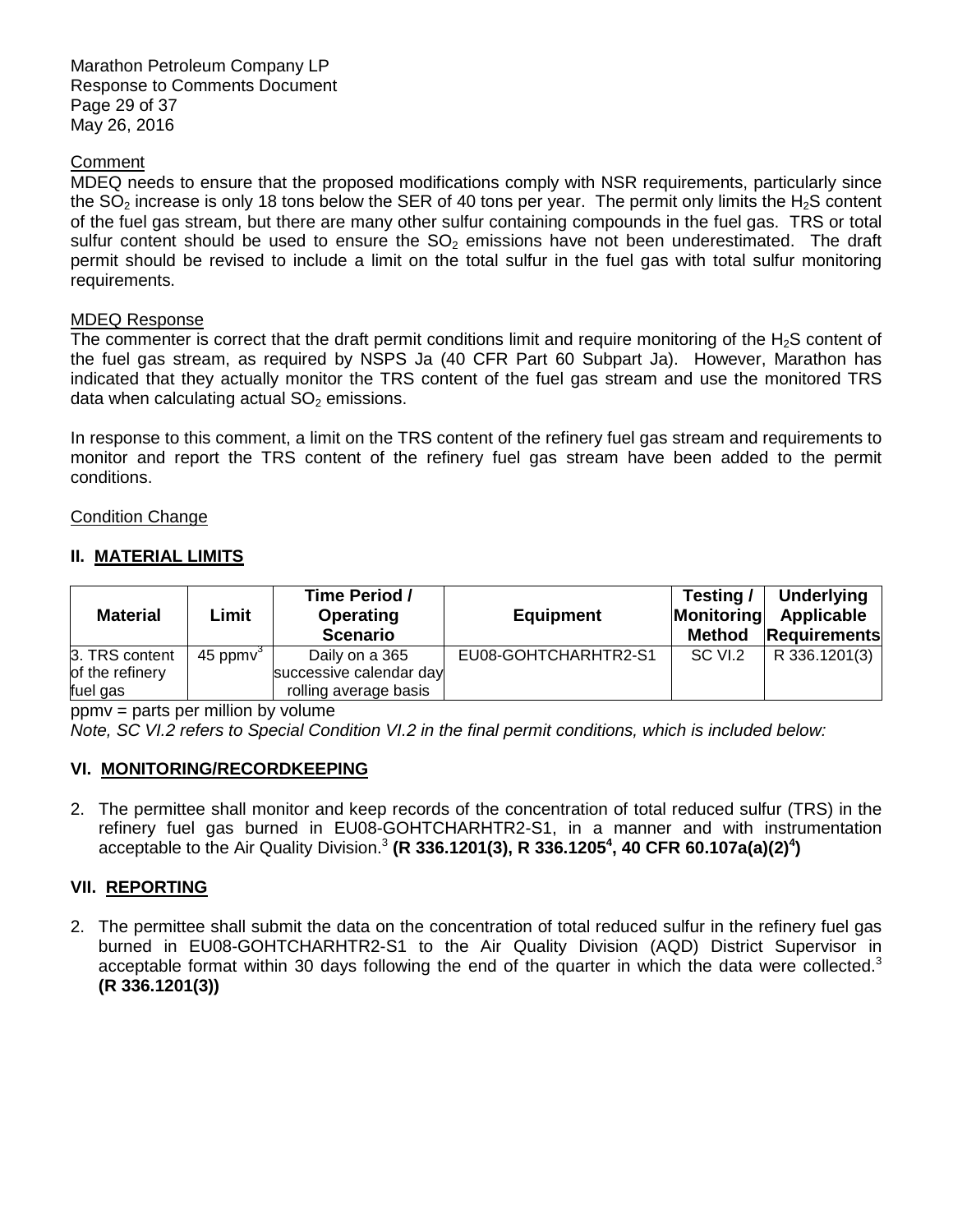Marathon Petroleum Company LP Response to Comments Document Page 29 of 37 May 26, 2016

# **Comment**

 MDEQ needs to ensure that the proposed modifications comply with NSR requirements, particularly since the SO<sub>2</sub> increase is only 18 tons below the SER of 40 tons per year. The permit only limits the H<sub>2</sub>S content of the fuel gas stream, but there are many other sulfur containing compounds in the fuel gas. TRS or total sulfur content should be used to ensure the  $SO<sub>2</sub>$  emissions have not been underestimated. The draft permit should be revised to include a limit on the total sulfur in the fuel gas with total sulfur monitoring requirements.

# MDEQ Response

The commenter is correct that the draft permit conditions limit and require monitoring of the H<sub>2</sub>S content of the fuel gas stream, as required by NSPS Ja (40 CFR Part 60 Subpart Ja). However, Marathon has indicated that they actually monitor the TRS content of the fuel gas stream and use the monitored TRS data when calculating actual  $SO<sub>2</sub>$  emissions.

 In response to this comment, a limit on the TRS content of the refinery fuel gas stream and requirements to monitor and report the TRS content of the refinery fuel gas stream have been added to the permit conditions.

# **Condition Change**

# **II. MATERIAL LIMITS**

| <b>Material</b> | Limit        | Time Period /<br><b>Operating</b><br><b>Scenario</b> | <b>Equipment</b>     | Testing /<br>Monitoring<br><b>Method</b> | Underlying<br>Applicable<br>Requirements |
|-----------------|--------------|------------------------------------------------------|----------------------|------------------------------------------|------------------------------------------|
| 3. TRS content  | 45 ppm $v^3$ | Daily on a 365                                       | EU08-GOHTCHARHTR2-S1 | SC VI.2                                  | R 336.1201(3)                            |
| of the refinery |              | successive calendar day                              |                      |                                          |                                          |
| fuel gas        |              | rolling average basis                                |                      |                                          |                                          |

ppmv = parts per million by volume

Note, SC VI.2 refers to Special Condition VI.2 in the final permit conditions, which is included below:

# **VI. MONITORING/RECORDKEEPING**

 2. The permittee shall monitor and keep records of the concentration of total reduced sulfur (TRS) in the refinery fuel gas burned in EU08-GOHTCHARHTR2-S1, in a manner and with instrumentation acceptable to the Air Quality Division.<sup>3</sup> (R 336.1201(3), R 336.1205<sup>4</sup>, 40 CFR 60.107a(a)(2)<sup>4</sup>)

#### **VII. REPORTING**

 2. The permittee shall submit the data on the concentration of total reduced sulfur in the refinery fuel gas burned in EU08-GOHTCHARHTR2-S1 to the Air Quality Division (AQD) District Supervisor in acceptable format within 30 days following the end of the quarter in which the data were collected. $3$ **(R 336.1201(3))**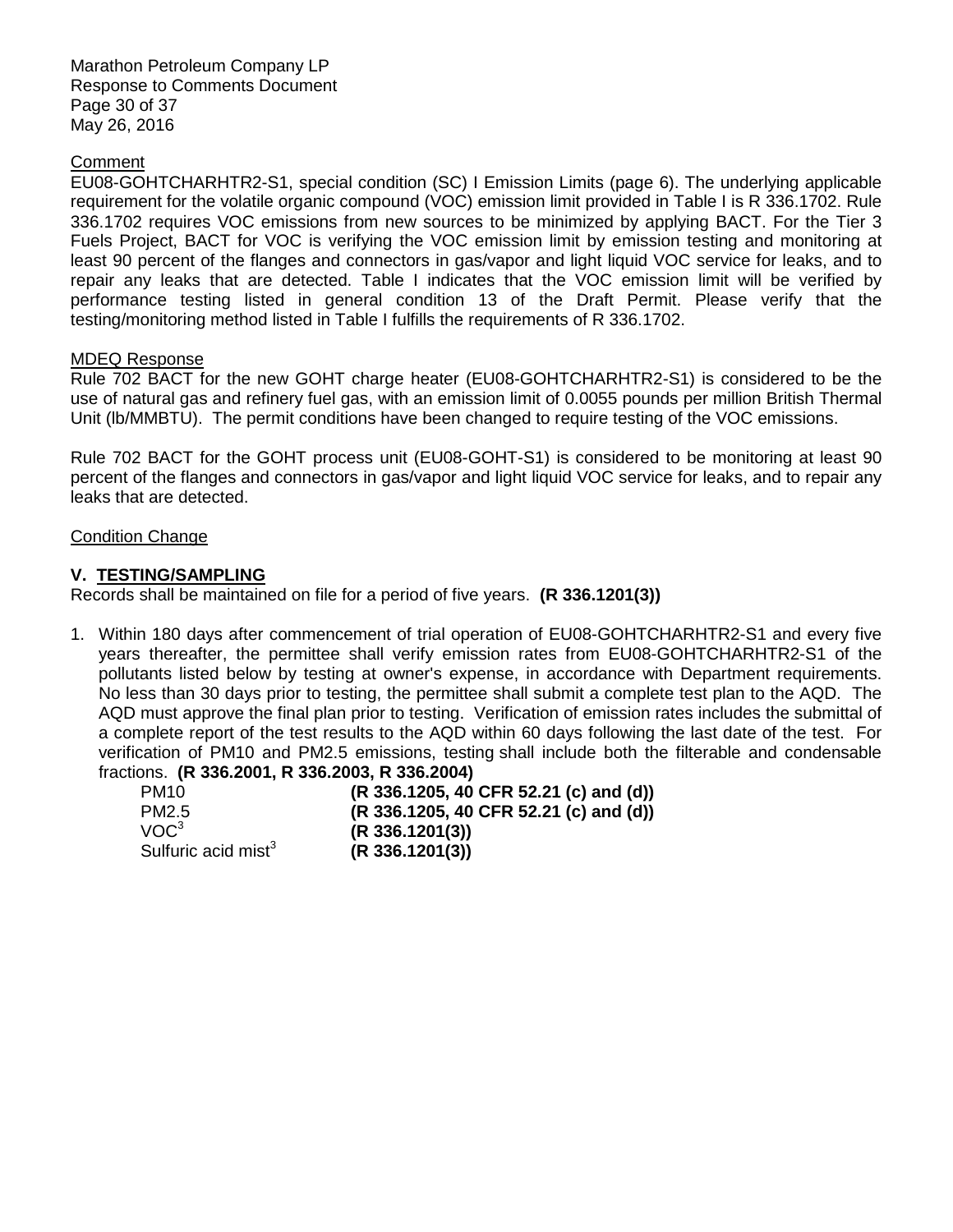Marathon Petroleum Company LP Response to Comments Document Page 30 of 37 May 26, 2016

# **Comment**

 EU08-GOHTCHARHTR2-S1, special condition (SC) I Emission Limits (page 6). The underlying applicable requirement for the volatile organic compound (VOC) emission limit provided in Table I is R 336.1702. Rule 336.1702 requires VOC emissions from new sources to be minimized by applying BACT. For the Tier 3 Fuels Project, BACT for VOC is verifying the VOC emission limit by emission testing and monitoring at least 90 percent of the flanges and connectors in gas/vapor and light liquid VOC service for leaks, and to repair any leaks that are detected. Table I indicates that the VOC emission limit will be verified by performance testing listed in general condition 13 of the Draft Permit. Please verify that the testing/monitoring method listed in Table I fulfills the requirements of R 336.1702.

### MDEQ Response

 Rule 702 BACT for the new GOHT charge heater (EU08-GOHTCHARHTR2-S1) is considered to be the use of natural gas and refinery fuel gas, with an emission limit of 0.0055 pounds per million British Thermal Unit (lb/MMBTU). The permit conditions have been changed to require testing of the VOC emissions.

 Rule 702 BACT for the GOHT process unit (EU08-GOHT-S1) is considered to be monitoring at least 90 percent of the flanges and connectors in gas/vapor and light liquid VOC service for leaks, and to repair any leaks that are detected.

#### **Condition Change**

# **V. TESTING/SAMPLING**

Records shall be maintained on file for a period of five years. **(R 336.1201(3))** 

 1. Within 180 days after commencement of trial operation of EU08-GOHTCHARHTR2-S1 and every five years thereafter, the permittee shall verify emission rates from EU08-GOHTCHARHTR2-S1 of the pollutants listed below by testing at owner's expense, in accordance with Department requirements. No less than 30 days prior to testing, the permittee shall submit a complete test plan to the AQD. The AQD must approve the final plan prior to testing. Verification of emission rates includes the submittal of a complete report of the test results to the AQD within 60 days following the last date of the test. For verification of PM10 and PM2.5 emissions, testing shall include both the filterable and condensable fractions. **(R 336.2001, R 336.2003, R 336.2004)** 

| PM <sub>10</sub>                | (R 336.1205, 40 CFR 52.21 (c) and (d)) |
|---------------------------------|----------------------------------------|
| PM <sub>2.5</sub>               | (R 336.1205, 40 CFR 52.21 (c) and (d)) |
| VOC <sup>3</sup>                | $(R\,336.1201(3))$                     |
| Sulfuric acid mist <sup>3</sup> | (R 336.1201(3))                        |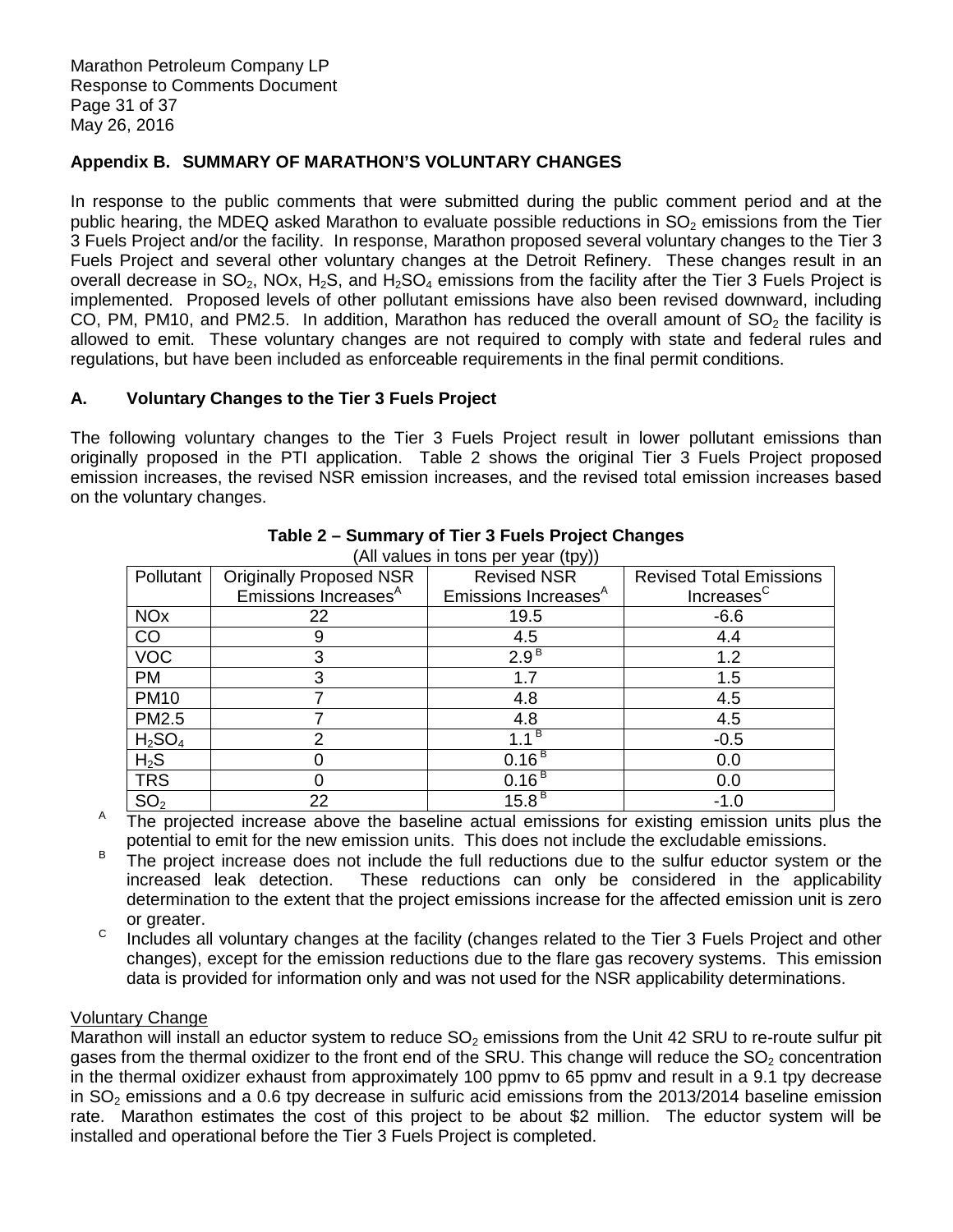# **Appendix B. SUMMARY OF MARATHON'S VOLUNTARY CHANGES**

 In response to the public comments that were submitted during the public comment period and at the public hearing, the MDEQ asked Marathon to evaluate possible reductions in  $SO<sub>2</sub>$  emissions from the Tier 3 Fuels Project and/or the facility. In response, Marathon proposed several voluntary changes to the Tier 3 Fuels Project and several other voluntary changes at the Detroit Refinery. These changes result in an overall decrease in SO<sub>2</sub>, NOx, H<sub>2</sub>S, and H<sub>2</sub>SO<sub>4</sub> emissions from the facility after the Tier 3 Fuels Project is implemented. Proposed levels of other pollutant emissions have also been revised downward, including CO, PM, PM10, and PM2.5. In addition, Marathon has reduced the overall amount of  $SO<sub>2</sub>$  the facility is allowed to emit. These voluntary changes are not required to comply with state and federal rules and regulations, but have been included as enforceable requirements in the final permit conditions.

# **A. Voluntary Changes to the Tier 3 Fuels Project**

 The following voluntary changes to the Tier 3 Fuels Project result in lower pollutant emissions than originally proposed in the PTI application. Table 2 shows the original Tier 3 Fuels Project proposed emission increases, the revised NSR emission increases, and the revised total emission increases based on the voluntary changes.

| (All values in tons per year (tpy))                        |                                  |                                  |                                |  |  |
|------------------------------------------------------------|----------------------------------|----------------------------------|--------------------------------|--|--|
| Pollutant                                                  | <b>Originally Proposed NSR</b>   | <b>Revised NSR</b>               | <b>Revised Total Emissions</b> |  |  |
|                                                            | Emissions Increases <sup>A</sup> | Emissions Increases <sup>A</sup> | Increases <sup>C</sup>         |  |  |
| <b>NO<sub>x</sub></b>                                      | 22                               | 19.5                             | $-6.6$                         |  |  |
| CO                                                         | 9                                | 4.5                              | 4.4                            |  |  |
| $\overline{VOC}$                                           | 3                                | 2.9 <sup>B</sup>                 | 1.2                            |  |  |
| <b>PM</b>                                                  | 3                                | 1.7                              | 1.5                            |  |  |
| <b>PM10</b>                                                |                                  | 4.8                              | 4.5                            |  |  |
| PM2.5                                                      |                                  | 4.8                              | 4.5                            |  |  |
|                                                            | っ                                | $1.1^{\overline{B}}$             | $-0.5$                         |  |  |
| $\frac{\mathsf{H}_2\mathsf{SO}_4}{\mathsf{H}_2\mathsf{S}}$ |                                  | 0.16 <sup>B</sup>                | 0.0                            |  |  |
| <b>TRS</b>                                                 |                                  | 0.16 <sup>B</sup>                | 0.0                            |  |  |
| SO <sub>2</sub>                                            | 22                               | $15.8^B$                         | $-1.0$                         |  |  |

# **Table 2 – Summary of Tier 3 Fuels Project Changes**

 $\mathsf{A}$  potential to emit for the new emission units. This does not include the excludable emissions. The projected increase above the baseline actual emissions for existing emission units plus the

- B increased leak detection. determination to the extent that the project emissions increase for the affected emission unit is zero or greater. The project increase does not include the full reductions due to the sulfur eductor system or the These reductions can only be considered in the applicability
- C changes), except for the emission reductions due to the flare gas recovery systems. This emission data is provided for information only and was not used for the NSR applicability determinations. Includes all voluntary changes at the facility (changes related to the Tier 3 Fuels Project and other

# Voluntary Change

Marathon will install an eductor system to reduce  $SO_2$  emissions from the Unit 42 SRU to re-route sulfur pit gases from the thermal oxidizer to the front end of the SRU. This change will reduce the  $SO<sub>2</sub>$  concentration in the thermal oxidizer exhaust from approximately 100 ppmv to 65 ppmv and result in a 9.1 tpy decrease in  $SO<sub>2</sub>$  emissions and a 0.6 tpy decrease in sulfuric acid emissions from the 2013/2014 baseline emission rate. Marathon estimates the cost of this project to be about \$2 million. The eductor system will be installed and operational before the Tier 3 Fuels Project is completed.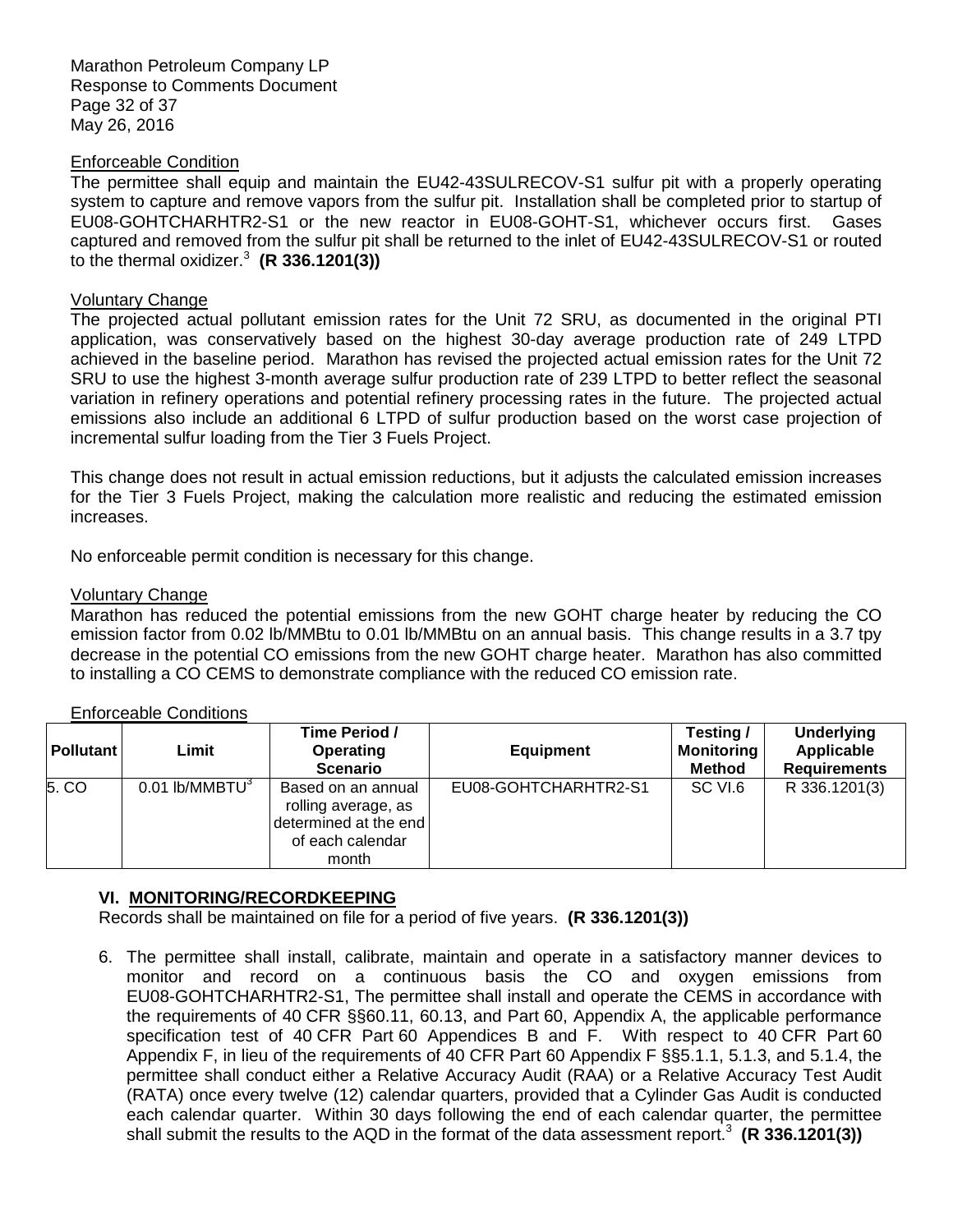Marathon Petroleum Company LP Response to Comments Document Page 32 of 37 May 26, 2016

#### Enforceable Condition

 The permittee shall equip and maintain the EU42-43SULRECOV-S1 sulfur pit with a properly operating system to capture and remove vapors from the sulfur pit. Installation shall be completed prior to startup of EU08-GOHTCHARHTR2-S1 or the new reactor in EU08-GOHT-S1, whichever occurs first. Gases captured and removed from the sulfur pit shall be returned to the inlet of EU42-43SULRECOV-S1 or routed to the thermal oxidizer.<sup>3</sup> (R 336.1201(3))

# Voluntary Change

 The projected actual pollutant emission rates for the Unit 72 SRU, as documented in the original PTI application, was conservatively based on the highest 30-day average production rate of 249 LTPD achieved in the baseline period. Marathon has revised the projected actual emission rates for the Unit 72 SRU to use the highest 3-month average sulfur production rate of 239 LTPD to better reflect the seasonal variation in refinery operations and potential refinery processing rates in the future. The projected actual emissions also include an additional 6 LTPD of sulfur production based on the worst case projection of incremental sulfur loading from the Tier 3 Fuels Project.

 This change does not result in actual emission reductions, but it adjusts the calculated emission increases for the Tier 3 Fuels Project, making the calculation more realistic and reducing the estimated emission increases.

No enforceable permit condition is necessary for this change.

### Voluntary Change

 Marathon has reduced the potential emissions from the new GOHT charge heater by reducing the CO emission factor from 0.02 lb/MMBtu to 0.01 lb/MMBtu on an annual basis. This change results in a 3.7 tpy decrease in the potential CO emissions from the new GOHT charge heater. Marathon has also committed to installing a CO CEMS to demonstrate compliance with the reduced CO emission rate.

| <b>Pollutant</b> | Limit                        | Time Period /<br><b>Operating</b><br><b>Scenario</b>                                            | <b>Equipment</b>     | Testing /<br><b>Monitoring</b><br><b>Method</b> | <b>Underlying</b><br>Applicable<br><b>Requirements</b> |
|------------------|------------------------------|-------------------------------------------------------------------------------------------------|----------------------|-------------------------------------------------|--------------------------------------------------------|
| 5. CO            | $0.01$ lb/MMBTU <sup>3</sup> | Based on an annual<br>rolling average, as<br>determined at the end<br>of each calendar<br>month | EU08-GOHTCHARHTR2-S1 | SC VI.6                                         | R 336.1201(3)                                          |

# Enforceable Conditions

# **VI. MONITORING/RECORDKEEPING**

Records shall be maintained on file for a period of five years. **(R 336.1201(3))** 

 6. The permittee shall install, calibrate, maintain and operate in a satisfactory manner devices to monitor and record on a continuous basis the CO and oxygen emissions from EU08-GOHTCHARHTR2-S1, The permittee shall install and operate the CEMS in accordance with the requirements of 40 CFR §§60.11, 60.13, and Part 60, Appendix A, the applicable performance specification test of 40 CFR Part 60 Appendices B and F. With respect to 40 CFR Part 60 Appendix F, in lieu of the requirements of 40 CFR Part 60 Appendix F §§5.1.1, 5.1.3, and 5.1.4, the permittee shall conduct either a Relative Accuracy Audit (RAA) or a Relative Accuracy Test Audit (RATA) once every twelve (12) calendar quarters, provided that a Cylinder Gas Audit is conducted each calendar quarter. Within 30 days following the end of each calendar quarter, the permittee shall submit the results to the AQD in the format of the data assessment report.<sup>3</sup> (R 336.1201(3))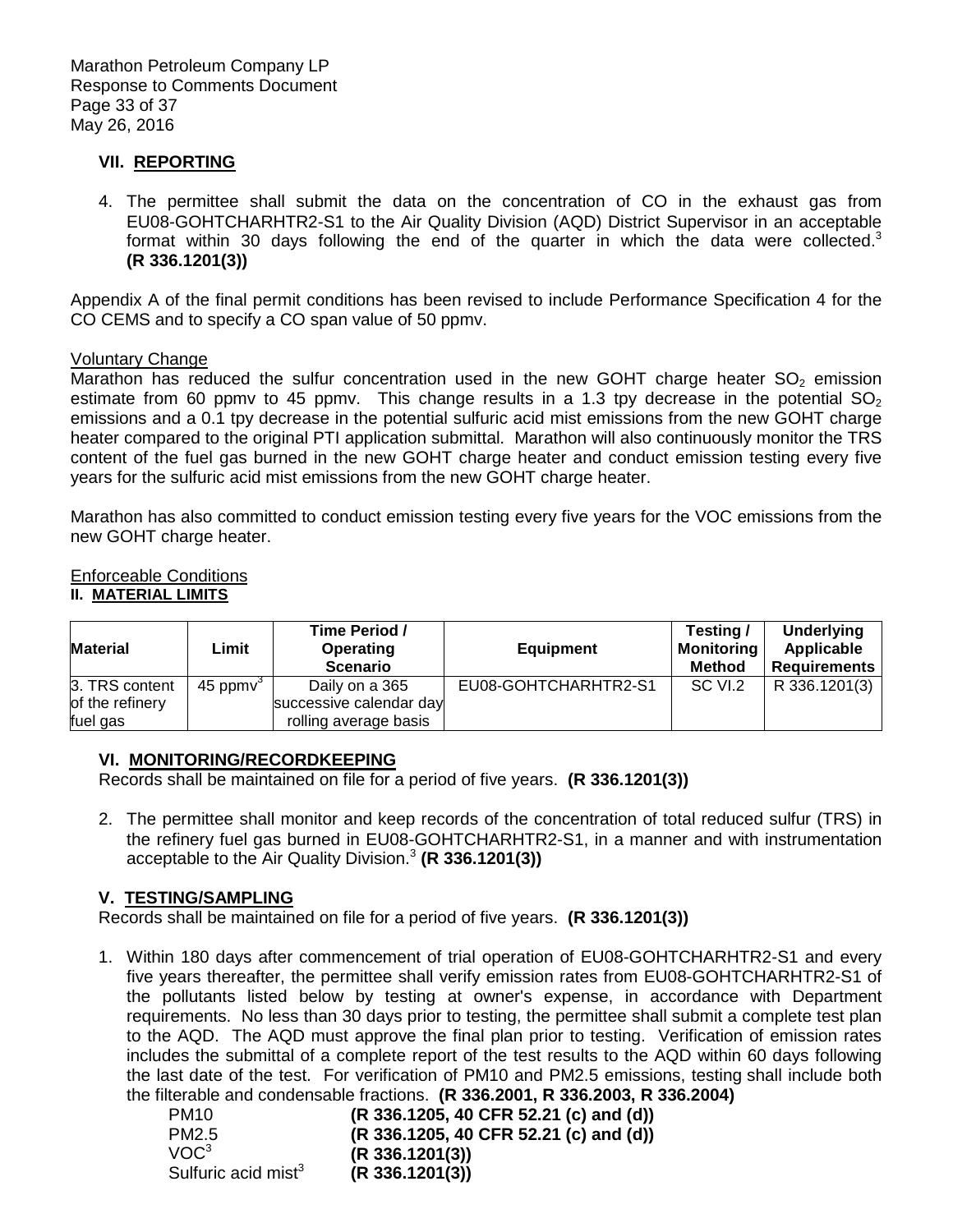# **VII. REPORTING**

 4. The permittee shall submit the data on the concentration of CO in the exhaust gas from EU08-GOHTCHARHTR2-S1 to the Air Quality Division (AQD) District Supervisor in an acceptable format within 30 days following the end of the quarter in which the data were collected.<sup>3</sup> **(R 336.1201(3))** 

 Appendix A of the final permit conditions has been revised to include Performance Specification 4 for the CO CEMS and to specify a CO span value of 50 ppmv.

#### Voluntary Change

Marathon has reduced the sulfur concentration used in the new GOHT charge heater  $SO<sub>2</sub>$  emission estimate from 60 ppmv to 45 ppmv. This change results in a 1.3 tpy decrease in the potential  $SO_2$  emissions and a 0.1 tpy decrease in the potential sulfuric acid mist emissions from the new GOHT charge heater compared to the original PTI application submittal. Marathon will also continuously monitor the TRS content of the fuel gas burned in the new GOHT charge heater and conduct emission testing every five years for the sulfuric acid mist emissions from the new GOHT charge heater.

 Marathon has also committed to conduct emission testing every five years for the VOC emissions from the new GOHT charge heater.

#### Enforceable Conditions  **II. MATERIAL LIMITS**

| <b>Material</b> | Limit          | Time Period /<br>Operating<br><b>Scenario</b> | <b>Equipment</b>     | Testing /<br><b>Monitoring</b><br><b>Method</b> | <b>Underlying</b><br>Applicable<br>Requirements |
|-----------------|----------------|-----------------------------------------------|----------------------|-------------------------------------------------|-------------------------------------------------|
| 3. TRS content  | $45$ ppm $v^3$ | Daily on a 365                                | EU08-GOHTCHARHTR2-S1 | SC VI.2                                         | R 336.1201(3)                                   |
| of the refinery |                | successive calendar day                       |                      |                                                 |                                                 |
| fuel gas        |                | rolling average basis                         |                      |                                                 |                                                 |

# **VI. MONITORING/RECORDKEEPING**

Records shall be maintained on file for a period of five years. **(R 336.1201(3))** 

 2. The permittee shall monitor and keep records of the concentration of total reduced sulfur (TRS) in the refinery fuel gas burned in EU08-GOHTCHARHTR2-S1, in a manner and with instrumentation acceptable to the Air Quality Division.<sup>3</sup>**(R 336.1201(3))** 

#### **V. TESTING/SAMPLING**

Records shall be maintained on file for a period of five years. **(R 336.1201(3))** 

 1. Within 180 days after commencement of trial operation of EU08-GOHTCHARHTR2-S1 and every five years thereafter, the permittee shall verify emission rates from EU08-GOHTCHARHTR2-S1 of the pollutants listed below by testing at owner's expense, in accordance with Department requirements. No less than 30 days prior to testing, the permittee shall submit a complete test plan to the AQD. The AQD must approve the final plan prior to testing. Verification of emission rates includes the submittal of a complete report of the test results to the AQD within 60 days following the last date of the test. For verification of PM10 and PM2.5 emissions, testing shall include both the filterable and condensable fractions. **(R 336.2001, R 336.2003, R 336.2004)** 

| PM <sub>10</sub>                | (R 336.1205, 40 CFR 52.21 (c) and (d)) |
|---------------------------------|----------------------------------------|
| PM2.5                           | (R 336.1205, 40 CFR 52.21 (c) and (d)) |
| VOC <sup>3</sup>                | (R 336.1201(3))                        |
| Sulfuric acid mist <sup>3</sup> | (R 336.1201(3))                        |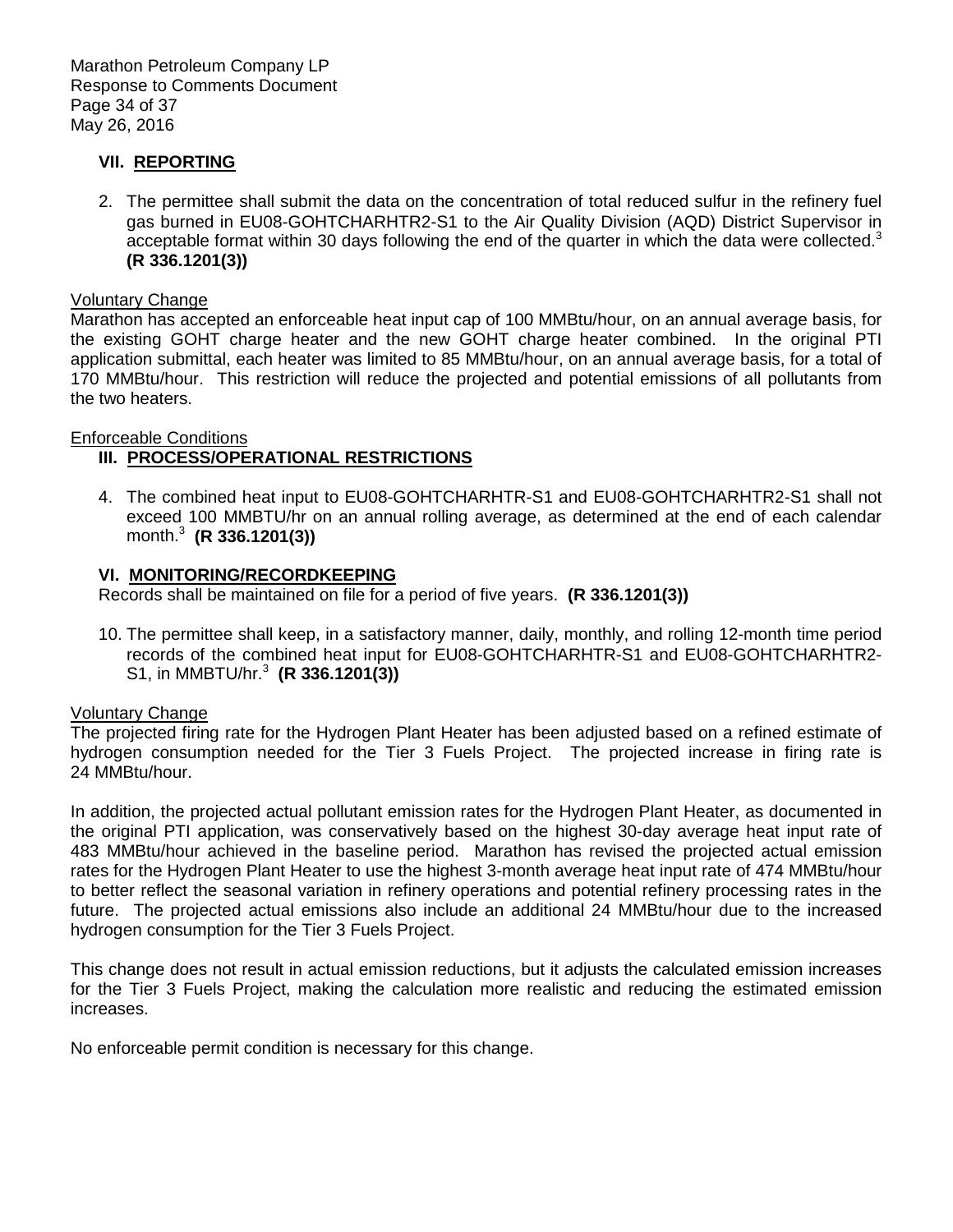# **VII. REPORTING**

 2. The permittee shall submit the data on the concentration of total reduced sulfur in the refinery fuel gas burned in EU08-GOHTCHARHTR2-S1 to the Air Quality Division (AQD) District Supervisor in acceptable format within 30 days following the end of the quarter in which the data were collected. $3$ **(R 336.1201(3))** 

#### Voluntary Change

 Marathon has accepted an enforceable heat input cap of 100 MMBtu/hour, on an annual average basis, for the existing GOHT charge heater and the new GOHT charge heater combined. In the original PTI application submittal, each heater was limited to 85 MMBtu/hour, on an annual average basis, for a total of 170 MMBtu/hour. This restriction will reduce the projected and potential emissions of all pollutants from the two heaters.

# Enforceable Conditions

# **III. PROCESS/OPERATIONAL RESTRICTIONS**

 4. The combined heat input to EU08-GOHTCHARHTR-S1 and EU08-GOHTCHARHTR2-S1 shall not exceed 100 MMBTU/hr on an annual rolling average, as determined at the end of each calendar month.<sup>3</sup>**(R 336.1201(3))** 

### **VI. MONITORING/RECORDKEEPING**

Records shall be maintained on file for a period of five years. **(R 336.1201(3))** 

 10. The permittee shall keep, in a satisfactory manner, daily, monthly, and rolling 12-month time period records of the combined heat input for EU08-GOHTCHARHTR-S1 and EU08-GOHTCHARHTR2- S1, in MMBTU/hr.<sup>3</sup>**(R 336.1201(3))** 

#### $\overline{a}$ Voluntary Change

 hydrogen consumption needed for the Tier 3 Fuels Project. The projected increase in firing rate is 24 MMBtu/hour. The projected firing rate for the Hydrogen Plant Heater has been adjusted based on a refined estimate of

24 MMBtu/hour.<br>In addition, the projected actual pollutant emission rates for the Hydrogen Plant Heater, as documented in the original PTI application, was conservatively based on the highest 30-day average heat input rate of 483 MMBtu/hour achieved in the baseline period. Marathon has revised the projected actual emission rates for the Hydrogen Plant Heater to use the highest 3-month average heat input rate of 474 MMBtu/hour to better reflect the seasonal variation in refinery operations and potential refinery processing rates in the future. The projected actual emissions also include an additional 24 MMBtu/hour due to the increased hydrogen consumption for the Tier 3 Fuels Project.

 This change does not result in actual emission reductions, but it adjusts the calculated emission increases for the Tier 3 Fuels Project, making the calculation more realistic and reducing the estimated emission increases.

No enforceable permit condition is necessary for this change.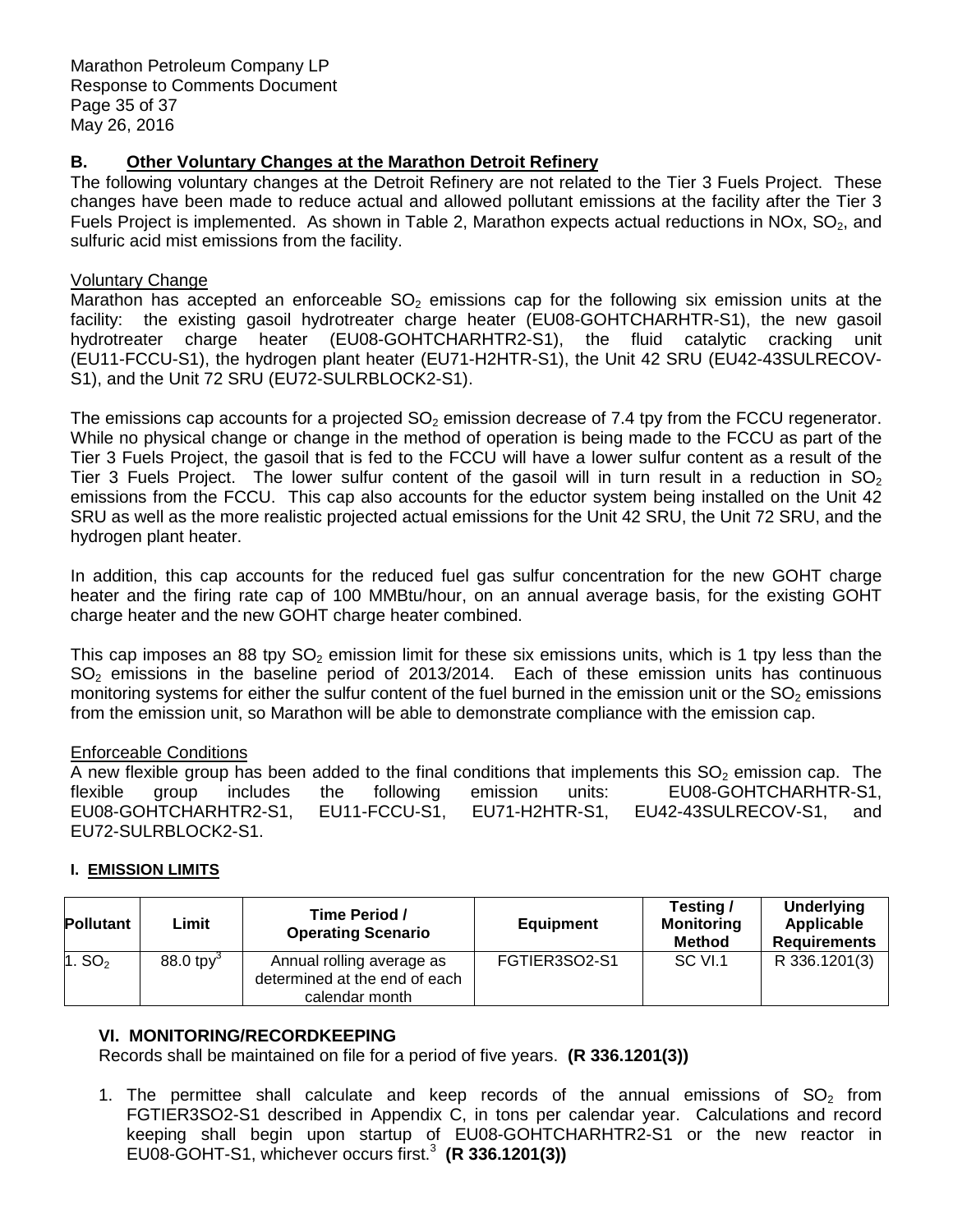#### **B. Other Voluntary Changes at the Marathon Detroit Refinery**

 The following voluntary changes at the Detroit Refinery are not related to the Tier 3 Fuels Project. These changes have been made to reduce actual and allowed pollutant emissions at the facility after the Tier 3 Fuels Project is implemented. As shown in Table 2, Marathon expects actual reductions in NOx,  $SO_2$ , and sulfuric acid mist emissions from the facility.

# Voluntary Change

Marathon has accepted an enforceable  $SO_2$  emissions cap for the following six emission units at the facility: the existing gasoil hydrotreater charge heater (EU08-GOHTCHARHTR-S1), the new gasoil hydrotreater charge heater (EU08-GOHTCHARHTR2-S1), the fluid catalytic cracking unit (EU11-FCCU-S1), the hydrogen plant heater (EU71-H2HTR-S1), the Unit 42 SRU (EU42-43SULRECOV-S1), and the Unit 72 SRU (EU72-SULRBLOCK2-S1).

The emissions cap accounts for a projected  $SO_2$  emission decrease of 7.4 tpy from the FCCU regenerator. While no physical change or change in the method of operation is being made to the FCCU as part of the Tier 3 Fuels Project, the gasoil that is fed to the FCCU will have a lower sulfur content as a result of the Tier 3 Fuels Project. The lower sulfur content of the gasoil will in turn result in a reduction in  $SO_2$  emissions from the FCCU. This cap also accounts for the eductor system being installed on the Unit 42 SRU as well as the more realistic projected actual emissions for the Unit 42 SRU, the Unit 72 SRU, and the hydrogen plant heater.

 In addition, this cap accounts for the reduced fuel gas sulfur concentration for the new GOHT charge heater and the firing rate cap of 100 MMBtu/hour, on an annual average basis, for the existing GOHT charge heater and the new GOHT charge heater combined.

This cap imposes an 88 tpy  $SO_2$  emission limit for these six emissions units, which is 1 tpy less than the  $SO<sub>2</sub>$  emissions in the baseline period of 2013/2014. Each of these emission units has continuous monitoring systems for either the sulfur content of the fuel burned in the emission unit or the SO<sub>2</sub> emissions from the emission unit, so Marathon will be able to demonstrate compliance with the emission cap.

# Enforceable Conditions

A new flexible group has been added to the final conditions that implements this  $SO_2$  emission cap. The flexible EU42-43SULRECOV-S1, flexible group includes the following emission units: EU08-GOHTCHARHTR-S1, EU08-GOHTCHARHTR2-S1, EU11-FCCU-S1, EU71-H2HTR-S1, EU42-43SULRECOV-S1, and EU72-SULRBLOCK2-S1.

# **I. EMISSION LIMITS**

| <b>Pollutant</b> | Limit                   | Time Period /<br><b>Operating Scenario</b>                                   | <b>Equipment</b> | Testing /<br><b>Monitoring</b><br><b>Method</b> | <b>Underlying</b><br>Applicable<br><b>Requirements</b> |
|------------------|-------------------------|------------------------------------------------------------------------------|------------------|-------------------------------------------------|--------------------------------------------------------|
| 1. $SO2$         | $88.0$ tpy <sup>3</sup> | Annual rolling average as<br>determined at the end of each<br>calendar month | FGTIER3SO2-S1    | SC VI.1                                         | R 336.1201(3)                                          |

# **VI. MONITORING/RECORDKEEPING**

Records shall be maintained on file for a period of five years. **(R 336.1201(3))** 

1. The permittee shall calculate and keep records of the annual emissions of  $SO<sub>2</sub>$  from FGTIER3SO2-S1 described in Appendix C, in tons per calendar year. Calculations and record keeping shall begin upon startup of EU08-GOHTCHARHTR2-S1 or the new reactor in EU08-GOHT-S1, whichever occurs first.<sup>3</sup>**(R 336.1201(3))**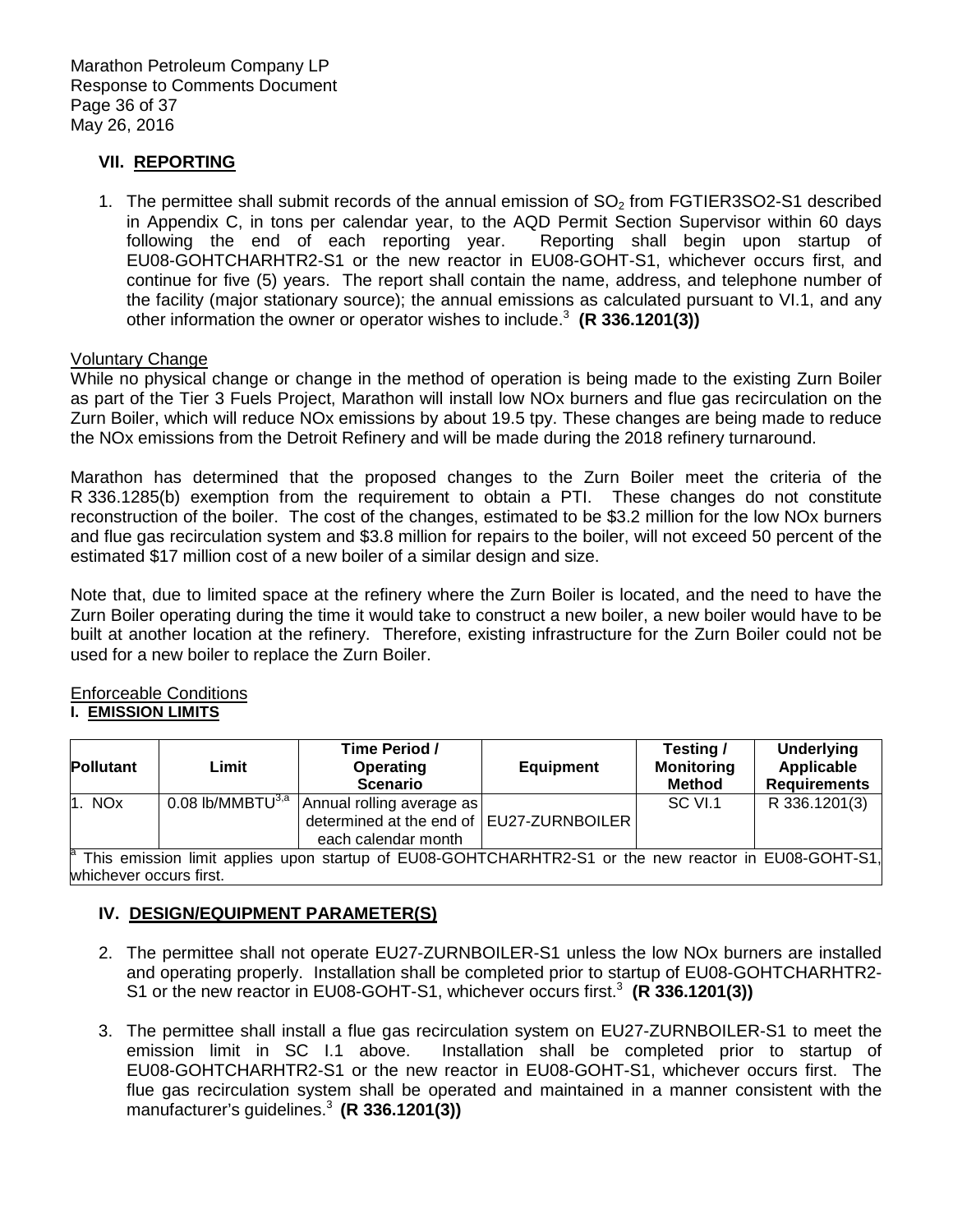# **VII. REPORTING**

1. The permittee shall submit records of the annual emission of  $SO<sub>2</sub>$  from FGTIER3SO2-S1 described in Appendix C, in tons per calendar year, to the AQD Permit Section Supervisor within 60 days following the end of each reporting year. Reporting shall begin upon startup of EU08-GOHTCHARHTR2-S1 or the new reactor in EU08-GOHT-S1, whichever occurs first, and continue for five (5) years. The report shall contain the name, address, and telephone number of the facility (major stationary source); the annual emissions as calculated pursuant to VI.1, and any other information the owner or operator wishes to include.<sup>3</sup> (R 336.1201(3))

### Voluntary Change

 While no physical change or change in the method of operation is being made to the existing Zurn Boiler as part of the Tier 3 Fuels Project, Marathon will install low NOx burners and flue gas recirculation on the Zurn Boiler, which will reduce NOx emissions by about 19.5 tpy. These changes are being made to reduce the NOx emissions from the Detroit Refinery and will be made during the 2018 refinery turnaround.

 Marathon has determined that the proposed changes to the Zurn Boiler meet the criteria of the R 336.1285(b) exemption from the requirement to obtain a PTI. These changes do not constitute reconstruction of the boiler. The cost of the changes, estimated to be \$3.2 million for the low NOx burners and flue gas recirculation system and \$3.8 million for repairs to the boiler, will not exceed 50 percent of the estimated \$17 million cost of a new boiler of a similar design and size.

 Note that, due to limited space at the refinery where the Zurn Boiler is located, and the need to have the Zurn Boiler operating during the time it would take to construct a new boiler, a new boiler would have to be built at another location at the refinery. Therefore, existing infrastructure for the Zurn Boiler could not be used for a new boiler to replace the Zurn Boiler.

#### Enforceable Conditions  **I. EMISSION LIMITS**

| <b>Pollutant</b>        | Limit | Time Period /<br><b>Operating</b><br><b>Scenario</b>                                                                                       | Equipment | Testing /<br><b>Monitoring</b><br><b>Method</b> | <b>Underlying</b><br>Applicable<br><b>Requirements</b> |
|-------------------------|-------|--------------------------------------------------------------------------------------------------------------------------------------------|-----------|-------------------------------------------------|--------------------------------------------------------|
| 1. NOx                  |       | $\overline{0.08}$ lb/MMBTU <sup>3,a</sup> Annual rolling average as<br>determined at the end of   EU27-ZURNBOILER  <br>each calendar month |           | SC VI.1                                         | R 336.1201(3)                                          |
| whichever occurs first. |       | <sup>a</sup> This emission limit applies upon startup of EU08-GOHTCHARHTR2-S1 or the new reactor in EU08-GOHT-S1,                          |           |                                                 |                                                        |

 **IV. DESIGN/EQUIPMENT PARAMETER(S)** 

- 2. The permittee shall not operate EU27-ZURNBOILER-S1 unless the low NOx burners are installed and operating properly. Installation shall be completed prior to startup of EU08-GOHTCHARHTR2- S1 or the new reactor in EU08-GOHT-S1, whichever occurs first.<sup>3</sup> (R 336.1201(3))
- 3. The permittee shall install a flue gas recirculation system on EU27-ZURNBOILER-S1 to meet the emission limit in SC I.1 above. EU08-GOHTCHARHTR2-S1 or the new reactor in EU08-GOHT-S1, whichever occurs first. The flue gas recirculation system shall be operated and maintained in a manner consistent with the Installation shall be completed prior to startup of manufacturer's guidelines.<sup>3</sup> (R 336.1201(3))